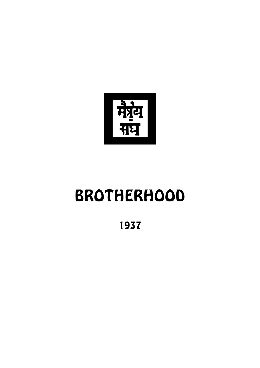

## BROTHERHOOD

1937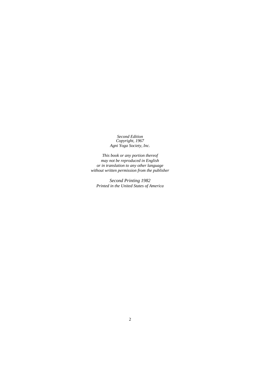*Second Edition Copyright, 1967 Agni Yoga Society, Inc.*

*This book or any portion thereof may not be reproduced in English or in translation to any other language without written permission from the publisher*

*Second Printing 1982 Printed in the United States of America*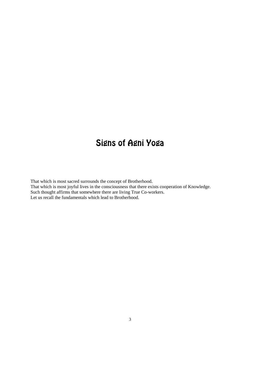## Signs of Agni Yoga

That which is most sacred surrounds the concept of Brotherhood. That which is most joyful lives in the consciousness that there exists cooperation of Knowledge. Such thought affirms that somewhere there are living True Co-workers. Let us recall the fundamentals which lead to Brotherhood.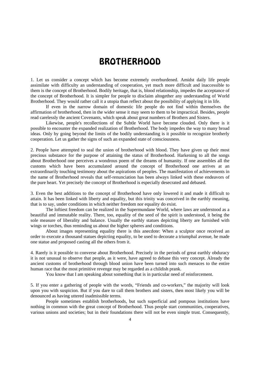## **BROTHERHOOD**

1. Let us consider a concept which has become extremely overburdened. Amidst daily life people assimilate with difficulty an understanding of cooperation, yet much more difficult and inaccessible to them is the concept of Brotherhood. Bodily heritage, that is, blood relationship, impedes the acceptance of the concept of Brotherhood. It is simpler for people to disclaim altogether any understanding of World Brotherhood. They would rather call it a utopia than reflect about the possibility of applying it in life.

 If even in the narrow domain of domestic life people do not find within themselves the affirmation of brotherhood, then in the wider sense it may seem to them to be impractical. Besides, people read carelessly the ancient Covenants, which speak about great numbers of Brothers and Sisters.

 Likewise, people's recollections of the Subtle World have become clouded. Only there is it possible to encounter the expanded realization of Brotherhood. The body impedes the way to many broad ideas. Only by going beyond the limits of the bodily understanding is it possible to recognize brotherly cooperation. Let us gather the signs of such an expanded state of consciousness.

2. People have attempted to seal the union of brotherhood with blood. They have given up their most precious substance for the purpose of attaining the status of Brotherhood. Harkening to all the songs about Brotherhood one perceives a wondrous poem of the dreams of humanity. If one assembles all the customs which have been accumulated around the concept of Brotherhood one arrives at an extraordinarily touching testimony about the aspirations of peoples. The manifestation of achievements in the name of Brotherhood reveals that self-renunciation has been always linked with these endeavors of the pure heart. Yet precisely the concept of Brotherhood is especially desecrated and debased.

3. Even the best additions to the concept of Brotherhood have only lowered it and made it difficult to attain. It has been linked with liberty and equality, but this trinity was conceived in the earthly meaning, that is to say, under conditions in which neither freedom nor equality do exist.

 The loftiest freedom can be realized in the Supermundane World, where laws are understood as a beautiful and immutable reality. There, too, equality of the seed of the spirit is understood, it being the sole measure of liberality and balance. Usually the earthly statues depicting liberty are furnished with wings or torches, thus reminding us about the higher spheres and conditions.

 About images representing equality there is this anecdote: When a sculptor once received an order to execute a thousand statues depicting equality, to be used to decorate a triumphal avenue, he made one statue and proposed casting all the others from it.

4. Rarely is it possible to converse about Brotherhood. Precisely in the periods of great earthly obduracy it is not unusual to observe that people, as it were, have agreed to debase this very concept. Already the ancient customs of brotherhood through blood union have been turned into such menaces to the entire human race that the most primitive revenge may be regarded as a childish prank.

You know that I am speaking about something that is in particular need of reinforcement.

5. If you enter a gathering of people with the words, "Friends and co-workers," the majority will look upon you with suspicion. But if you dare to call them brothers and sisters, then most likely you will be denounced as having uttered inadmissible terms.

 People sometimes establish brotherhoods, but such superficial and pompous institutions have nothing in common with the great concept of Brotherhood. Thus people start communities, cooperatives, various unions and societies; but in their foundations there will not be even simple trust. Consequently,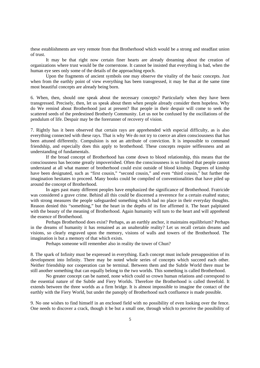these establishments are very remote from that Brotherhood which would be a strong and steadfast union of trust.

 It may be that right now certain finer hearts are already dreaming about the creation of organizations where trust would be the cornerstone. It cannot be insisted that everything is bad, when the human eye sees only some of the details of the approaching epoch.

 Upon the fragments of ancient symbols one may observe the vitality of the basic concepts. Just when from the earthly point of view everything has been transgressed, it may be that at the same time most beautiful concepts are already being born.

6. When, then, should one speak about the necessary concepts? Particularly when they have been transgressed. Precisely, then, let us speak about them when people already consider them hopeless. Why do We remind about Brotherhood just at present? But people in their despair will come to seek the scattered seeds of the predestined Brotherly Community. Let us not be confused by the oscillations of the pendulum of life. Despair may be the forerunner of recovery of vision.

7. Rightly has it been observed that certain rays are apprehended with especial difficulty, as is also everything connected with these rays. That is why We do not try to coerce an alien consciousness that has been attuned differently. Compulsion is not an attribute of conviction. It is impossible to command friendship, and especially does this apply to brotherhood. These concepts require selflessness and an understanding of fundamentals.

 If the broad concept of Brotherhood has come down to blood relationship, this means that the consciousness has become greatly impoverished. Often the consciousness is so limited that people cannot understand at all what manner of brotherhood could exist outside of blood kinship. Degrees of kinship have been designated, such as "first cousin," "second cousin," and even "third cousin," but further the imagination hesitates to proceed. Many books could be compiled of conventionalities that have piled up around the concept of Brotherhood.

 In ages past many different peoples have emphasized the significance of Brotherhood. Fratricide was considered a grave crime. Behind all this could be discerned a reverence for a certain exalted status; with strong measures the people safeguarded something which had no place in their everyday thoughts. Reason denied this "something," but the heart in the depths of its fire affirmed it. The heart palpitated with the beauty of the meaning of Brotherhood. Again humanity will turn to the heart and will apprehend the essence of Brotherhood.

 Perhaps Brotherhood does exist? Perhaps, as an earthly anchor, it maintains equilibrium? Perhaps in the dreams of humanity it has remained as an unalterable reality? Let us recall certain dreams and visions, so clearly engraved upon the memory, visions of walls and towers of the Brotherhood. The imagination is but a memory of that which exists.

Perhaps someone will remember also in reality the tower of Chun?

8. The spark of Infinity must be expressed in everything. Each concept must include presupposition of its development into Infinity. There may be noted whole series of concepts which succeed each other. Neither friendship nor cooperation can be terminal. Between them and the Subtle World there must be still another something that can equally belong to the two worlds. This something is called Brotherhood.

 No greater concept can be named, none which could so crown human relations and correspond to the essential nature of the Subtle and Fiery Worlds. Therefore the Brotherhood is called threefold. It extends between the three worlds as a firm bridge. It is almost impossible to imagine the contact of the earthly with the Fiery World, but under the panoply of Brotherhood such confluence is made possible.

9. No one wishes to find himself in an enclosed field with no possibility of even looking over the fence. One needs to discover a crack, though it be but a small one, through which to perceive the possibility of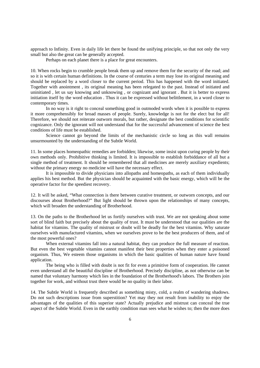approach to Infinity. Even in daily life let there be found the unifying principle, so that not only the very small but also the great can be generally accepted.

Perhaps on each planet there is a place for great encounters.

10. When rocks begin to crumble people break them up and remove them for the security of the road; and so it is with certain human definitions. In the course of centuries a term may lose its original meaning and should be replaced by a word closer to the current period. This has happened with the word initiated. Together with anointment , its original meaning has been relegated to the past. Instead of initiated and uninitiated , let us say knowing and unknowing , or cognizant and ignorant . But it is better to express initiation itself by the word education . Thus it can be expressed without belittlement, in a word closer to contemporary times.

 In no way is it right to conceal something good in outmoded words when it is possible to express it more comprehensibly for broad masses of people. Surely, knowledge is not for the elect but for all! Therefore, we should not reiterate outworn morals, but rather, designate the best conditions for scientific cognizance. Only the ignorant will not understand that for the successful advancement of science the best conditions of life must be established.

 Science cannot go beyond the limits of the mechanistic circle so long as this wall remains unsurmounted by the understanding of the Subtle World.

11. In some places homeopathic remedies are forbidden; likewise, some insist upon curing people by their own methods only. Prohibitive thinking is limited. It is impossible to establish forbiddance of all but a single method of treatment. It should be remembered that all medicines are merely auxiliary expedients; without the primary energy no medicine will have the necessary effect.

 It is impossible to divide physicians into allopaths and homeopaths, as each of them individually applies his best method. But the physician should be acquainted with the basic energy, which will be the operative factor for the speediest recovery.

12. It will be asked, "What connection is there between curative treatment, or outworn concepts, and our discourses about Brotherhood?" But light should be thrown upon the relationships of many concepts, which will broaden the understanding of Brotherhood.

13. On the paths to the Brotherhood let us fortify ourselves with trust. We are not speaking about some sort of blind faith but precisely about the quality of trust. It must be understood that our qualities are the habitat for vitamins. The quality of mistrust or doubt will be deadly for the best vitamins. Why saturate ourselves with manufactured vitamins, when we ourselves prove to be the best producers of them, and of the most powerful ones?

 When external vitamins fall into a natural habitat, they can produce the full measure of reaction. But even the best vegetable vitamins cannot manifest their best properties when they enter a poisoned organism. Thus, We esteem those organisms in which the basic qualities of human nature have found application.

 The being who is filled with doubt is not fit for even a primitive form of cooperation. He cannot even understand all the beautiful discipline of Brotherhood. Precisely discipline, as not otherwise can be named that voluntary harmony which lies in the foundation of the Brotherhood's labors. The Brothers join together for work, and without trust there would be no quality in their labor.

14. The Subtle World is frequently described as something misty, cold, a realm of wandering shadows. Do not such descriptions issue from superstition? Yet may they not result from inability to enjoy the advantages of the qualities of this superior state? Actually prejudice and mistrust can conceal the true aspect of the Subtle World. Even in the earthly condition man sees what he wishes to; then the more does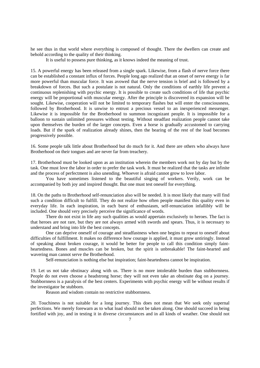he see thus in that world where everything is composed of thought. There the dwellers can create and behold according to the quality of their thinking.

It is useful to possess pure thinking, as it knows indeed the meaning of trust.

15. A powerful energy has been released from a single spark. Likewise, from a flash of nerve force there can be established a constant influx of forces. People long ago realized that an onset of nerve energy is far more powerful than muscular force. It was avowed that the nerve tension is brief and is followed by a breakdown of forces. But such a postulate is not natural. Only the conditions of earthly life prevent a continuous replenishing with psychic energy. It is possible to create such conditions of life that psychic energy will be proportional with muscular energy. After the principle is discovered its expansion will be sought. Likewise, cooperation will not be limited to temporary flashes but will enter the consciousness, followed by Brotherhood. It is unwise to entrust a precious vessel to an inexperienced messenger. Likewise it is impossible for the Brotherhood to summon incognizant people. It is impossible for a balloon to sustain unlimited pressures without testing. Without steadfast realization people cannot take upon themselves the burden of the larger concepts. Even a horse is gradually accustomed to carrying loads. But if the spark of realization already shines, then the bearing of the rest of the load becomes progressively possible.

16. Some people talk little about Brotherhood but do much for it. And there are others who always have Brotherhood on their tongues and are never far from treachery.

17. Brotherhood must be looked upon as an institution wherein the members work not by day but by the task. One must love the labor in order to prefer the task work. It must be realized that the tasks are infinite and the process of perfectment is also unending. Whoever is afraid cannot grow to love labor.

 You have sometimes listened to the beautiful singing of workers. Verily, work can be accompanied by both joy and inspired thought. But one must test oneself for everything.

18. On the paths to Brotherhood self-renunciation also will be needed. It is most likely that many will find such a condition difficult to fulfill. They do not realize how often people manifest this quality even in everyday life. In each inspiration, in each burst of enthusiasm, self-renunciation infallibly will be included. One should very precisely perceive the significance of words.

 There do not exist in life any such qualities as would appertain exclusively to heroes. The fact is that heroes are not rare, but they are not always armed with swords and spears. Thus, it is necessary to understand and bring into life the best concepts.

 One can deprive oneself of courage and steadfastness when one begins to repeat to oneself about difficulties of fulfillment. It makes no difference how courage is applied, it must grow untiringly. Instead of speaking about broken courage, it would be better for people to call this condition simply faintheartedness. Bones and muscles can be broken, but the spirit is unbreakable! The faint-hearted and wavering man cannot serve the Brotherhood.

Self-renunciation is nothing else but inspiration; faint-heartedness cannot be inspiration.

19. Let us not take obstinacy along with us. There is no more intolerable burden than stubbornness. People do not even choose a headstrong horse; they will not even take an obstinate dog on a journey. Stubbornness is a paralysis of the best centers. Experiments with psychic energy will be without results if the investigator be stubborn.

Reason and wisdom contain no restrictive stubbornness.

20. Touchiness is not suitable for a long journey. This does not mean that We seek only supernal perfections. We merely forewarn as to what load should not be taken along. One should succeed in being fortified with joy, and in testing it in diverse circumstances and in all kinds of weather. One should not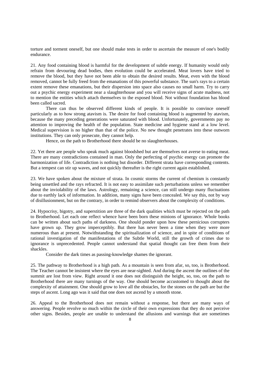torture and torment oneself, but one should make tests in order to ascertain the measure of one's bodily endurance.

21. Any food containing blood is harmful for the development of subtle energy. If humanity would only refrain from devouring dead bodies, then evolution could be accelerated. Meat lovers have tried to remove the blood, but they have not been able to obtain the desired results. Meat, even with the blood removed, cannot be fully freed from the emanations of this powerful substance. The sun's rays to a certain extent remove these emanations, but their dispersion into space also causes no small harm. Try to carry out a psychic energy experiment near a slaughterhouse and you will receive signs of acute madness, not to mention the entities which attach themselves to the exposed blood. Not without foundation has blood been called sacred.

 There can thus be observed different kinds of people. It is possible to convince oneself particularly as to how strong atavism is. The desire for food containing blood is augmented by atavism, because the many preceding generations were saturated with blood. Unfortunately, governments pay no attention to improving the health of the population. State medicine and hygiene stand at a low level. Medical supervision is no higher than that of the police. No new thought penetrates into these outworn institutions. They can only prosecute, they cannot help.

Hence, on the path to Brotherhood there should be no slaughterhouses.

22. Yet there are people who speak much against bloodshed but are themselves not averse to eating meat. There are many contradictions contained in man. Only the perfecting of psychic energy can promote the harmonization of life. Contradiction is nothing but disorder. Different strata have corresponding contents. But a tempest can stir up waves, and not quickly thereafter is the right current again established.

23. We have spoken about the mixture of strata. In cosmic storms the current of chemism is constantly being unsettled and the rays refracted. It is not easy to assimilate such perturbations unless we remember about the inviolability of the laws. Astrology, remaining a science, can still undergo many fluctuations due to earthly lack of information. In addition, many signs have been concealed. We say this, not by way of disillusionment, but on the contrary, in order to remind observers about the complexity of conditions.

24. Hypocrisy, bigotry, and superstition are three of the dark qualities which must be rejected on the path to Brotherhood. Let each one reflect whence have been born these minions of ignorance. Whole books can be written about such paths of darkness. One should ponder upon how these pernicious corrupters have grown up. They grow imperceptibly. But there has never been a time when they were more numerous than at present. Notwithstanding the spiritualization of science, and in spite of conditions of rational investigation of the manifestations of the Subtle World, still the growth of crimes due to ignorance is unprecedented. People cannot understand that spatial thought can free them from their shackles.

Consider the dark times as passing-knowledge shames the ignorant.

25. The pathway to Brotherhood is a high path. As a mountain is seen from afar, so, too, is Brotherhood. The Teacher cannot be insistent where the eyes are near-sighted. And during the ascent the outlines of the summit are lost from view. Right around it one does not distinguish the height, so, too, on the path to Brotherhood there are many turnings of the way. One should become accustomed to thought about the complexity of attainment. One should grow to love all the obstacles, for the stones on the path are but the steps of ascent. Long ago was it said that one does not ascend by a smooth stone.

26. Appeal to the Brotherhood does not remain without a response, but there are many ways of answering. People revolve so much within the circle of their own expressions that they do not perceive other signs. Besides, people are unable to understand the allusions and warnings that are sometimes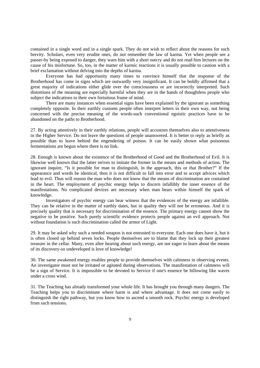contained in a single word and in a single spark. They do not wish to reflect about the reasons for such brevity. Scholars, even very erudite ones, do not remember the law of karma. Yet when people see a passer-by being exposed to danger, they warn him with a short outcry and do not read him lectures on the cause of his misfortune. So, too, in the matter of karmic reactions it is usually possible to caution with a brief exclamation without delving into the depths of karma.

 Everyone has had opportunity many times to convince himself that the response of the Brotherhood has come in signs which are outwardly very insignificant. It can be boldly affirmed that a great majority of indications either glide over the consciousness or are incorrectly interpreted. Such distortions of the meaning are especially harmful when they are in the hands of thoughtless people who subject the indications to their own fortuitous frame of mind.

 There are many instances when essential signs have been explained by the ignorant as something completely opposite. In their earthly customs people often interpret letters in their own way, not being concerned with the precise meaning of the words-such conventional egoistic practices have to be abandoned on the paths to Brotherhood.

27. By acting attentively in their earthly relations, people will accustom themselves also to attentiveness in the Higher Service. Do not leave the questions of people unanswered. It is better to reply as briefly as possible than to leave behind the engendering of poison. It can be easily shown what poisonous fermentations are begun where there is no link.

28. Enough is known about the existence of the Brotherhood of Good and the Brotherhood of Evil. It is likewise well known that the latter strives to imitate the former in the means and methods of action. The ignorant inquire, "Is it possible for man to distinguish, in the approach, this or that Brother?" If the appearance and words be identical, then it is not difficult to fall into error and to accept advices which lead to evil. Thus will reason the man who does not know that the means of discrimination are contained in the heart. The employment of psychic energy helps to discern infallibly the inner essence of the manifestations. No complicated devices are necessary when man bears within himself the spark of knowledge.

 Investigators of psychic energy can bear witness that the evidences of the energy are infallible. They can be relative in the matter of earthly dates, but in quality they will not be erroneous. And it is precisely quality that is necessary for discrimination of the essence. The primary energy cannot show the negative to be positive. Such purely scientific evidence protects people against an evil approach. Not without foundation is such discrimination called the armor of Light.

29. It may be asked why such a needed weapon is not entrusted to everyone. Each one does have it, but it is often closed up behind seven locks. People themselves are to blame that they lock up their greatest treasure in the cellar. Many, even after hearing about such energy, are not eager to learn about the means of its discovery-so undeveloped is love of knowledge!

30. The same awakened energy enables people to provide themselves with calmness in observing events. An investigator must not be irritated or agitated during observations. The manifestation of calmness will be a sign of Service. It is impossible to be devoted to Service if one's essence be billowing like waves under a cross wind.

31. The Teaching has already transformed your whole life. It has brought you through many dangers. The Teaching helps you to discriminate where harm is and where advantage. It does not come easily to distinguish the right pathway, but you know how to ascend a smooth rock. Psychic energy is developed from such tensions.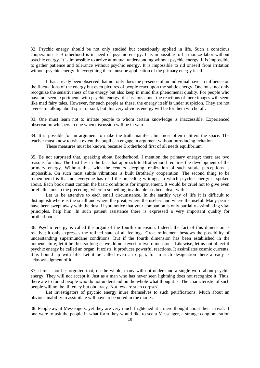32. Psychic energy should be not only studied but consciously applied in life. Such a conscious cooperation as Brotherhood is in need of psychic energy. It is impossible to harmonize labor without psychic energy. It is impossible to arrive at mutual understanding without psychic energy. It is impossible to gather patience and tolerance without psychic energy. It is impossible to rid oneself from irritation without psychic energy. In everything there must be application of the primary energy itself.

 It has already been observed that not only does the presence of an individual have an influence on the fluctuations of the energy but even pictures of people react upon the subtle energy. One must not only recognize the sensitiveness of the energy but also keep in mind this phenomenal quality. For people who have not seen experiments with psychic energy, discussions about the reactions of mere images will seem like mad fairy tales. However, for such people as these, the energy itself is under suspicion. They are not averse to talking about spirit or soul, but this very obvious energy will be for them witchcraft.

33. One must learn not to irritate people to whom certain knowledge is inaccessible. Experienced observation whispers to one when discussion will be in vain.

34. It is possible for an argument to make the truth manifest, but most often it litters the space. The teacher must know to what extent the pupil can engage in argument without introducing irritation. These measures must be known, because Brotherhood first of all needs equilibrium.

35. Be not surprised that, speaking about Brotherhood, I mention the primary energy; there are two reasons for this. The first lies in the fact that approach to Brotherhood requires the development of the primary energy. Without this, with the centers sleeping, realization of such subtle perceptions is impossible. On such most subtle vibrations is built Brotherly cooperation. The second thing to be remembered is that not everyone has read the preceding writings, in which psychic energy is spoken about. Each book must contain the basic conditions for improvement. It would be cruel not to give even brief allusions to the preceding, wherein something invaluable has been dealt with.

Let us be attentive to each small circumstance. In the earthly way of life it is difficult to distinguish where is the small and where the great, where the useless and where the useful. Many pearls have been swept away with the dust. If you notice that your companion is only partially assimilating vital principles, help him. In such patient assistance there is expressed a very important quality for brotherhood.

36. Psychic energy is called the organ of the fourth dimension. Indeed, the fact of this dimension is relative; it only expresses the refined state of all feelings. Great refinement bestows the possibility of understanding supermundane conditions. But if the fourth dimension has been established in the nomenclature, let it be thus-so long as we do not revert to two dimensions. Likewise, let us not object if psychic energy be called an organ. It exists, it produces powerful reactions. It assimilates cosmic currents, it is bound up with life. Let it be called even an organ, for in such designation there already is acknowledgment of it.

37. It must not be forgotten that, on the whole, many will not understand a single word about psychic energy. They will not accept it. Just as a man who has never seen lightning does not recognize it. Thus, there are to found people who do not understand on the whole what thought is. The characteristic of such people will not be illiteracy but obduracy. Not few are such corpses!

 Let investigators of psychic energy inure themselves to such petrifications. Much about an obvious inability to assimilate will have to be noted in the diaries.

38. People await Messengers, yet they are very much frightened at a mere thought about their arrival. If one were to ask the people in what form they would like to see a Messenger, a strange conglomeration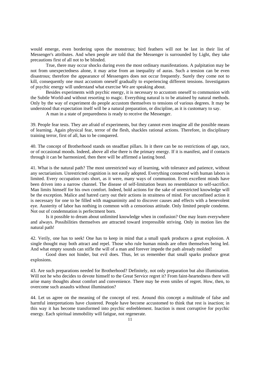would emerge, even bordering upon the monstrous; bird feathers will not be last in their list of Messenger's attributes. And when people are told that the Messenger is surrounded by Light, they take precautions first of all not to be blinded.

 True, there may occur shocks during even the most ordinary manifestations. A palpitation may be not from unexpectedness alone, it may arise from an inequality of auras. Such a tension can be even disastrous; therefore the appearance of Messengers does not occur frequently. Surely they come not to kill, consequently one must accustom oneself gradually to experiencing different tensions. Investigators of psychic energy will understand what exercise We are speaking about.

 Besides experiments with psychic energy, it is necessary to accustom oneself to communion with the Subtle World-and without resorting to magic. Everything natural is to be attained by natural methods. Only by the way of experiment do people accustom themselves to tensions of various degrees. It may be understood that expectation itself will be a natural preparation, or discipline, as it is customary to say.

A man in a state of preparedness is ready to receive the Messenger.

39. People fear tests. They are afraid of experiments, but they cannot even imagine all the possible means of learning. Again physical fear, terror of the flesh, shackles rational actions. Therefore, in disciplinary training terror, first of all, has to be conquered.

40. The concept of Brotherhood stands on steadfast pillars. In it there can be no restrictions of age, race, or of occasional moods. Indeed, above all else there is the primary energy. If it is manifest, and if contacts through it can be harmonized, then there will be affirmed a lasting bond.

41. What is the natural path? The most unrestricted way of learning, with tolerance and patience, without any sectarianism. Unrestricted cognition is not easily adopted. Everything connected with human labors is limited. Every occupation cuts short, as it were, many ways of communion. Even excellent minds have been driven into a narrow channel. The disease of self-limitation bears no resemblance to self-sacrifice. Man limits himself for his own comfort. Indeed, bold actions for the sake of unrestricted knowledge will be the exception. Malice and hatred carry out their actions in straitness of mind. For unconfined action it is necessary for one to be filled with magnanimity and to discover causes and effects with a benevolent eye. Austerity of labor has nothing in common with a censorious attitude. Only limited people condemn. Not out of condemnation is perfectment born.

 Is it possible to dream about unlimited knowledge when in confusion? One may learn everywhere and always. Possibilities themselves are attracted toward irrepressible striving. Only in motion lies the natural path!

42. Verily, one has to seek! One has to keep in mind that a small spark produces a great explosion. A single thought may both attract and repel. Those who rule human minds are often themselves being led. And what empty sounds can stifle the will of a man and forever impede the path already molded!

 Good does not hinder, but evil does. Thus, let us remember that small sparks produce great explosions.

43. Are such preparations needed for Brotherhood? Definitely, not only preparation but also illumination. Will not he who decides to devote himself to the Great Service regret it? From faint-heartedness there will arise many thoughts about comfort and convenience. There may be even smiles of regret. How, then, to overcome such assaults without illumination?

44. Let us agree on the meaning of the concept of rest. Around this concept a multitude of false and harmful interpretations have clustered. People have become accustomed to think that rest is inaction; in this way it has become transformed into psychic enfeeblement. Inaction is most corruptive for psychic energy. Each spiritual immobility will fatigue, not regenerate.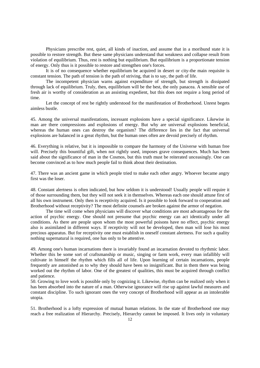Physicians prescribe rest, quiet, all kinds of inaction, and assume that in a moribund state it is possible to restore strength. But these same physicians understand that weakness and collapse result from violation of equilibrium. Thus, rest is nothing but equilibrium. But equilibrium is a proportionate tension of energy. Only thus is it possible to restore and strengthen one's forces.

 It is of no consequence whether equilibrium be acquired in desert or city-the main requisite is constant tension. The path of tension is the path of striving, that is to say, the path of life.

 The incompetent physician warns against expenditure of strength, but strength is dissipated through lack of equilibrium. Truly, then, equilibrium will be the best, the only panacea. A sensible use of fresh air is worthy of consideration as an assisting expedient, but this does not require a long period of time.

Let the concept of rest be rightly understood for the manifestation of Brotherhood. Unrest begets aimless bustle.

45. Among the universal manifestations, incessant explosions have a special significance. Likewise in man are there compressions and explosions of energy. But why are universal explosions beneficial, whereas the human ones can destroy the organism? The difference lies in the fact that universal explosions are balanced in a great rhythm, but the human ones often are devoid precisely of rhythm.

46. Everything is relative, but it is impossible to compare the harmony of the Universe with human free will. Precisely this bountiful gift, when not rightly used, imposes grave consequences. Much has been said about the significance of man in the Cosmos, but this truth must be reiterated unceasingly. One can become convinced as to how much people fail to think about their destination.

47. There was an ancient game in which people tried to make each other angry. Whoever became angry first was the loser.

48. Constant alertness is often indicated, but how seldom it is understood! Usually people will require it of those surrounding them, but they will not seek it in themselves. Whereas each one should attune first of all his own instrument. Only then is receptivity acquired. Is it possible to look forward to cooperation and Brotherhood without receptivity? The most definite counsels are broken against the armor of negation.

 The time will come when physicians will discover what conditions are most advantageous for the action of psychic energy. One should not presume that psychic energy can act identically under all conditions. As there are people upon whom the most powerful poisons have no effect, psychic energy also is assimilated in different ways. If receptivity will not be developed, then man will lose his most precious apparatus. But for receptivity one must establish in oneself constant alertness. For such a quality nothing supernatural is required, one has only to be attentive.

49. Among one's human incarnations there is invariably found an incarnation devoted to rhythmic labor. Whether this be some sort of craftsmanship or music, singing or farm work, every man infallibly will cultivate in himself the rhythm which fills all of life. Upon learning of certain incarnations, people frequently are astonished as to why they should have been so insignificant. But in them there was being worked out the rhythm of labor. One of the greatest of qualities, this must be acquired through conflict and patience.

50. Growing to love work is possible only by cognizing it. Likewise, rhythm can be realized only when it has been absorbed into the nature of a man. Otherwise ignorance will rise up against lawful measures and constant discipline. To such ignorant ones the very concept of Brotherhood will appear as an intolerable utopia.

51. Brotherhood is a lofty expression of mutual human relations. In the state of Brotherhood one may reach a free realization of Hierarchy. Precisely, Hierarchy cannot be imposed. It lives only in voluntary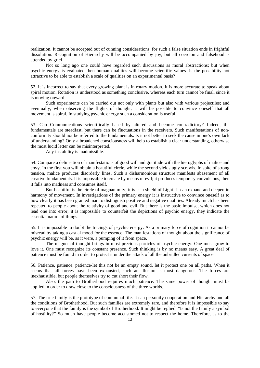realization. It cannot be accepted out of cunning considerations, for such a false situation ends in frightful dissolution. Recognition of Hierarchy will be accompanied by joy, but all coercion and falsehood is attended by grief.

 Not so long ago one could have regarded such discussions as moral abstractions; but when psychic energy is evaluated then human qualities will become scientific values. Is the possibility not attractive to be able to establish a scale of qualities on an experimental basis?

52. It is incorrect to say that every growing plant is in rotary motion. It is more accurate to speak about spiral motion. Rotation is understood as something conclusive, whereas each turn cannot be final, since it is moving onward.

 Such experiments can be carried out not only with plants but also with various projectiles; and eventually, when observing the flights of thought, it will be possible to convince oneself that all movement is spiral. In studying psychic energy such a consideration is useful.

53. Can Communications scientifically based by altered and become contradictory? Indeed, the fundamentals are steadfast, but there can be fluctuations in the receivers. Such manifestations of nonconformity should not be referred to the fundamentals. Is it not better to seek the cause in one's own lack of understanding? Only a broadened consciousness will help to establish a clear understanding, otherwise the most lucid letter can be misinterpreted.

Any instability is inadmissible.

54. Compare a delineation of manifestations of good will and gratitude with the hieroglyphs of malice and envy. In the first you will obtain a beautiful circle, while the second yields ugly scrawls. In spite of strong tension, malice produces disorderly lines. Such a disharmonious structure manifests abasement of all creative fundamentals. It is impossible to create by means of evil; it produces temporary convulsions, then it falls into madness and consumes itself.

 But beautiful is the circle of magnanimity; it is as a shield of Light! It can expand and deepen in harmony of movement. In investigations of the primary energy it is instructive to convince oneself as to how clearly it has been granted man to distinguish positive and negative qualities. Already much has been repeated to people about the relativity of good and evil. But there is the basic impulse, which does not lead one into error; it is impossible to counterfeit the depictions of psychic energy, they indicate the essential nature of things.

55. It is impossible to doubt the tracings of psychic energy. As a primary force of cognition it cannot be misread by taking a casual mood for the essence. The manifestations of thought about the significance of psychic energy will be, as it were, a pumping of it from space.

 The magnet of thought brings in most precious particles of psychic energy. One must grow to love it. One must recognize its constant presence. Such thinking is by no means easy. A great deal of patience must be found in order to protect it under the attack of all the unbridled currents of space.

56. Patience, patience, patience-let this not be an empty sound, let it protect one on all paths. When it seems that all forces have been exhausted, such an illusion is most dangerous. The forces are inexhaustible, but people themselves try to cut short their flow.

 Also, the path to Brotherhood requires much patience. The same power of thought must be applied in order to draw close to the consciousness of the three worlds.

57. The true family is the prototype of communal life. It can personify cooperation and Hierarchy and all the conditions of Brotherhood. But such families are extremely rare, and therefore it is impossible to say to everyone that the family is the symbol of Brotherhood. It might be replied, "Is not the family a symbol of hostility?" So much have people become accustomed not to respect the home. Therefore, as to the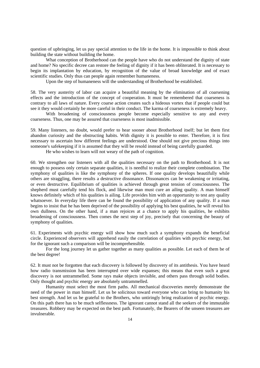question of upbringing, let us pay special attention to the life in the home. It is impossible to think about building the state without building the home.

 What conception of Brotherhood can the people have who do not understand the dignity of state and home? No specific decree can restore the feeling of dignity if it has been obliterated. It is necessary to begin its implantation by education, by recognition of the value of broad knowledge and of exact scientific studies. Only thus can people again remember humaneness.

Upon the step of humaneness will the understanding of Brotherhood be established.

58. The very austerity of labor can acquire a beautiful meaning by the elimination of all coarsening effects and the introduction of the concept of cooperation. It must be remembered that coarseness is contrary to all laws of nature. Every coarse action creates such a hideous vortex that if people could but see it they would certainly be more careful in their conduct. The karma of coarseness is extremely heavy.

 With broadening of consciousness people become especially sensitive to any and every coarseness. Thus, one may be assured that coarseness is most inadmissible.

59. Many listeners, no doubt, would prefer to hear sooner about Brotherhood itself; but let them first abandon curiosity and the obstructing habits. With dignity it is possible to enter. Therefore, it is first necessary to ascertain how different feelings are understood. One should not give precious things into someone's safekeeping if it is assumed that they will be resold instead of being carefully guarded.

He who wishes to learn will not weary of the path of cognition.

60. We strengthen our listeners with all the qualities necessary on the path to Brotherhood. It is not enough to possess only certain separate qualities, it is needful to realize their complete combination. The symphony of qualities is like the symphony of the spheres. If one quality develops beautifully while others are straggling, there results a destructive dissonance. Dissonances can be weakening or irritating, or even destructive. Equilibrium of qualities is achieved through great tension of consciousness. The shepherd must carefully tend his flock, and likewise man must cure an ailing quality. A man himself knows definitely which of his qualities is ailing. Life provides him with an opportunity to test any quality whatsoever. In everyday life there can be found the possibility of application of any quality. If a man begins to insist that he has been deprived of the possibility of applying his best qualities, he will reveal his own dullness. On the other hand, if a man rejoices at a chance to apply his qualities, he exhibits broadening of consciousness. Then comes the next step of joy, precisely that concerning the beauty of symphony of qualities.

61. Experiments with psychic energy will show how much such a symphony expands the beneficial circle. Experienced observers will apprehend easily the correlation of qualities with psychic energy, but for the ignorant such a comparison will be incomprehensible.

 For the long journey let us gather together as many qualities as possible. Let each of them be of the best degree!

62. It must not be forgotten that each discovery is followed by discovery of its antithesis. You have heard how radio transmission has been interrupted over wide expanses; this means that even such a great discovery is not untrammelled. Some rays make objects invisible, and others pass through solid bodies. Only thought and psychic energy are absolutely untrammelled.

 Humanity must select the most firm paths. All mechanical discoveries merely demonstrate the need of the power in man himself. Let us be solicitous toward everyone who can bring to humanity his best strength. And let us be grateful to the Brothers, who untiringly bring realization of psychic energy. On this path there has to be much selflessness. The ignorant cannot stand all the seekers of the immutable treasures. Robbery may be expected on the best path. Fortunately, the Bearers of the unseen treasures are invulnerable.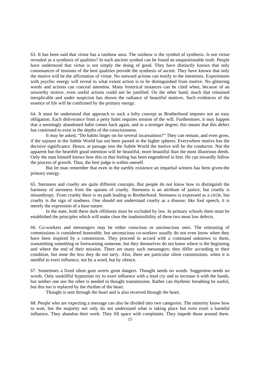63. It has been said that virtue has a rainbow aura. The rainbow is the symbol of synthesis. Is not virtue revealed as a synthesis of qualities? In each ancient symbol can be found an unquestionable truth. People have understood that virtue is not simply the doing of good. They have distinctly known that only consonances of tensions of the best qualities provide the synthesis of ascent. They have known that only the motive will be the affirmation of virtue. No outward actions can testify to the intentions. Experiments with psychic energy will reveal to what extent action is to be distinguished from motive. No glittering words and actions can conceal intention. Many historical instances can be cited when, because of an unworthy motive, even useful actions could not be justified. On the other hand, much that remained inexplicable and under suspicion has shown the radiance of beautiful motives. Such evidences of the essence of life will be confirmed by the primary energy.

64. It must be understood that approach to such a lofty concept as Brotherhood imposes not an easy obligation. Each deliverance from a petty habit requires tension of the will. Furthermore, it may happen that a seemingly abandoned habit comes back again, and in a stronger degree; this means that this defect has continued to exist in the depths of the consciousness.

 It may be asked, "Do habits linger on for several incarnations?" They can remain, and even grow, if the sojourn in the Subtle World has not been passed in the higher spheres. Everywhere motive has the decisive significance. Hence, at passage into the Subtle World the motive will be the conductor. Not the apparent but the heartfelt good intention will be beautiful, more beautiful than the most illustrious deeds. Only the man himself knows how this or that feeling has been engendered in him. He can inwardly follow the process of growth. Thus, the best judge is within oneself.

 But let man remember that even in the earthly existence an impartial witness has been given-the primary energy.

65. Sternness and cruelty are quite different concepts. But people do not know how to distinguish the harmony of sternness from the spasms of cruelty. Sternness is an attribute of justice, but cruelty is misanthropy. From cruelty there is no path leading to Brotherhood. Sternness is expressed as a circle, but cruelty is the sign of madness. One should not understand cruelty as a disease; like foul speech, it is merely the expression of a base nature.

 In the state, both these dark offshoots must be excluded by law. In primary schools there must be established the principles which will make clear the inadmissibility of these two most low defects.

66. Co-workers and messengers may be either conscious or unconscious ones. The entrusting of commissions is considered honorable, but unconscious co-workers usually do not even know when they have been inspired by a commission. They proceed in accord with a command unknown to them, transmitting something or forewarning someone, but they themselves do not know where is the beginning and where the end of their mission. There are many such messengers; they differ according to their condition, but none the less they do not tarry. Also, there are particular silent commissions, when it is needful to exert influence, not by a word, but by silence.

67. Sometimes a fixed silent gaze averts great dangers. Thought needs no words. Suggestion needs no words. Only unskillful hypnotists try to exert influence with a loud cry and to increase it with the hands, but neither one nor the other is needed in thought transmission. Rather can rhythmic breathing be useful, but this too is replaced by the rhythm of the heart.

Thought is sent through the heart and is also received through the heart.

68. People who are expecting a message can also be divided into two categories. The minority know how to wait, but the majority not only do not understand what is taking place but even exert a harmful influence. They abandon their work. They fill space with complaints. They impede those around them.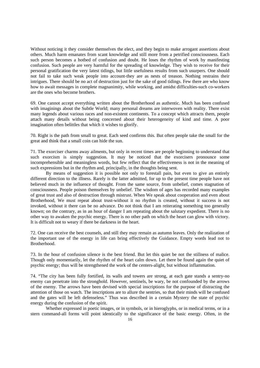Without noticing it they consider themselves the elect, and they begin to make arrogant assertions about others. Much harm emanates from scant knowledge and still more from a petrified consciousness. Each such person becomes a hotbed of confusion and doubt. He loses the rhythm of work by manifesting confusion. Such people are very harmful for the spreading of knowledge. They wish to receive for their personal gratification the very latest tidings, but little usefulness results from such usurpers. One should not fail to take such weak people into account-they are as nests of treason. Nothing restrains their intrigues. There should be no act of destruction just for the sake of good tidings. Few there are who know how to await messages in complete magnanimity, while working, and amidst difficulties-such co-workers are the ones who become brothers.

69. One cannot accept everything written about the Brotherhood as authentic. Much has been confused with imaginings about the Subtle World; many personal dreams are interwoven with reality. There exist many legends about various races and non-existent continents. To a concept which attracts them, people attach many details without being concerned about their heterogeneity of kind and time. A poor imagination often belittles that which it wishes to glorify.

70. Right is the path from small to great. Each seed confirms this. But often people take the small for the great and think that a small coin can hide the sun.

71. The exorciser charms away ailments, but only in recent times are people beginning to understand that such exorcism is simply suggestion. It may be noticed that the exorcisers pronounce some incomprehensible and meaningless words, but few reflect that the effectiveness is not in the meaning of such expressions but in the rhythm and, principally, in the thoughts being sent.

 By means of suggestion it is possible not only to forestall pain, but even to give an entirely different direction to the illness. Rarely is the latter admitted, for up to the present time people have not believed much in the influence of thought. From the same source, from unbelief, comes stagnation of consciousness. People poison themselves by unbelief. The wisdom of ages has recorded many examples of great trust and also of destruction through mistrust. When We speak about cooperation and even about Brotherhood, We must repeat about trust-without it no rhythm is created, without it success is not invoked, without it there can be no advance. Do not think that I am reiterating something too generally known; on the contrary, as in an hour of danger I am repeating about the salutary expedient. There is no other way to awaken the psychic energy. There is no other path on which the heart can glow with victory. It is difficult not to weary if there be darkness in the heart.

72. One can receive the best counsels, and still they may remain as autumn leaves. Only the realization of the important use of the energy in life can bring effectively the Guidance. Empty words lead not to Brotherhood.

73. In the hour of confusion silence is the best friend. But let this quiet be not the stillness of malice. Though only momentarily, let the rhythm of the heart calm down. Let there be found again the quiet of psychic energy; thus will be strengthened the work of the centers-alight, but without inflammation.

74. "The city has been fully fortified, its walls and towers are strong, at each gate stands a sentry-no enemy can penetrate into the stronghold. However, sentinels, be wary, be not confounded by the arrows of the enemy. The arrows have been devised with special inscriptions for the purpose of distracting the attention of those on watch. The inscriptions are to allure the sentries, so that their minds will be confused and the gates will be left defenseless." Thus was described in a certain Mystery the state of psychic energy during the confusion of the spirit.

 Whether expressed in poetic images, or in symbols, or in hieroglyphs, or in medical terms, or in a stern command-all forms will point identically to the significance of the basic energy. Often, in the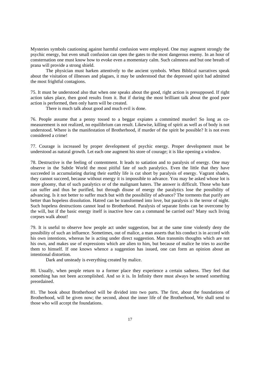Mysteries symbols cautioning against harmful confusion were employed. One may augment strongly the psychic energy, but even small confusion can open the gates to the most dangerous enemy. In an hour of consternation one must know how to evoke even a momentary calm. Such calmness and but one breath of prana will provide a strong shield.

 The physician must harken attentively to the ancient symbols. When Biblical narratives speak about the visitation of illnesses and plagues, it may be understood that the depressed spirit had admitted the most frightful contagions.

75. It must be understood also that when one speaks about the good, right action is presupposed. If right action takes place, then good results from it. But if during the most brilliant talk about the good poor action is performed, then only harm will be created.

There is much talk about good and much evil is done.

76. People assume that a penny tossed to a beggar expiates a committed murder! So long as comeasurement is not realized, no equilibrium can result. Likewise, killing of spirit as well as of body is not understood. Where is the manifestation of Brotherhood, if murder of the spirit be possible? It is not even considered a crime!

77. Courage is increased by proper development of psychic energy. Proper development must be understood as natural growth. Let each one augment his store of courage; it is like opening a window.

78. Destructive is the feeling of contentment. It leads to satiation and to paralysis of energy. One may observe in the Subtle World the most pitiful fate of such paralytics. Even the little that they have succeeded in accumulating during their earthly life is cut short by paralysis of energy. Vagrant shades, they cannot succeed, because without energy it is impossible to advance. You may be asked whose lot is more gloomy, that of such paralytics or of the malignant haters. The answer is difficult. Those who hate can suffer and thus be purified, but through disuse of energy the paralytics lose the possibility of advancing. Is it not better to suffer much but with the possibility of advance? The torments that purify are better than hopeless dissolution. Hatred can be transformed into love, but paralysis is the terror of night. Such hopeless destructions cannot lead to Brotherhood. Paralysis of separate limbs can be overcome by the will, but if the basic energy itself is inactive how can a command be carried out? Many such living corpses walk about!

79. It is useful to observe how people act under suggestion, but at the same time violently deny the possibility of such an influence. Sometimes, out of malice, a man asserts that his conduct is in accord with his own intentions, whereas he is acting under direct suggestion. Man transmits thoughts which are not his own, and makes use of expressions which are alien to him, but because of malice he tries to ascribe them to himself. If one knows whence a suggestion has issued, one can form an opinion about an intentional distortion.

Dark and unsteady is everything created by malice.

80. Usually, when people return to a former place they experience a certain sadness. They feel that something has not been accomplished. And so it is. In Infinity there must always be sensed something preordained.

81. The book about Brotherhood will be divided into two parts. The first, about the foundations of Brotherhood, will be given now; the second, about the inner life of the Brotherhood, We shall send to those who will accept the foundations.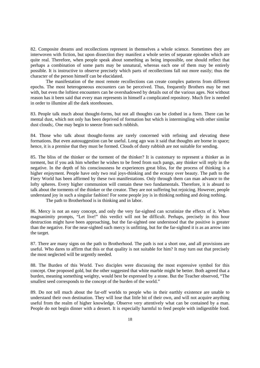82. Composite dreams and recollections represent in themselves a whole science. Sometimes they are interwoven with fiction, but upon dissection they manifest a whole series of separate episodes which are quite real. Therefore, when people speak about something as being impossible, one should reflect that perhaps a combination of some parts may be unnatural, whereas each one of them may be entirely possible. It is instructive to observe precisely which parts of recollections fall out more easily; thus the character of the person himself can be elucidated.

 The manifestation of the most remote recollections can create complex patterns from different epochs. The most heterogeneous encounters can be perceived. Thus, frequently Brothers may be met with, but even the loftiest encounters can be overshadowed by details out of the various ages. Not without reason has it been said that every man represents in himself a complicated repository. Much fire is needed in order to illumine all the dark storehouses.

83. People talk much about thought-forms, but not all thoughts can be clothed in a form. There can be mental dust, which not only has been deprived of formation but which is intermingling with other similar dust clouds;. One may begin to sneeze from such rubbish.

84. Those who talk about thought-forms are rarely concerned with refining and elevating these formations. But even autosuggestion can be useful. Long ago was it said that thoughts are borne in space; hence, it is a premise that they must be formed. Clouds of dusty rubbish are not suitable for sending.

85. The bliss of the thinker or the torment of the thinker? It is customary to represent a thinker as in torment, but if you ask him whether he wishes to be freed from such pangs, any thinker will reply in the negative. In the depth of his consciousness he experiences great bliss, for the process of thinking is a higher enjoyment. People have only two real joys-thinking and the ecstasy over beauty. The path to the Fiery World has been affirmed by these two manifestations. Only through them can man advance to the lofty spheres. Every higher communion will contain these two fundamentals. Therefore, it is absurd to talk about the torments of the thinker or the creator. They are not suffering but rejoicing. However, people understand joy in such a singular fashion! For some people joy is in thinking nothing and doing nothing.

The path to Brotherhood is in thinking and in labor.

86. Mercy is not an easy concept, and only the very far-sighted can scrutinize the effects of it. When magnanimity prompts, "Let live!" this verdict will not be difficult. Perhaps, precisely in this hour destruction might have been approaching, but the far-sighted one understood that the positive is greater than the negative. For the near-sighted such mercy is unfitting, but for the far-sighted it is as an arrow into the target.

87. There are many signs on the path to Brotherhood. The path is not a short one, and all provisions are useful. Who dares to affirm that this or that quality is not suitable for him? It may turn out that precisely the most neglected will be urgently needed.

88. The Burden of this World. Two disciples were discussing the most expressive symbol for this concept. One proposed gold, but the other suggested that white marble might be better. Both agreed that a burden, meaning something weighty, would best be expressed by a stone. But the Teacher observed, "The smallest seed corresponds to the concept of the burden of the world."

89. Do not tell much about the far-off worlds to people who in their earthly existence are unable to understand their own destination. They will lose that little bit of their own, and will not acquire anything useful from the realm of higher knowledge. Observe very attentively what can be contained by a man. People do not begin dinner with a dessert. It is especially harmful to feed people with indigestible food.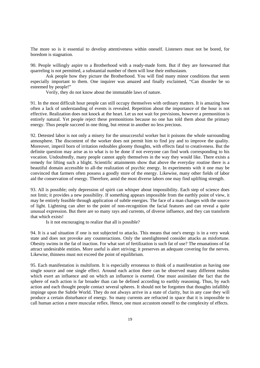The more so is it essential to develop attentiveness within oneself. Listeners must not be bored, for boredom is stagnation.

90. People willingly aspire to a Brotherhood with a ready-made form. But if they are forewarned that quarreling is not permitted, a substantial number of them will lose their enthusiasm.

 Ask people how they picture the Brotherhood. You will find many minor conditions that seem especially important to them. One inquirer was amazed and finally exclaimed, "Can disorder be so esteemed by people!"

Verily, they do not know about the immutable laws of nature.

91. In the most difficult hour people can still occupy themselves with ordinary matters. It is amazing how often a lack of understanding of events is revealed. Repetition about the importance of the hour is not effective. Realization does not knock at the heart. Let us not wait for previsions, however a premonition is entirely natural. Yet people reject these premonitions because no one has told them about the primary energy. Thus people succeed in one thing, but retreat in another no less precious.

92. Detested labor is not only a misery for the unsuccessful worker but it poisons the whole surrounding atmosphere. The discontent of the worker does not permit him to find joy and to improve the quality. Moreover, imperil born of irritation redoubles gloomy thoughts, with effects fatal to creativeness. But the definite question may arise as to what is to be done if not everyone can find work corresponding to his vocation. Undoubtedly, many people cannot apply themselves in the way they would like. There exists a remedy for lifting such a blight. Scientific attainments show that above the everyday routine there is a beautiful domain accessible to all-the realization of psychic energy. In experiments with it one may be convinced that farmers often possess a goodly store of the energy. Likewise, many other fields of labor aid the conservation of energy. Therefore, amid the most diverse labors one may find uplifting strength.

93. All is possible; only depression of spirit can whisper about impossibility. Each step of science does not limit; it provides a new possibility. If something appears impossible from the earthly point of view, it may be entirely feasible through application of subtle energies. The face of a man changes with the source of light. Lightning can alter to the point of non-recognition the facial features and can reveal a quite unusual expression. But there are so many rays and currents, of diverse influence, and they can transform that which exists!

Is it not encouraging to realize that all is possible?

94. It is a sad situation if one is not subjected to attacks. This means that one's energy is in a very weak state and does not provoke any counteractions. Only the unenlightened consider attacks as misfortune. Obesity swims in the fat of inaction. For what sort of fertilization is such fat of use? The emanations of fat attract undesirable entities. More useful is alert striving; it preserves an adequate covering for the nerves. Likewise, thinness must not exceed the point of equilibrium.

95. Each manifestation is multiform. It is especially erroneous to think of a manifestation as having one single source and one single effect. Around each action there can be observed many different realms which exert an influence and on which an influence is exerted. One must assimilate the fact that the sphere of each action is far broader than can be defined according to earthly reasoning. Thus, by each action and each thought people contact several spheres. It should not be forgotten that thoughts infallibly impinge upon the Subtle World. They do not always arrive in a state of clarity, but in any case they will produce a certain disturbance of energy. So many currents are refracted in space that it is impossible to call human action a mere muscular reflex. Hence, one must accustom oneself to the complexity of effects.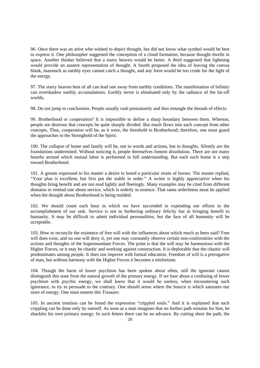96. Once there was an artist who wished to depict thought, but did not know what symbol would be best to express it. One philosopher suggested the conception of a cloud formation, because thought dwells in space. Another thinker believed that a starry heaven would be better. A third suggested that lightning would provide an austere representation of thought. A fourth proposed the idea of leaving the canvas blank, inasmuch as earthly eyes cannot catch a thought, and any form would be too crude for the light of the energy.

97. The starry heaven best of all can lead one away from earthly conditions. The manifestation of Infinity can overshadow earthly accumulations. Earthly terror is eliminated only by the radiance of the far-off worlds.

98. Do not jump to conclusions. People usually rush prematurely and thus entangle the threads of effects.

99. Brotherhood or cooperation? It is impossible to define a sharp boundary between them. Whereas, people are desirous that concepts be quite sharply divided. But much flows into each concept from other concepts. Thus, cooperation will be, as it were, the threshold to Brotherhood; therefore, one must guard the approaches to the Stronghold of the Spirit.

100. The collapse of home and family will be, not in words and actions, but in thoughts. Silently are the foundations undermined. Without noticing it, people themselves foment dissolution. There are not many hearths around which mutual labor is performed in full understanding. But each such home is a step toward Brotherhood.

101. A groom expressed to his master a desire to breed a particular strain of horses. The master replied, "Your plan is excellent, but first put the stable in order." A writer is highly appreciative when his thoughts bring benefit and are not read lightly and fleetingly. Many examples may be cited from different domains to remind one about service, which is orderly in essence. That same orderliness must be applied when the thought about Brotherhood is being molded.

102. We should count each hour in which we have succeeded in expending our efforts in the accomplishment of our task. Service is not in furthering ordinary felicity but in bringing benefit to humanity. It may be difficult to admit individual personalities, but the face of all humanity will be acceptable.

103. How to reconcile the existence of free will with the influences about which much as been said? Free will does exist, and no one will deny it, yet one may constantly observe certain non-conformities with the actions and thoughts of the Supermundane Forces. The point is that the will may be harmonious with the Higher Forces, or it may be chaotic and working against construction. It is deplorable that the chaotic will predominates among people. It does not improve with formal education. Freedom of will is a prerogative of man, but without harmony with the Higher Forces it becomes a misfortune.

104. Though the harm of lower psychism has been spoken about often, still the ignorant cannot distinguish this state from the natural growth of the primary energy. If we hear about a confusing of lower psychism with psychic energy, we shall know that it would be useless, when encountering such ignorance, to try to persuade to the contrary. One should sense where the Source is which saturates our store of energy. One must esteem this Treasure.

105. In ancient treatises can be found the expression "crippled souls." And it is explained that such crippling can be done only by oneself. As soon as a man imagines that no further path remains for him, he shackles his own primary energy. In such fetters there can be no advance. By cutting short the path, the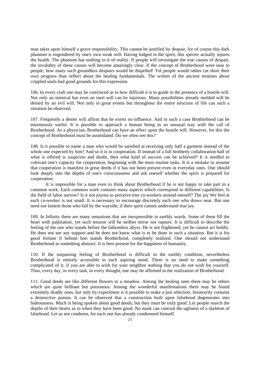man takes upon himself a grave responsibility. This cannot be justified by despair, for of course this dark phantom is engendered by one's own weak will. Having lodged in the spirit, this specter actually injures the health. The phantom has nothing in it of reality. If people will investigate the true causes of despair, the invalidity of these causes will become amazingly clear. If the concept of Brotherhood were near to people, how many such groundless despairs would be dispelled! Yet people would rather cut short their own progress than reflect about the healing fundamentals. The writers of the ancient treatises about crippled souls had good grounds for this expression.

106. In every craft one may be convinced as to how difficult it is to guide in the presence of a hostile will. Not only an inimical but even an inert will can be injurious. Many possibilities already molded will be denied by an evil will. Not only in great events but throughout the entire structure of life can such a situation be observed.

107. Frequently a denier will affirm that he exerts no influence. And in such a case Brotherhood can be enormously useful. It is possible to approach a human being in an unusual way with the call of Brotherhood. As a physician, Brotherhood can have an effect upon the hostile will. However, for this the concept of Brotherhood must be assimilated. Do we often see this?

108. Is it possible to name a man who would be satisfied at receiving only half a garment instead of the whole one expected by him? And so it is in cooperation. If instead of a full brotherly collaboration half of what is offered is suspicion and doubt, then what kind of success can be achieved? It is needful to cultivate one's capacity for cooperation, beginning with the most routine tasks. It is a mistake to assume that cooperation is manifest in great deeds if it has not been present even in everyday ones. One should look deeply into the depths of one's consciousness and ask oneself whether the spirit is prepared for cooperation.

 It is impossible for a man even to think about Brotherhood if he is not happy to take part in a common work. Each common work contains many aspects which correspond to different capabilities. Is the field of labor narrow? Is it not joyous to perceive true co-workers around oneself? The joy We feel at each co-worker is not small. It is necessary to encourage discretely each one who draws near. But one need not lament those who fall by the wayside, if their spirit cannot understand true joy.

109. In Infinity there are many sensations that are inexpressible in earthly words. Some of them fill the heart with palpitation, yet such tension will be neither terror nor rapture. It is difficult to describe the feeling of the one who stands before the fathomless abyss. He is not frightened, yet he cannot act boldly. He does not see any support and he does not know what is to be done in such a situation. But it is his good fortune if behind him stands Brotherhood, completely realized. One should not understand Brotherhood as something abstract. It is here present for the happiness of humanity.

110. If the surpassing feeling of Brotherhood is difficult in the earthly condition, nevertheless Brotherhood is entirely accessible to each aspiring mind. There is no need to make something complicated of it, if you are able to wish for your neighbor nothing that you do not wish for yourself. Thus, every day, in every task, in every thought, one may be affirmed in the realization of Brotherhood.

111. Good deeds are like different flowers in a meadow. Among the healing ones there may be others which are quite brilliant but poisonous. Among the wonderful manifestations there may be found extremely deadly ones, but only by experiment is it possible to make a just selection. Insincerity contains a destructive poison. It can be observed that a construction built upon falsehood degenerates into hideousness. Much is being spoken about good deeds, but they must be truly good. Let people search the depths of their hearts as to when they have been good. No mask can conceal the ugliness of a skeleton of falsehood. Let us not condemn, for each one has already condemned himself.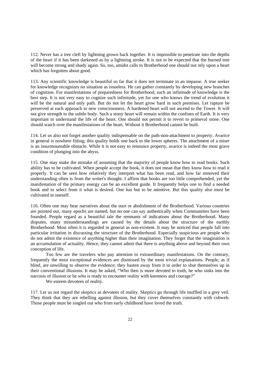112. Never has a tree cleft by lightning grown back together. It is impossible to penetrate into the depths of the heart if it has been darkened as by a lightning stroke. It is not to be expected that the burned tree will become strong and shady again. So, too, amidst calls to Brotherhood one should not rely upon a heart which has forgotten about good.

113. Any scientific knowledge is beautiful so far that it does not terminate in an impasse. A true seeker for knowledge recognizes no situation as issueless. He can gather constantly by developing new branches of cognition. For manifestations of preparedness for Brotherhood, such an infinitude of knowledge is the best step. It is not very easy to cognize such infinitude, yet for one who knows the trend of evolution it will be the natural and only path. But do not let the heart grow hard in such premises. Let rapture be preserved at each approach to new consciousness. A hardened heart will not ascend to the Tower. It will not give strength to the subtle body. Such a stony heart will remain within the confines of Earth. It is very important to understand the life of the heart. One should not permit it to revert to primeval stone. One should watch over the manifestations of the heart. Without it Brotherhood cannot be built.

114. Let us also not forget another quality indispensable on the path-non-attachment to property. Avarice in general is nowhere fitting; this quality holds one back to the lower spheres. The attachment of a miser is an insurmountable obstacle. While it is not easy to renounce property, avarice is indeed the most grave condition of plunging into the abyss.

115. One may make the mistake of assuming that the majority of people know how to read books. Such ability has to be cultivated. When people accept the book, it does not mean that they know how to read it properly. It can be seen how relatively they interpret what has been read, and how far removed their understanding often is from the writer's thought. I affirm that books are too little comprehended, yet the manifestation of the primary energy can be an excellent guide. It frequently helps one to find a needed book and to select from it what is desired. One has but to be attentive. But this quality also must be cultivated in oneself.

116. Often one may hear narratives about the start or abolishment of the Brotherhood. Various countries are pointed out, many epochs are named, but no one can say authentically when Communities have been founded. People regard as a beautiful tale the remnants of indications about the Brotherhood. Many disputes, many misunderstandings are caused by the details about the structure of the earthly Brotherhood. Most often it is regarded in general as non-existent. It may be noticed that people fall into particular irritation in discussing the structure of the Brotherhood. Especially suspicious are people who do not admit the existence of anything higher than their imagination. They forget that the imagination is an accumulation of actuality. Hence, they cannot admit that there is anything above and beyond their own conception of life.

 Too few are the travelers who pay attention to extraordinary manifestations. On the contrary, frequently the most exceptional evidences are dismissed by the most trivial explanations. People, as if blind, are unwilling to observe the evidence; they hasten away from it in order to shut themselves up in their conventional illusions. It may be asked, "Who then is more devoted to truth, he who sinks into the narcosis of illusion or he who is ready to encounter reality with keenness and courage?"

We esteem devotees of reality.

117. Let us not regard the skeptics as devotees of reality. Skeptics go through life muffled in a grey veil. They think that they are rebelling against illusion, but they cover themselves constantly with cobweb. Those people must be singled out who from early childhood have loved the truth.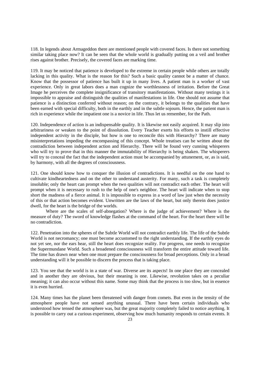118. In legends about Armageddon there are mentioned people with covered faces. Is there not something similar taking place now? It can be seen that the whole world is gradually putting on a veil and brother rises against brother. Precisely, the covered faces are marking time.

119. It may be noticed that patience is developed to the extreme in certain people while others are totally lacking in this quality. What is the reason for this? Such a basic quality cannot be a matter of chance. Know that the possessor of patience has built it up in many lives. A patient man is a worker of vast experience. Only in great labors does a man cognize the worthlessness of irritation. Before the Great Image he perceives the complete insignificance of transitory manifestations. Without many testings it is impossible to appraise and distinguish the qualities of manifestations in life. One should not assume that patience is a distinction conferred without reason; on the contrary, it belongs to the qualities that have been earned with special difficulty, both in the earthly and in the subtle sojourn. Hence, the patient man is rich in experience while the impatient one is a novice in life. Thus let us remember, for the Path.

120. Independence of action is an indispensable quality. It is likewise not easily acquired. It may slip into arbitrariness or weaken to the point of dissolution. Every Teacher exerts his efforts to instill effective independent activity in the disciple, but how is one to reconcile this with Hierarchy? There are many misinterpretations impeding the encompassing of this concept. Whole treatises can be written about the contradiction between independent action and Hierarchy. There will be found very cunning whisperers who will try to prove that in this manner the immutability of Hierarchy is being shaken. The whisperers will try to conceal the fact that the independent action must be accompanied by attunement, or, as is said, by harmony, with all the degrees of consciousness.

121. One should know how to conquer the illusion of contradictions. It is needful on the one hand to cultivate kindheartedness and on the other to understand austerity. For many, such a task is completely insoluble; only the heart can prompt when the two qualities will not contradict each other. The heart will prompt when it is necessary to rush to the help of one's neighbor. The heart will indicate when to stop short the madness of a fierce animal. It is impossible to express in a word of law just when the necessity of this or that action becomes evident. Unwritten are the laws of the heart, but only therein does justice dwell, for the heart is the bridge of the worlds.

 Where are the scales of self-abnegation? Where is the judge of achievement? Where is the measure of duty? The sword of knowledge flashes at the command of the heart. For the heart there will be no contradiction.

122. Penetration into the spheres of the Subtle World will not contradict earthly life. The life of the Subtle World is not necromancy; one must become accustomed to the right understanding. If the earthly eyes do not yet see, nor the ears hear, still the heart does recognize reality. For progress, one needs to recognize the Supermundane World. Such a broadened consciousness will transform the entire attitude toward life. The time has drawn near when one must prepare the consciousness for broad perceptions. Only in a broad understanding will it be possible to discern the process that is taking place.

123. You see that the world is in a state of war. Diverse are its aspects! In one place they are concealed and in another they are obvious, but their meaning is one. Likewise, revolution takes on a peculiar meaning; it can also occur without this name. Some may think that the process is too slow, but in essence it is even hurried.

124. Many times has the planet been threatened with danger from comets. But even in the tensity of the atmosphere people have not sensed anything unusual. There have been certain individuals who understood how tensed the atmosphere was, but the great majority completely failed to notice anything. It is possible to carry out a curious experiment, observing how much humanity responds to certain events. It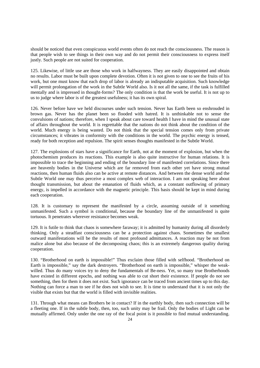should be noticed that even conspicuous world events often do not reach the consciousness. The reason is that people wish to see things in their own way and do not permit their consciousness to express itself justly. Such people are not suited for cooperation.

125. Likewise, of little use are those who work in halfwayness. They are easily disappointed and obtain no results. Labor must be built upon complete devotion. Often it is not given to one to see the fruits of his work, but one must know that each drop of labor is already an indisputable acquisition. Such knowledge will permit prolongation of the work in the Subtle World also. Is it not all the same, if the task is fulfilled mentally and is impressed in thought-forms? The only condition is that the work be useful. It is not up to us to judge where labor is of the greatest usefulness; it has its own spiral.

126. Never before have we held discourses under such tension. Never has Earth been so enshrouded in brown gas. Never has the planet been so flooded with hatred. It is unthinkable not to sense the convulsions of nations; therefore, when I speak about care toward health I have in mind the unusual state of affairs throughout the world. It is regrettable that the nations do not think about the condition of the world. Much energy is being wasted. Do not think that the special tension comes only from private circumstances; it vibrates in conformity with the conditions in the world. The psychic energy is tensed, ready for both reception and repulsion. The spirit senses thoughts manifested in the Subtle World.

127. The explosions of stars have a significance for Earth, not at the moment of explosion, but when the photochemism produces its reactions. This example is also quite instructive for human relations. It is impossible to trace the beginning and ending of the boundary line of manifested correlations. Since there are heavenly bodies in the Universe which are far removed from each other yet have strong mutual reactions, then human fluids also can be active at remote distances. And between the dense world and the Subtle World one may thus perceive a most complex web of interaction. I am not speaking here about thought transmission, but about the emanation of fluids which, as a constant outflowing of primary energy, is impelled in accordance with the magnetic principle. This basis should be kept in mind during each cooperation.

128. It is customary to represent the manifested by a circle, assuming outside of it something unmanifested. Such a symbol is conditional, because the boundary line of the unmanifested is quite tortuous. It penetrates wherever resistance becomes weak.

129. It is futile to think that chaos is somewhere faraway; it is admitted by humanity during all disorderly thinking. Only a steadfast consciousness can be a protection against chaos. Sometimes the smallest outward manifestations will be the results of most profound admittances. A reaction may be not from malice alone but also because of the decomposing chaos; this is an extremely dangerous quality during cooperation.

130. "Brotherhood on earth is impossible!" Thus exclaim those filled with selfhood. "Brotherhood on Earth is impossible," say the dark destroyers. "Brotherhood on earth is impossible," whisper the weakwilled. Thus do many voices try to deny the fundamentals of Be-ness. Yet, so many true Brotherhoods have existed in different epochs, and nothing was able to cut short their existence. If people do not see something, then for them it does not exist. Such ignorance can be traced from ancient times up to this day. Nothing can force a man to see if he does not wish to see. It is time to understand that it is not only the visible that exists but that the world is filled with invisible realities.

131. Through what means can Brothers be in contact? If in the earthly body, then such connection will be a fleeting one. If in the subtle body, then, too, such unity may be frail. Only the bodies of Light can be mutually affirmed. Only under the one ray of the focal point is it possible to find mutual understanding.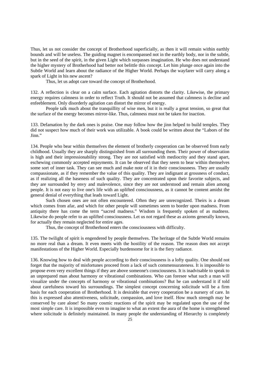Thus, let us not consider the concept of Brotherhood superficially, as then it will remain within earthly bounds and will be useless. The guiding magnet is encompassed not in the earthly body, nor in the subtle, but in the seed of the spirit, in the given Light which surpasses imagination. He who does not understand the higher mystery of Brotherhood had better not belittle this concept. Let him plunge once again into the Subtle World and learn about the radiance of the Higher World. Perhaps the wayfarer will carry along a spark of Light in his new ascent?

Thus, let us adopt care toward the concept of Brotherhood.

132. A reflection is clear on a calm surface. Each agitation distorts the clarity. Likewise, the primary energy requires calmness in order to reflect Truth. It should not be assumed that calmness is decline and enfeeblement. Only disorderly agitation can distort the mirror of energy.

People talk much about the tranquillity of wise men, but it is really a great tension, so great that the surface of the energy becomes mirror-like. Thus, calmness must not be taken for inaction.

133. Defamation by the dark ones is praise. One may follow how the jinn helped to build temples. They did not suspect how much of their work was utilizable. A book could be written about the "Labors of the Jinn."

134. People who bear within themselves the element of brotherly cooperation can be observed from early childhood. Usually they are sharply distinguished from all surrounding them. Their power of observation is high and their impressionability strong. They are not satisfied with mediocrity and they stand apart, eschewing commonly accepted enjoyments. It can be observed that they seem to bear within themselves some sort of inner task. They can see much and make note of it in their consciousness. They are usually compassionate, as if they remember the value of this quality. They are indignant at grossness of conduct, as if realizing all the baseness of such quality. They are concentrated upon their favorite subjects, and they are surrounded by envy and malevolence, since they are not understood and remain alien among people. It is not easy to live one's life with an uplifted consciousness, as it cannot be content amidst the general denial of everything that leads toward Light.

 Such chosen ones are not often encountered. Often they are unrecognized. Theirs is a dream which comes from afar, and which for other people will sometimes seem to border upon madness. From antiquity there has come the term "sacred madness." Wisdom is frequently spoken of as madness. Likewise do people refer to an uplifted consciousness. Let us not regard these as axioms generally known, for actually they remain neglected for entire ages.

Thus, the concept of Brotherhood enters the consciousness with difficulty.

135. The twilight of spirit is engendered by people themselves. The heritage of the Subtle World remains no more real than a dream. It even meets with the hostility of the reason. The reason does not accept manifestations of the Higher World. Especially burdensome for it is the fiery radiance.

136. Knowing how to deal with people according to their consciousness is a lofty quality. One should not forget that the majority of misfortunes proceed from a lack of such commensurateness. It is impossible to propose even very excellent things if they are above someone's consciousness. It is inadvisable to speak to an unprepared man about harmony or vibrational combinations. Who can foresee what such a man will visualize under the concepts of harmony or vibrational combinations? But he can understand it if told about carefulness toward his surroundings. The simplest concept concerning solicitude will be a firm basis for each cooperation of Brotherhood. It is desirable that every cooperation be a nursery of care. In this is expressed also attentiveness, solicitude, compassion, and love itself. How much strength may be conserved by care alone! So many cosmic reactions of the spirit may be regulated upon the use of the most simple care. It is impossible even to imagine to what an extent the aura of the home is strengthened where solicitude is definitely maintained. In many people the understanding of Hierarchy is completely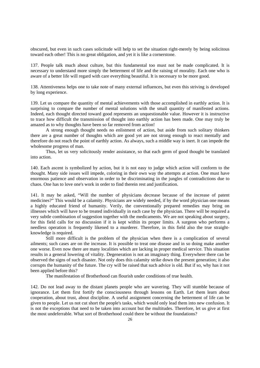obscured, but even in such cases solicitude will help to set the situation right-merely by being solicitous toward each other! This is no great obligation, and yet it is like a cornerstone.

137. People talk much about culture, but this fundamental too must not be made complicated. It is necessary to understand more simply the betterment of life and the raising of morality. Each one who is aware of a better life will regard with care everything beautiful. It is necessary to be more good.

138. Attentiveness helps one to take note of many external influences, but even this striving is developed by long experience.

139. Let us compare the quantity of mental achievements with those accomplished in earthly action. It is surprising to compare the number of mental solutions with the small quantity of manifested actions. Indeed, each thought directed toward good represents an unquestionable value. However it is instructive to trace how difficult the transmission of thought into earthly action has been made. One may truly be amazed as to why thoughts have been so far removed from action!

 A strong enough thought needs no enlistment of action, but aside from such solitary thinkers there are a great number of thoughts which are good yet are not strong enough to react mentally and therefore do not reach the point of earthly action. As always, such a middle way is inert. It can impede the wholesome progress of man.

 Thus, let us very solicitously render assistance, so that each germ of good thought be translated into action.

140. Each ascent is symbolized by action, but it is not easy to judge which action will conform to the thought. Many side issues will impede, coloring in their own way the attempts at action. One must have enormous patience and observation in order to be discriminating in the jungles of contradictions due to chaos. One has to love one's work in order to find therein rest and justification.

141. It may be asked, "Will the number of physicians decrease because of the increase of patent medicines?" This would be a calamity. Physicians are widely needed, if by the word physician one means a highly educated friend of humanity. Verily, the conventionally prepared remedies may bring on illnesses which will have to be treated individually in each case by the physician. There will be required a very subtle combination of suggestion together with the medicaments. We are not speaking about surgery, for this field calls for no discussion if it is kept within its proper limits. A surgeon who performs a needless operation is frequently likened to a murderer. Therefore, in this field also the true straightknowledge is required.

 Still more difficult is the problem of the physician when there is a complication of several ailments; such cases are on the increase. It is possible to treat one disease and in so doing make another one worse. Even now there are many localities which are lacking in proper medical service. This situation results in a general lowering of vitality. Degeneration is not an imaginary thing. Everywhere there can be observed the signs of such disaster. Not only does this calamity strike down the present generation; it also corrupts the humanity of the future. The cry will be raised that such advice is old. But if so, why has it not been applied before this?

The manifestation of Brotherhood can flourish under conditions of true health.

142. Do not lead away to the distant planets people who are wavering. They will stumble because of ignorance. Let them first fortify the consciousness through lessons on Earth. Let them learn about cooperation, about trust, about discipline. A useful assignment concerning the betterment of life can be given to people. Let us not cut short the people's tasks, which would only lead them into new confusion. It is not the exceptions that need to be taken into account but the multitudes. Therefore, let us give at first the most undeferrable. What sort of Brotherhood could there be without the foundations?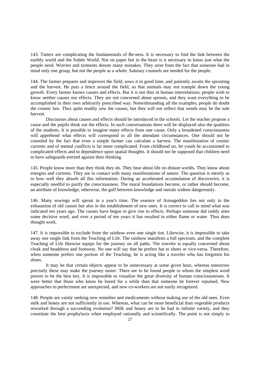143. Tatters are complicating the fundamentals of Be-ness. It is necessary to find the link between the earthly world and the Subtle World. Not on paper but in the heart is it necessary to know just what the people need. Worries and torments denote many mistakes. They arise from the fact that someone had in mind only one group, but not the people as a whole. Salutary counsels are needed for the people.

144. The farmer prepares and improves the field, sows it in good time, and patiently awaits the sprouting and the harvest. He puts a fence around the field, so that animals may not trample down the young growth. Every farmer knows causes and effects. But it is not thus in human interrelations; people wish to know neither causes nor effects. They are not concerned about sprouts, and they want everything to be accomplished in their own arbitrarily prescribed way. Notwithstanding all the examples, people do doubt the cosmic law. They quite readily sow the causes, but they will not reflect that weeds may be the sole harvest.

 Discourses about causes and effects should be introduced in the schools. Let the teacher propose a cause and the pupils think out the effects. In such conversations there will be displayed also the qualities of the students. It is possible to imagine many effects from one cause. Only a broadened consciousness will apprehend what effects will correspond to all the attendant circumstances. One should not be consoled by the fact that even a simple farmer can calculate a harvest. The manifestation of cosmic currents and of mental conflicts is far more complicated. From childhood on, let youth be accustomed to complicated effects and to dependence upon spatial thoughts. It should not be supposed that children need to have safeguards erected against their thinking.

145. People know more than they think they do. They hear about life on distant worlds. They know about energies and currents. They are in contact with many manifestations of nature. The question is merely as to how well they absorb all this information. During an accelerated accumulation of discoveries, it is especially needful to purify the consciousness. The moral foundations become, or rather should become, an attribute of knowledge; otherwise, the gulf between knowledge and morals widens dangerously.

146. Many sowings will sprout in a year's time. The essence of Armageddon lies not only in the exhaustion of old causes but also in the establishment of new ones. It is correct to call to mind what was indicated ten years ago. The causes have begun to give rise to effects. Perhaps someone did rashly utter some decisive word, and over a period of ten years it has resulted in either flame or water. Thus does thought work.

147. It is impossible to exclude from the rainbow even one single tint. Likewise, it is impossible to take away one single link from the Teaching of Life. The rainbow manifests a full spectrum, and the complete Teaching of Life likewise equips for the journey on all paths. The traveler is equally concerned about cloak and headdress and footwear. No one will say that he prefers hat to shoes or vice-versa. Therefore, when someone prefers one portion of the Teaching, he is acting like a traveler who has forgotten his shoes.

 It may be that certain objects appear to be unnecessary at some given hour, whereas tomorrow precisely these may make the journey easier. There are to be found people to whom the simplest word proves to be the best key. It is impossible to visualize the great diversity of human consciousnesses. It were better that those who know be bored for a while than that someone be forever repulsed. New approaches to perfectment are unexpected, and new co-workers are not easily recognized.

148. People are vainly seeking new remedies and medicaments without making use of the old ones. Even milk and honey are not sufficiently in use. Whereas, what can be more beneficial than vegetable products reworked through a succeeding evolution? Milk and honey are to be had in infinite variety, and they constitute the best prophylaxis when employed rationally and scientifically. The point is not simply to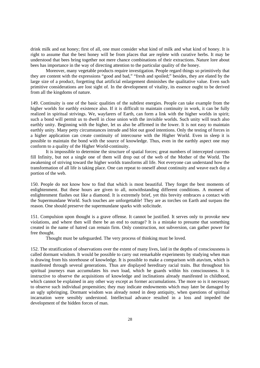drink milk and eat honey; first of all, one must consider what kind of milk and what kind of honey. It is right to assume that the best honey will be from places that are replete with curative herbs. It may be understood that bees bring together not mere chance combinations of their extractions. Nature lore about bees has importance in the way of directing attention to the particular quality of the honey.

 Moreover, many vegetable products require investigation. People regard things so primitively that they are content with the expressions "good and bad," "fresh and spoiled;" besides, they are elated by the large size of a product, forgetting that artificial enlargement diminishes the qualitative value. Even such primitive considerations are lost sight of. In the development of vitality, its essence ought to be derived from all the kingdoms of nature.

149. Continuity is one of the basic qualities of the subtlest energies. People can take example from the higher worlds for earthly existence also. If it is difficult to maintain continuity in work, it can be fully realized in spiritual strivings. We, wayfarers of Earth, can form a link with the higher worlds in spirit; such a bond will permit us to dwell in close union with the invisible worlds. Such unity will teach also earthly unity. Beginning with the higher, let us also be affirmed in the lower. It is not easy to maintain earthly unity. Many petty circumstances intrude and blot out good intentions. Only the testing of forces in a higher application can create continuity of intercourse with the Higher World. Even in sleep it is possible to maintain the bond with the source of knowledge. Thus, even in the earthly aspect one may conform to a quality of the Higher World-continuity.

 It is impossible to determine the structure of spatial forces; great numbers of intercepted currents fill Infinity, but not a single one of them will drop out of the web of the Mother of the World. The awakening of striving toward the higher worlds transforms all life. Not everyone can understand how the transformation of all life is taking place. One can repeat to oneself about continuity and weave each day a portion of the web.

150. People do not know how to find that which is most beautiful. They forget the best moments of enlightenment. But these hours are given to all, notwithstanding different conditions. A moment of enlightenment flashes out like a diamond. It is extremely brief, yet this brevity embraces a contact with the Supermundane World. Such touches are unforgettable! They are as torches on Earth and surpass the reason. One should preserve the supermundane sparks with solicitude.

151. Compulsion upon thought is a grave offense. It cannot be justified. It serves only to provoke new violations, and where then will there be an end to outrage? It is a mistake to presume that something created in the name of hatred can remain firm. Only construction, not subversion, can gather power for free thought.

Thought must be safeguarded. The very process of thinking must be loved.

152. The stratification of observations over the extent of many lives, laid in the depths of consciousness is called dormant wisdom. It would be possible to carry out remarkable experiments by studying when man is drawing from his storehouse of knowledge. It is possible to make a comparison with atavism, which is manifested through several generations. Thus are displayed hereditary racial traits. But throughout his spiritual journeys man accumulates his own load, which he guards within his consciousness. It is instructive to observe the acquisitions of knowledge and inclinations already manifested in childhood, which cannot be explained in any other way except as former accumulations. The more so is it necessary to observe such individual propensities; they may indicate endowments which may later be damaged by an ugly upbringing. Dormant wisdom was already noted in deep antiquity, when questions of spiritual incarnation were sensibly understood. Intellectual advance resulted in a loss and impeded the development of the hidden forces of man.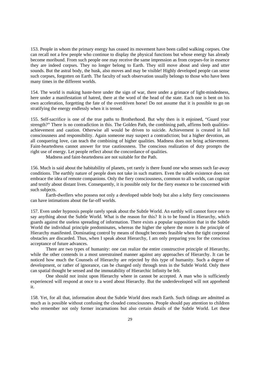153. People in whom the primary energy has ceased its movement have been called walking corpses. One can recall not a few people who continue to display the physical functions but whose energy has already become moribund. From such people one may receive the same impression as from corpses-for in essence they are indeed corpses. They no longer belong to Earth. They still move about and sleep and utter sounds. But the astral body, the husk, also moves and may be visible! Highly developed people can sense such corpses, forgotten on Earth. The faculty of such observation usually belongs to those who have been many times in the different worlds.

154. The world is making haste-here under the sign of war, there under a grimace of light-mindedness, here under a manifestation of hatred, there at the word of the head of the state. Each one is bent on his own acceleration, forgetting the fate of the overdriven horse! Do not assume that it is possible to go on stratifying the energy endlessly when it is tensed.

155. Self-sacrifice is one of the true paths to Brotherhood. But why then is it enjoined, "Guard your strength?" There is no contradiction in this. The Golden Path, the combining path, affirms both qualitiesachievement and caution. Otherwise all would be driven to suicide. Achievement is created in full consciousness and responsibility. Again someone may suspect a contradiction; but a higher devotion, an all conquering love, can teach the combining of higher qualities. Madness does not bring achievement. Faint-heartedness cannot answer for true cautiousness. The conscious realization of duty prompts the right use of energy. Let people reflect about the concordance of qualities.

Madness and faint-heartedness are not suitable for the Path.

156. Much is said about the habitability of planets, yet rarely is there found one who senses such far-away conditions. The earthly nature of people does not take in such matters. Even the subtle existence does not embrace the idea of remote companions. Only the fiery consciousness, common to all worlds, can cognize and testify about distant lives. Consequently, it is possible only for the fiery essence to be concerned with such subjects.

 Earth-dwellers who possess not only a developed subtle body but also a lofty fiery consciousness can have intimations about the far-off worlds.

157. Even under hypnosis people rarely speak about the Subtle World. An earthly will cannot force one to say anything about the Subtle World. What is the reason for this? It is to be found in Hierarchy, which guards against the useless spreading of information. There exists a popular supposition that in the Subtle World the individual principle predominates, whereas the higher the sphere the more is the principle of Hierarchy manifested. Dominating control by means of thought becomes feasible when the tight corporeal obstacles are discarded. Thus, when I speak about Hierarchy, I am only preparing you for the conscious acceptance of future advances.

 There are two types of humanity: one can realize the entire constructive principle of Hierarchy, while the other contends in a most unrestrained manner against any approaches of Hierarchy. It can be noticed how much the Counsels of Hierarchy are rejected by this type of humanity. Such a degree of development, or rather of ignorance, can be changed only through tests in the Subtle World. Only there can spatial thought be sensed and the immutability of Hierarchic Infinity be felt.

 One should not insist upon Hierarchy where in cannot be accepted. A man who is sufficiently experienced will respond at once to a word about Hierarchy. But the underdeveloped will not apprehend it.

158. Yet, for all that, information about the Subtle World does reach Earth. Such tidings are admitted as much as is possible without confusing the clouded consciousness. People should pay attention to children who remember not only former incarnations but also certain details of the Subtle World. Let these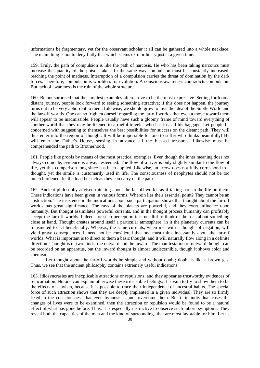informations be fragmentary, yet for the observant scholar it all can be gathered into a whole necklace. The main thing is not to deny flatly that which seems extraordinary just at a given time.

159. Truly, the path of compulsion is like the path of narcosis. He who has been taking narcotics must increase the quantity of the poison taken. In the same way compulsion must be constantly increased, reaching the point of madness. Interruption of a compulsion carries the threat of domination by the dark forces. Therefore, compulsion is worthless for evolution. A conscious awareness contradicts compulsion. But lack of awareness is the ruin of the whole structure.

160. Be not surprised that the simplest examples often prove to be the most expressive. Setting forth on a distant journey, people look forward to seeing something attractive; if this does not happen, the journey turns out to be very abhorrent to them. Likewise, we should grow to love the idea of the Subtle World and the far-off worlds. One can so frighten oneself regarding the far-off worlds that even a move toward them will appear to be inadmissible. People usually have such a gloomy frame of mind toward everything of another world that they may be likened to a rueful traveler who has lost all his baggage. Let people be concerned with suggesting to themselves the best possibilities for success on the distant path. They will thus enter into the region of thought. It will be impossible for one to suffer who thinks beautifully! He will enter the Father's House, sensing in advance all the blessed treasures. Likewise must be comprehended the path to Brotherhood.

161. People like proofs by means of the most practical examples. Even though the inner meaning does not always coincide, evidence is always esteemed. The flow of a river is only slightly similar to the flow of life, yet this comparison long since has been applied. Likewise, an arrow does not fully correspond to a thought, yet the simile is customarily used in life. The consciousness of neophytes should not be too much burdened; let the load be such as they can carry on the path.

162. Ancient philosophy advised thinking about the far-off worlds as if taking part in the life on them. These indications have been given in various forms. Wherein lies their essential point? They cannot be an abstraction. The insistence in the indications about such participation shows that thought about the far-off worlds has great significance. The rays of the planets are powerful, and they exert influence upon humanity. But thought assimilates powerful currents, and in the thought process humanity can profitably accept the far-off worlds. Indeed, for such perception it is needful to think of them as about something close at hand. Thought creates around itself a particular atmosphere; in it the planetary currents can be transmuted to act beneficially. Whereas, the same currents, when met with a thought of negation, will yield grave consequences. It need not be considered that one must think incessantly about the far-off worlds. What is important is to direct to them a basic thought, and it will naturally flow along in a definite direction. Thought is of two kinds: the outward and the inward. The manifestation of outward thought can be recorded on an apparatus, but the inward thought is almost undiscernible, though it shows color and chemism.

 Let thought about the far-off worlds be simple and without doubt; doubt is like a brown gas. Thus, we see that the ancient philosophy contains extremely useful indications.

163. Idiosyncrasies are inexplicable attractions or repulsions, and they appear as trustworthy evidences of reincarnation. No one can explain otherwise these irresistible feelings. It is vain to try to show them to be the effects of atavism, because it is possible to trace their independence of ancestral habits. The special force of such attraction shows that they are deeply implanted in a given individual. They are so firmly fixed in the consciousness that even hypnosis cannot overcome them. But if in individual cases the changes of lives were to be examined, then the attraction or repulsion would be found to be a natural effect of what has gone before. Thus, it is especially instructive to observe such inborn symptoms. They reveal both the capacities of the man and the kind of surroundings that are most favorable for him. Let us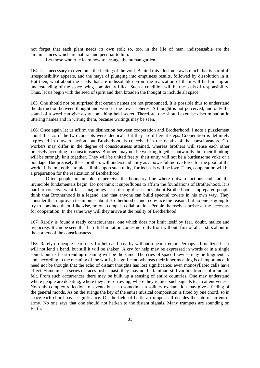not forget that each plant needs its own soil; so, too, in the life of man, indispensable are the circumstances which are natural and peculiar to him.

Let those who rule learn how to arrange the human garden.

164. It is necessary to overcome the feeling of the void. Behind this illusion crawls much that is harmful; irresponsibility appears, and the maya of plunging into emptiness results, followed by dissolution in it. But then, what about the seeds that are indissoluble? From the realization of them will be built up an understanding of the space being completely filled. Such a condition will be the basis of responsibility. Thus, let us begin with the seed of spirit and then broaden the thought to include all space.

165. One should not be surprised that certain names are not pronounced. It is possible thus to understand the distinction between thought and word in the lower spheres. A thought is not perceived, and only the sound of a word can give away something held secret. Therefore, one should exercise discrimination in uttering names and in writing them, because writings may be seen.

166. Once again let us affirm the distinction between cooperation and Brotherhood. I note a puzzlement about this, as if the two concepts were identical. But they are different steps. Cooperation is definitely expressed in outward action, but Brotherhood is conceived in the depths of the consciousness. Coworkers may differ in the degree of consciousness attained, whereas brothers will sense each other precisely according to consciousness. Brothers may not be working together outwardly, but their thinking will be strongly knit together. They will be united freely; their unity will not be a burdensome yoke or a bondage. But precisely these brothers will understand unity as a powerful motive force for the good of the world. It is impossible to place limits upon such unity, for its basis will be love. Thus, cooperation will be a preparation for the realization of Brotherhood.

 Often people are unable to perceive the boundary line where outward actions end and the invincible fundamentals begin. Do not think it superfluous to affirm the foundations of Brotherhood. It is hard to conceive what false imaginings arise during discussions about Brotherhood. Unprepared people think that Brotherhood is a legend, and that anyone can build spectral towers in his own way. They consider that unproven testimonies about Brotherhood cannot convince the reason; but no one is going to try to convince them. Likewise, no one compels collaboration. People themselves arrive at the necessity for cooperation. In the same way will they arrive at the reality of Brotherhood.

167. Rarely is found a ready consciousness, one which does not limit itself by fear, doubt, malice and hypocrisy. It can be seen that harmful limitation comes not only from without; first of all, it stirs about in the corners of the consciousness.

168. Rarely do people hear a cry for help and pass by without a heart tremor. Perhaps a brutalized heart will not lend a hand, but still it will be shaken. A cry for help may be expressed in words or in a single sound, but its heart-rending meaning will be the same. The cries of space likewise may be fragmentary and, according to the meaning of the words, insignificant, whereas their inner meaning is of importance. It need not be thought that the echo of distant thoughts has lost significance; even monosyllabic calls have effect. Sometimes a series of faces rushes past; they may not be familiar, still various frames of mind are felt. From such occurrences there may be built up a sensing of entire countries. One may understand where people are debating, where they are sorrowing, where they rejoice-such signals teach attentiveness. Not only complex reflections of events but also sometimes a solitary exclamation may give a feeling of the general moods. As on the strings the key of the entire musical composition is fixed by one chord, so in space each chord has a significance. On the field of battle a trumpet call decides the fate of an entire army. No one says that one should not harken to the distant signals. Many trumpets are sounding on Earth.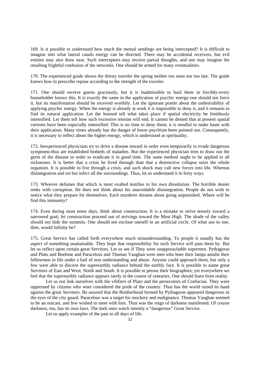169. Is it possible to understand how much the mental sendings are being intercepted? It is difficult to imagine into what lateral canals energy can be directed. There may be accidental receivers, but evil entities may also draw near. Such interceptors may receive partial thoughts, and one may imagine the resulting frightful confusion of the networks. One should be armed for many eventualities.

170. The experienced guide shows the thirsty traveler the spring neither too soon nor too late. The guide knows how to prescribe repose according to the strength of the traveler.

171. One should receive guests graciously, but it is inadmissible to haul them in forcibly-every householder knows this. It is exactly the same in the application of psychic energy-one should not force it, but its manifestation should be received worthily. Let the ignorant prattle about the undesirability of applying psychic energy. When the energy is already at work it is impossible to deny it, and it remains to find its natural application. Let the learned tell what takes place if spatial electricity be limitlessly intensified. Let them tell how such excessive tension will end. It cannot be denied that at present spatial currents have been especially intensified. This is no time to deny them; it is needful to make haste with their application. Many times already has the danger of lower psychism been pointed out. Consequently, it is necessary to reflect about the higher energy, which is understood as spirituality.

172. Inexperienced physicians try to drive a disease inward in order even temporarily to evade dangerous symptoms-thus are established hotbeds of maladies. But the experienced physician tries to draw out the germ of the disease in order to eradicate it in good time. The same method ought to be applied in all sicknesses. It is better that a crisis be lived through than that a destructive collapse seize the whole organism. It is possible to live through a crisis, and such shock may call new forces into life. Whereas disintegration and rot but infect all the surroundings. Thus, let us understand it in forty ways.

173. Whoever defames that which is most exalted testifies to his own dissolution. The horrible denier reeks with corruption. He does not think about his unavoidable disintegration. People do not wish to notice what they prepare for themselves. Each murderer dreams about going unpunished. Where will he find this immunity?

174. Even during most tense days, think about construction. It is a mistake to strive tensely toward a narrowed goal; let construction proceed out of strivings toward the Most High. The shade of the valley should not hide the summits. One should not enclose oneself in an artificial circle. Of what use to one, then, would Infinity be?

175. Great Service has called forth everywhere much misunderstanding. To people it usually has the aspect of something unattainable. They hope that responsibility for such Service will pass them by. But let us reflect upon certain great Servitors. Let us see if They were unapproachable supermen. Pythagoras and Plato and Boehme and Paracelsus and Thomas Vaughan were men who bore their lamps amidst their fellowmen in life under a hail of non understanding and abuse. Anyone could approach them, but only a few were able to discern the superearthly radiance behind the earthly face. It is possible to name great Servitors of East and West, North and South. It is possible to peruse their biographies; yet everywhere we feel that the superearthly radiance appears rarely in the course of centuries. One should learn from reality.

Let us not link ourselves with the vilifiers of Plato and the persecutors of Confucius. They were oppressed by citizens who were considered the pride of the country. Thus has the world raised its hand against the great Servitors. Be assured that the Brotherhood formed by Pythagoras appeared dangerous in the eyes of the city guard. Paracelsus was a target for mockery and malignance. Thomas Vaughan seemed to be an outcast, and few wished to meet with him. Thus was the reign of darkness manifested. Of course darkness, too, has its own laws. The dark ones watch intently a "dangerous" Great Service.

Let us apply examples of the past to all days of life.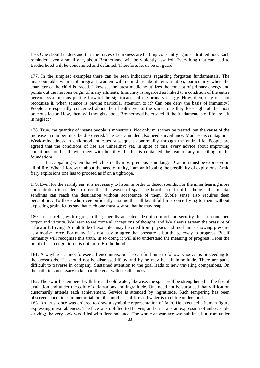176. One should understand that the forces of darkness are battling constantly against Brotherhood. Each reminder, even a small one, about Brotherhood will be violently assailed. Everything that can lead to Brotherhood will be condemned and defamed. Therefore, let us be on guard.

177. In the simplest examples there can be seen indications regarding forgotten fundamentals. The unaccountable whims of pregnant women will remind us about reincarnation, particularly when the character of the child is traced. Likewise, the latest medicine utilizes the concept of primary energy and points out the nervous origin of many ailments. Immunity is regarded as linked to a condition of the entire nervous system, thus putting forward the significance of the primary energy. How, then, may one not recognize it, when science is paying particular attention to it? Can one deny the basis of immunity? People are especially concerned about their health, yet at the same time they lose sight of the most precious factor. How, then, will thoughts about Brotherhood be created, if the fundamentals of life are left in neglect?

178. True, the quantity of insane people is monstrous. Not only must they be treated, but the cause of the increase in number must be discovered. The weak-minded also need surveillance. Madness is contagious. Weak-mindedness in childhood indicates subsequent abnormality through the entire life. People are agreed that the conditions of life are unhealthy; yet, in spite of this, every advice about improving conditions for health will meet with hostility. In this is contained the fear of any unsettling of the foundations.

 It is appalling when that which is really most precious is in danger! Caution must be expressed in all of life. When I forewarn about the need of unity, I am anticipating the possibility of explosions. Amid fiery explosions one has to proceed as if on a tightrope.

179. Even for the earthly ear, it is necessary to listen in order to detect sounds. For the inner hearing more concentration is needed in order that the waves of space be heard. Let it not be thought that mental sendings can reach the destination without acceptance of them. Subtle sense also requires deep perceptions. To those who overconfidently assume that all beautiful birds come flying to them without expecting grain, let us say that each one must sow so that he may reap.

180. Let us refer, with regret, to the generally accepted idea of comfort and security. In it is contained torpor and vacuity. We learn to welcome all inceptions of thought, and We always esteem the pressure of a forward striving. A multitude of examples may be cited from physics and mechanics showing pressure as a motive force. For many, it is not easy to agree that pressure is but the gateway to progress. But if humanity will recognize this truth, in so doing it will also understand the meaning of progress. From the point of such cognition it is not far to Brotherhood.

181. A wayfarer cannot foresee all encounters, but he can find time to follow whoever is proceeding to the crossroads. He should not be distressed if by and by he may be left in solitude. There are paths difficult to traverse in company. Sustained attention to the goal leads to new traveling companions. On the path, it is necessary to keep to the goal with steadfastness.

182. The sword is tempered with fire and cold water; likewise, the spirit will be strengthened in the fire of exaltation and under the cold of defamations and ingratitude. One need not be surprised that vilification customarily attends each achievement. Service is attended by ingratitude. Such tempering has been observed since times immemorial, but the antithesis of fire and water is too little understood.

183. An artist once was ordered to draw a symbolic representation of faith. He executed a human figure expressing inexorableness. The face was uplifted to Heaven, and on it was an expression of unbreakable striving; the very look was filled with fiery radiance. The whole appearance was sublime, but from under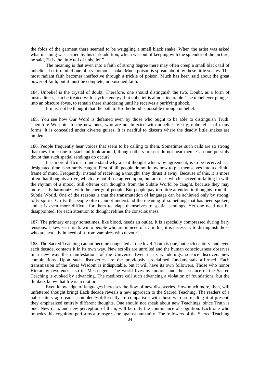the folds of the garment there seemed to be wriggling a small black snake. When the artist was asked what meaning was carried by his dark addition, which was out of keeping with the splendor of the picture, he said, "It is the little tail of unbelief."

 The meaning is that even into a faith of strong degree there may often creep a small black tail of unbelief. Let it remind one of a venomous snake. Much poison is spread about by these little snakes. The most radiant faith becomes ineffective through a trickle of poison. Much has been said about the great power of faith, but it must be complete, unpoisoned faith.

184. Unbelief is the crystal of doubt. Therefore, one should distinguish the two. Doubt, as a form of unsteadiness, can be treated with psychic energy; but unbelief is almost incurable. The unbeliever plunges into an obscure abyss, to remain there shuddering until he receives a purifying shock.

It must not be thought that the path to Brotherhood is possible through unbelief.

185. You see how Our Word is defamed even by those who ought to be able to distinguish Truth. Therefore We point to the new ones, who are not infected with unbelief. Verily, unbelief is of many forms. It is concealed under diverse guises. It is needful to discern where the deadly little snakes are hidden.

186. People frequently hear voices that seem to be calling to them. Sometimes such calls are so strong that they force one to start and look around, though others present do not hear them. Can one possibly doubt that such spatial sendings do occur?

 It is more difficult to understand why a sent thought which, by agreement, is to be received at a designated time is so rarely caught. First of all, people do not know how to put themselves into a definite frame of mind. Frequently, instead of receiving a thought, they thrust it away. Because of this, it is more often that thoughts arrive, which are not those agreed upon, but are ones which succeed in falling in with the rhythm of a mood. Still oftener can thoughts from the Subtle World be caught, because they may more easily harmonize with the energy of people. But people pay too little attention to thoughts from the Subtle World. One of the reasons is that the transmutation of language can be achieved only by strong, lofty spirits. On Earth, people often cannot understand the meaning of something that has been spoken, and it is even more difficult for them to adapt themselves to spatial sendings. Yet one need not be disappointed, for each attention to thought refines the consciousness.

187. The primary energy sometimes, like blood, needs an outlet. It is especially compressed during fiery tensions. Likewise, it is drawn to people who are in need of it. In this, it is necessary to distinguish those who are actually in need of it from vampires who devour it.

188. The Sacred Teaching cannot become congealed at one level. Truth is one, but each century, and even each decade, contacts it in its own way. New scrolls are unrolled and the human consciousness observes in a new way the manifestations of the Universe. Even in its wanderings, science discovers new combinations. Upon such discoveries are the previously proclaimed fundamentals affirmed. Each transmission of the Great Wisdom is indisputable, but it will have its own followers. Those who honor Hierarchy reverence also its Messengers. The world lives by motion, and the issuance of the Sacred Teaching is evoked by advancing. The mediocre call such advancing a violation of foundations, but the thinkers know that life is in motion.

 Even knowledge of languages increases the flow of new discoveries. How much more, then, will unfettered thought bring! Each decade reveals a new approach to the Sacred Teaching. The readers of a half-century ago read it completely differently. In comparison with those who are reading it at present, they emphasized entirely different thoughts. One should not speak about new Teachings, since Truth is one! New data, and new perception of them, will be only the continuance of cognition. Each one who impedes this cognition performs a transgression against humanity. The followers of the Sacred Teaching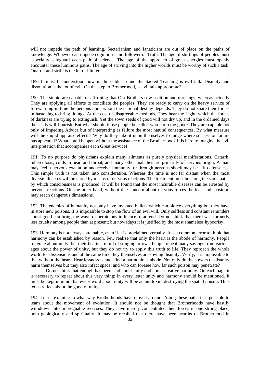will not impede the path of learning. Sectarianism and fanaticism are out of place on the paths of knowledge. Whoever can impede cognition is no follower of Truth. The age of shiftings of peoples must especially safeguard each path of science. The age of the approach of great energies must openly encounter these luminous paths. The age of striving into the higher worlds must be worthy of such a task. Quarrel and strife is the lot of litterers.

189. It must be understood how inadmissible around the Sacred Teaching is evil talk. Disunity and dissolution is the lot of evil. On the step to Brotherhood, is evil talk appropriate?

190. The stupid are capable of affirming that Our Brothers sow sedition and uprisings, whereas actually They are applying all efforts to conciliate the peoples. They are ready to carry on the heavy service of forewarning in time the persons upon whom the national destiny depends. They do not spare their forces in hastening to bring tidings. At the cost of disagreeable methods, They bear the Light, which the forces of darkness are trying to extinguish. Yet the sown seeds of good will not dry up, and in the ordained days the seeds will flourish. But what should those people be called who harm the good? They are capable not only of impeding Advice but of interpreting as failure the most natural consequences. By what measure will the stupid appraise effects? Why do they take it upon themselves to judge where success or failure has appeared? What could happen without the assistance of the Brotherhood? It is hard to imagine the evil interpretation that accompanies each Great Service!

191. To no purpose do physicians explain many ailments as purely physical manifestations. Catarrh, tuberculosis, colds in head and throat, and many other maladies are primarily of nervous origin. A man may feel a nervous exaltation and receive immunity, or through nervous shock may be left defenseless. This simple truth is not taken into consideration. Whereas the time is not far distant when the most diverse illnesses will be cured by means of nervous reactions. The treatment must be along the same paths by which consciousness is produced. It will be found that the most incurable diseases can be arrested by nervous reactions. On the other hand, without due concern about nervous forces the least indisposition may reach dangerous dimensions.

192. The enemies of humanity not only have invented bullets which can pierce everything but they have in store new poisons. It is impossible to stop the flow of an evil will. Only selfless and constant reminders about good can bring the wave of pernicious influence to an end. Do not think that there was formerly less cruelty among people than at present; but nowadays it is justified by the most shameless hypocrisy.

193. Harmony is not always attainable, even if it is proclaimed verbally. It is a common error to think that harmony can be established by reason. Few realize that only the heart is the abode of harmony. People reiterate about unity, but their hearts are full of stinging arrows. People repeat many sayings from various ages about the power of unity, but they do not try to apply this truth to life. They reproach the whole world for dissensions and at the same time they themselves are sowing disunity. Verily, it is impossible to live without the heart. Heartlessness cannot find a harmonious abode. Not only do the sowers of disunity harm themselves but they also infect space; and who can foresee how far such poison may penetrate?

 Do not think that enough has been said about unity and about creative harmony. On each page it is necessary to repeat about this very thing; in every letter unity and harmony should be mentioned. It must be kept in mind that every word about unity will be an antitoxin, destroying the spatial poison. Thus let us reflect about the good of unity.

194. Let us examine in what way Brotherhoods have moved around. Along these paths it is possible to learn about the movement of evolution. It should not be thought that Brotherhoods have hastily withdrawn into impregnable recesses. They have merely concentrated their forces in one strong place, both geologically and spiritually. It may be recalled that there have been hearths of Brotherhood in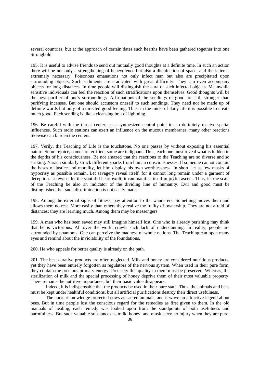several countries, but at the approach of certain dates such hearths have been gathered together into one Stronghold.

195. It is useful to advise friends to send out mutually good thoughts at a definite time. In such an action there will be not only a strengthening of benevolence but also a disinfection of space, and the latter is extremely necessary. Poisonous emanations not only infect man but also are precipitated upon surrounding objects. Such sediments are eradicated with great difficulty. They can even accompany objects for long distances. In time people will distinguish the aura of such infected objects. Meanwhile sensitive individuals can feel the reaction of such stratifications upon themselves. Good thoughts will be the best purifier of one's surroundings. Affirmations of the sendings of good are still stronger than purifying incenses. But one should accustom oneself to such sendings. They need not be made up of definite words but only of a directed good feeling. Thus, in the midst of daily life it is possible to create much good. Each sending is like a cleansing bolt of lightning.

196. Be careful with the throat center; as a synthesized central point it can definitely receive spatial influences. Such radio stations can exert an influence on the mucous membranes, many other reactions likewise can burden the centers.

197. Verily, the Teaching of Life is the touchstone. No one passes by without exposing his essential nature. Some rejoice, some are terrified, some are indignant. Thus, each one must reveal what is hidden in the depths of his consciousness. Be not amazed that the reactions to the Teaching are so diverse and so striking. Narada similarly struck different sparks from human consciousnesses. If someone cannot contain the bases of justice and morality, let him display his own worthlessness. In short, let as few masks of hypocrisy as possible remain. Let savagery reveal itself, for it cannot long remain under a garment of deception. Likewise, let the youthful heart exult; it can manifest itself in joyful ascent. Thus, let the scale of the Teaching be also an indicator of the dividing line of humanity. Evil and good must be distinguished, but such discrimination is not easily made.

198. Among the external signs of fitness, pay attention to the wanderers. Something moves them and allows them no rest. More easily than others they realize the frailty of ownership. They are not afraid of distances; they are learning much. Among them may be messengers.

199. A man who has been saved may still imagine himself lost. One who is already perishing may think that he is victorious. All over the world crawls such lack of understanding. In reality, people are surrounded by phantoms. One can perceive the madness of whole nations. The Teaching can open many eyes and remind about the inviolability of the foundations.

200. He who appeals for better quality is already on the path.

201. The best curative products are often neglected. Milk and honey are considered nutritious products, yet they have been entirely forgotten as regulators of the nervous system. When used in their pure form, they contain the precious primary energy. Precisely this quality in them must be preserved. Whereas, the sterilization of milk and the special processing of honey deprive them of their most valuable property. There remains the nutritive importance, but their basic value disappears.

 Indeed, it is indispensable that the products be used in their pure state. Thus, the animals and bees must be kept under healthful conditions, but all artificial purifications destroy their direct usefulness.

 The ancient knowledge protected cows as sacred animals, and it wove an attractive legend about bees. But in time people lost the conscious regard for the remedies as first given to them. In the old manuals of healing, each remedy was looked upon from the standpoints of both usefulness and harmfulness. But such valuable substances as milk, honey, and musk carry no injury when they are pure.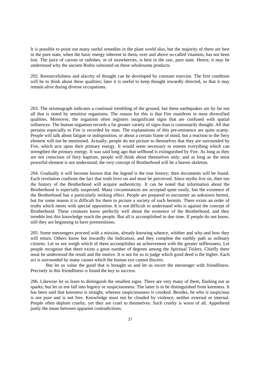It is possible to point out many useful remedies in the plant world also, but the majority of them are best in the pure state, when the basic energy inherent in them, over and above so-called vitamins, has not been lost. The juice of carrots or radishes, or of strawberries, is best in the raw, pure state. Hence, it may be understood why the ancient Rishis subsisted on these wholesome products.

202. Resourcefulness and alacrity of thought can be developed by constant exercise. The first condition will be to think about these qualities; later it is useful to keep thought inwardly directed, so that it may remain alive during diverse occupations.

203. The seismograph indicates a continual trembling of the ground, but these earthquakes are by far not all that is noted by sensitive organisms. The reason for this is that Fire manifests in most diversified qualities. Moreover, the organism often registers insignificant signs that are confused with spatial influences. The human organism records a far greater variety of signs than is customarily thought. All that pertains especially to Fire is recorded by man. The explanations of this pre-eminence are quite scanty. People will talk about fatigue or indisposition, or about a certain frame of mind, but a reaction to the fiery element will not be mentioned. Actually, people do not picture to themselves that they are surrounded by Fire, which acts upon their primary energy. It would seem necessary to esteem everything which can strengthen the primary energy. It was said long ago that selfhood is extinguished by Fire. As long as they are not conscious of fiery baptism, people will think about themselves only; and as long as the most powerful element is not understood, the very concept of Brotherhood will be a barren skeleton.

204. Gradually it will become known that the legend is the true history; then documents will be found. Each revelation confirms the fact that truth lives on and must be perceived. Since myths live on, then too the history of the Brotherhood will acquire authenticity. It can be noted that information about the Brotherhood is especially suspected. Many circumstances are accepted quite easily, but the existence of the Brotherhood has a particularly striking effect. People are prepared to encounter an unknown hermit, but for some reason it is difficult for them to picture a society of such hermits. There exists an order of truths which meets with special opposition. It is not difficult to understand who is against the concept of Brotherhood. These creatures know perfectly well about the existence of the Brotherhood, and they tremble lest this knowledge reach the people. But all is accomplished in due time. If people do not know, still they are beginning to have premonitions.

205. Some messengers proceed with a mission, already knowing whence, whither and why-and how they will return. Others know but inwardly the Indication, and they complete the earthly path as ordinary citizens. Let us not weigh which of them accomplishes an achievement with the greater selflessness. Let people recognize that there exists a great number of degrees among the Spiritual Toilers. Chiefly there must be understood the result and the motive. It is not for us to judge which good deed is the higher. Each act is surrounded by many causes which the human eye cannot discern.

 But let us value the good that is brought us and let us escort the messenger with friendliness. Precisely in this friendliness is found the key to success.

206. Likewise let us learn to distinguish the smallest signs. There are very many of them, flashing out as sparks; but let us not fall into bigotry or suspiciousness. The latter is to be distinguished from keenness. It has been said that keenness is straight, whereas suspiciousness is crooked. Besides, he who is suspicious is not pure and is not free. Knowledge must not be clouded by violence, neither external or internal. People often deplore cruelty, yet they are cruel to themselves. Such cruelty is worst of all. Apprehend justly the mean between apparent contradictions.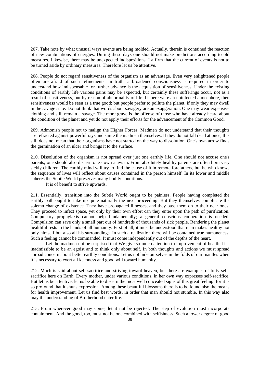207. Take note by what unusual ways events are being molded. Actually, therein is contained the reaction of new combinations of energies. During these days one should not make predictions according to old measures. Likewise, there may be unexpected indispositions. I affirm that the current of events is not to be turned aside by ordinary measures. Therefore let us be attentive.

208. People do not regard sensitiveness of the organism as an advantage. Even very enlightened people often are afraid of such refinements. In truth, a broadened consciousness is required in order to understand how indispensable for further advance is the acquisition of sensitiveness. Under the existing conditions of earthly life various pains may be expected, but certainly these sufferings occur, not as a result of sensitiveness, but by reason of abnormality of life. If there were an uninfected atmosphere, then sensitiveness would be seen as a true good; but people prefer to pollute the planet, if only they may dwell in the savage state. Do not think that words about savagery are an exaggeration. One may wear expensive clothing and still remain a savage. The more grave is the offense of those who have already heard about the condition of the planet and yet do not apply their efforts for the advancement of the Common Good.

209. Admonish people not to malign the Higher Forces. Madmen do not understand that their thoughts are refracted against powerful rays and smite the madmen themselves. If they do not fall dead at once, this still does not mean that their organisms have not started on the way to dissolution. One's own arrow finds the germination of an ulcer and brings it to the surface.

210. Dissolution of the organism is not spread over just one earthly life. One should not accuse one's parents; one should also discern one's own atavism. From absolutely healthy parents are often born very sickly children. The earthly mind will try to find the cause of it in remote forefathers, but he who knows the sequence of lives will reflect about causes contained in the person himself. In its lower and middle spheres the Subtle World preserves many bodily conditions.

It is of benefit to strive upwards.

211. Essentially, transition into the Subtle World ought to be painless. People having completed the earthly path ought to take up quite naturally the next proceeding. But they themselves complicate the solemn change of existence. They have propagated illnesses, and they pass them on to their near ones. They proceed to infect space, yet only by their own effort can they enter upon the path of purification. Compulsory prophylaxis cannot help fundamentally; a general conscious cooperation is needed. Compulsion can save only a small part out of hundreds of thousands of sick people. Rendering the planet healthful rests in the hands of all humanity. First of all, it must be understood that man makes healthy not only himself but also all his surroundings. In such a realization there will be contained true humaneness. Such a feeling cannot be commanded. It must come independently out of the depths of the heart.

 Let the madmen not be surprised that We give so much attention to improvement of health. It is inadmissible to be an egoist and to think only about self. In both thoughts and actions we must spread abroad concern about better earthly conditions. Let us not hide ourselves in the folds of our mantles when it is necessary to exert all keenness and good will toward humanity.

212. Much is said about self-sacrifice and striving toward heaven, but there are examples of lofty selfsacrifice here on Earth. Every mother, under various conditions, in her own way expresses self-sacrifice. But let us be attentive, let us be able to discern the most well concealed signs of this great feeling, for it is so profound that it shuns expression. Among these beautiful blossoms there is to be found also the means for health improvement. Let us find best words, in order that man should not stumble. In this way also may the understanding of Brotherhood enter life.

213. From wherever good may come, let it not be rejected. The step of evolution must incorporate containment. And the good, too, must not be one combined with selfishness. Such a lower degree of good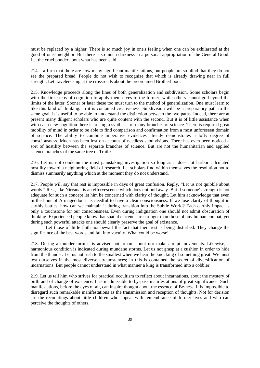must be replaced by a higher. There is so much joy in one's feeling when one can be exhilarated at the good of one's neighbor. But there is so much darkness in a personal appropriation of the General Good. Let the cruel ponder about what has been said.

214. I affirm that there are now many significant manifestations, but people are so blind that they do not see the prepared bread. People do not wish to recognize that which is already drawing near in full strength. Let travelers sing at the crossroads about the preordained Brotherhood.

215. Knowledge proceeds along the lines of both generalization and subdivision. Some scholars begin with the first steps of cognition to apply themselves to the former, while others cannot go beyond the limits of the latter. Sooner or later these too must turn to the method of generalization. One must learn to like this kind of thinking. In it is contained creativeness. Subdivision will be a preparatory path to the same goal. It is useful to be able to understand the distinction between the two paths. Indeed, there are at present many diligent scholars who are quite content with the second. But it is of little assistance when with each new cognition there is arising a synthesis of many branches of science. There is required great mobility of mind in order to be able to find comparison and confirmation from a most unforeseen domain of science. The ability to combine imperative evidences already demonstrates a lofty degree of consciousness. Much has been lost on account of needless subdivisions. There has even been noticed a sort of hostility between the separate branches of science. But are not the humanitarian and applied science branches of the same tree of Truth?

216. Let us not condemn the most painstaking investigation so long as it does not harbor calculated hostility toward a neighboring field of research. Let scholars find within themselves the resolution not to dismiss summarily anything which at the moment they do not understand.

217. People will say that rest is impossible in days of great confusion. Reply, "Let us not quibble about words." Rest, like Nirvana, is an effervescence which does not boil away. But if someone's strength is not adequate for such a concept let him be concerned with clarity of thought. Let him acknowledge that even in the hour of Armageddon it is needful to have a clear consciousness. If we lose clarity of thought in earthly battles, how can we maintain it during transition into the Subtle World? Each earthly impact is only a touchstone for our consciousness. Even during indignation one should not admit obscuration of thinking. Experienced people know that spatial currents are stronger than those of any human combat, yet during such powerful attacks one should clearly preserve the goal of existence.

Let those of little faith not bewail the fact that their rest is being disturbed. They change the significance of the best words and fall into vacuity. What could be worse!

218. During a thunderstorm it is advised not to run about nor make abrupt movements. Likewise, a harmonious condition is indicated during mundane storms. Let us not grasp at a cushion in order to hide from the thunder. Let us not rush to the smallest when we hear the knocking of something great. We must test ourselves in the most diverse circumstances; in this is contained the secret of diversification of incarnations. But people cannot understand in what manner a king is transformed into a cobbler.

219. Let us tell him who strives for practical occultism to reflect about incarnations, about the mystery of birth and of change of existence. It is inadmissible to by-pass manifestations of great significance. Such manifestations, before the eyes of all, can inspire thought about the essence of Be-ness. It is impossible to disregard such remarkable manifestations as the transmission and reception of thoughts. Not for derision are the recountings about little children who appear with remembrance of former lives and who can perceive the thoughts of others.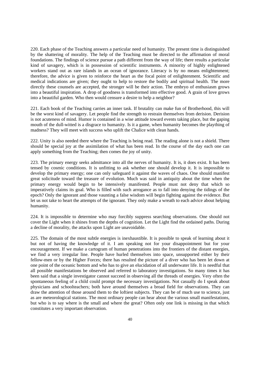220. Each phase of the Teaching answers a particular need of humanity. The present time is distinguished by the shattering of morality. The help of the Teaching must be directed to the affirmation of moral foundations. The findings of science pursue a path different from the way of life; there results a particular kind of savagery, which is in possession of scientific instruments. A minority of highly enlightened workers stand out as rare islands in an ocean of ignorance. Literacy is by no means enlightenment; therefore, the advice is given to reinforce the heart as the focal point of enlightenment. Scientific and medical indications are given; they ought to help to restore the bodily and spiritual health. The more directly these counsels are accepted, the stronger will be their action. The embryo of enthusiasm grows into a beautiful inspiration. A drop of goodness is transformed into effective good. A grain of love grows into a beautiful garden. Who then would censure a desire to help a neighbor?

221. Each book of the Teaching carries an inner task. If brutality can make fun of Brotherhood, this will be the worst kind of savagery. Let people find the strength to restrain themselves from derision. Derision is not acuteness of mind. Humor is contained in a wise attitude toward events taking place, but the gaping mouth of the dull-witted is a disgrace to humanity. Is it a game, when humanity becomes the plaything of madness? They will meet with success who uplift the Chalice with clean hands.

222. Unity is also needed there where the Teaching is being read. The reading alone is not a shield. There should be special joy at the assimilation of what has been read. In the course of the day each one can apply something from the Teaching; then comes the joy of unity.

223. The primary energy seeks admittance into all the nerves of humanity. It is, it does exist. It has been tensed by cosmic conditions. It is unfitting to ask whether one should develop it. It is impossible to develop the primary energy; one can only safeguard it against the waves of chaos. One should manifest great solicitude toward the treasure of evolution. Much was said in antiquity about the time when the primary energy would begin to be intensively manifested. People must not deny that which so imperatively claims its goal. Who is filled with such arrogance as to fall into denying the tidings of the epoch? Only the ignorant and those vaunting a false wisdom will begin fighting against the evidence. But let us not take to heart the attempts of the ignorant. They only make a wreath to each advice about helping humanity.

224. It is impossible to determine who may forcibly suppress searching observations. One should not cover the Light when it shines from the depths of cognition. Let the Light find the ordained paths. During a decline of morality, the attacks upon Light are unavoidable.

225. The domain of the most subtle energies is inexhaustible. It is possible to speak of learning about it but not of having the knowledge of it. I am speaking not for your disappointment but for your encouragement. If we make a cartogram of human penetrations into the frontiers of the distant energies, we find a very irregular line. People have hurled themselves into space, unsupported either by their fellow-men or by the Higher Forces; there has resulted the picture of a diver who has been let down at one point of the oceanic bottom and who has to give an elucidation of all underwater life. It is needful that all possible manifestations be observed and referred to laboratory investigations. So many times it has been said that a single investigator cannot succeed in observing all the threads of energies. Very often the spontaneous feeling of a child could prompt the necessary investigations. Not casually do I speak about physicians and schoolteachers; both have around themselves a broad field for observations. They can draw the attention of those around them to the loftiest subjects. They can be of much use to science, just as are meteorological stations. The most ordinary people can hear about the various small manifestations, but who is to say where is the small and where the great? Often only one link is missing in that which constitutes a very important observation.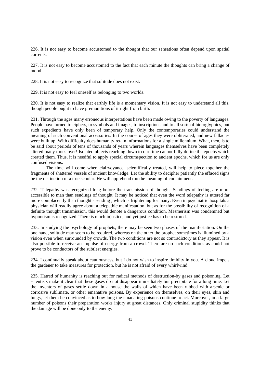226. It is not easy to become accustomed to the thought that our sensations often depend upon spatial currents.

227. It is not easy to become accustomed to the fact that each minute the thoughts can bring a change of mood.

228. It is not easy to recognize that solitude does not exist.

229. It is not easy to feel oneself as belonging to two worlds.

230. It is not easy to realize that earthly life is a momentary vision. It is not easy to understand all this, though people ought to have premonitions of it right from birth.

231. Through the ages many erroneous interpretations have been made owing to the poverty of languages. People have turned to ciphers, to symbols and images, to inscriptions and to all sorts of hieroglyphics, but such expedients have only been of temporary help. Only the contemporaries could understand the meaning of such conventional accessories. In the course of ages they were obliterated, and new fallacies were built up. With difficulty does humanity retain informations for a single millennium. What, then, is to be said about periods of tens of thousands of years wherein languages themselves have been completely altered many times over! Isolated objects reaching down to our time cannot fully define the epochs which created them. Thus, it is needful to apply special circumspection to ancient epochs, which for us are only confused visions.

 The time will come when clairvoyance, scientifically treated, will help to piece together the fragments of shattered vessels of ancient knowledge. Let the ability to decipher patiently the effaced signs be the distinction of a true scholar. He will apprehend too the meaning of containment.

232. Telepathy was recognized long before the transmission of thought. Sendings of feeling are more accessible to man than sendings of thought. It may be noticed that even the word telepathy is uttered far more complacently than thought - sending , which is frightening for many. Even in psychiatric hospitals a physician will readily agree about a telepathic manifestation, but as for the possibility of recognition of a definite thought transmission, this would denote a dangerous condition. Mesmerism was condemned but hypnotism is recognized. There is much injustice, and yet justice has to be restored.

233. In studying the psychology of prophets, there may be seen two phases of the manifestation. On the one hand, solitude may seem to be required, whereas on the other the prophet sometimes is illumined by a vision even when surrounded by crowds. The two conditions are not so contradictory as they appear. It is also possible to receive an impulse of energy from a crowd. There are no such conditions as could not prove to be conductors of the subtlest energies.

234. I continually speak about cautiousness, but I do not wish to inspire timidity in you. A cloud impels the gardener to take measures for protection, but he is not afraid of every whirlwind.

235. Hatred of humanity is reaching out for radical methods of destruction-by gases and poisoning. Let scientists make it clear that these gases do not disappear immediately but precipitate for a long time. Let the inventors of gases settle down in a house the walls of which have been rubbed with arsenic or corrosive sublimate, or other emanative poisons. By experience on themselves, on their eyes, skin and lungs, let them be convinced as to how long the emanating poisons continue to act. Moreover, in a large number of poisons their preparation works injury at great distances. Only criminal stupidity thinks that the damage will be done only to the enemy.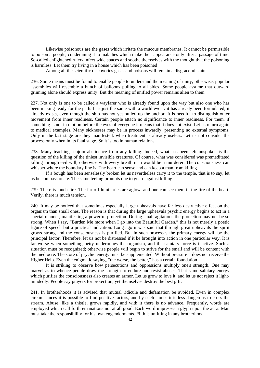Likewise poisonous are the gases which irritate the mucous membranes. It cannot be permissible to poison a people, condemning it to maladies which make their appearance only after a passage of time. So-called enlightened rulers infect wide spaces and soothe themselves with the thought that the poisoning is harmless. Let them try living in a house which has been poisoned!

Among all the scientific discoveries gases and poisons will remain a disgraceful stain.

236. Some means must be found to enable people to understand the meaning of unity; otherwise, popular assemblies will resemble a bunch of balloons pulling to all sides. Some people assume that outward grinning alone should express unity. But the meaning of unified power remains alien to them.

237. Not only is one to be called a wayfarer who is already found upon the way but also one who has been making ready for the path. It is just the same with a world event: it has already been formulated, it already exists, even though the ship has not yet pulled up the anchor. It is needful to distinguish outer movement from inner readiness. Certain people attach no significance to inner readiness. For them, if something is not in motion before the eyes of everyone it means that it does not exist. Let us return again to medical examples. Many sicknesses may be in process inwardly, presenting no external symptoms. Only in the last stage are they manifested, when treatment is already useless. Let us not consider the process only when in its fatal stage. So it is too in human relations.

238. Many teachings enjoin abstinence from any killing. Indeed, what has been left unspoken is the question of the killing of the tiniest invisible creatures. Of course, what was considered was premeditated killing through evil will; otherwise with every breath man would be a murderer. The consciousness can whisper where the boundary line is. The heart can sense and can keep a man from killing.

 If a bough has been senselessly broken let us nevertheless carry it to the temple, that is to say, let us be compassionate. The same feeling prompts one to guard against killing.

239. There is much fire. The far-off luminaries are aglow, and one can see them in the fire of the heart. Verily, there is much tension.

240. It may be noticed that sometimes especially large upheavals have far less destructive effect on the organism than small ones. The reason is that during the large upheavals psychic energy begins to act in a special manner, manifesting a powerful protection. During small agitations the protection may not be so strong. When I say, "Burden Me more when I go into the Beautiful Garden," this is not merely a poetic figure of speech but a practical indication. Long ago it was said that through great upheavals the spirit grows strong and the consciousness is purified. But in such processes the primary energy will be the principal factor. Therefore, let us not be distressed if it be brought into action in one particular way. It is far worse when something petty undermines the organism, and the salutary force is inactive. Such a situation must be recognized; otherwise people will begin to strive for the small and will be content with the mediocre. The store of psychic energy must be supplemented. Without pressure it does not receive the Higher Help. Even the enigmatic saying, "the worse, the better," has a certain foundation.

 It is striking to observe how persecutions and oppressions multiply one's strength. One may marvel as to whence people draw the strength to endure and resist abuses. That same salutary energy which purifies the consciousness also creates an armor. Let us grow to love it, and let us not reject it lightmindedly. People say prayers for protection, yet themselves destroy the best gift.

241. In brotherhoods it is advised that mutual ridicule and defamation be avoided. Even in complex circumstances it is possible to find positive factors, and by such stones it is less dangerous to cross the stream. Abuse, like a thistle, grows rapidly, and with it there is no advance. Frequently, words are employed which call forth emanations not at all good. Each word impresses a glyph upon the aura. Man must take the responsibility for his own engenderments. Filth is unfitting in any brotherhood.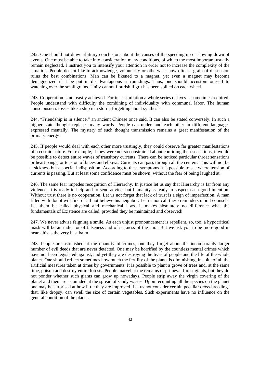242. One should not draw arbitrary conclusions about the causes of the speeding up or slowing down of events. One must be able to take into consideration many conditions, of which the most important usually remain neglected. I instruct you to intensify your attention in order not to increase the complexity of the situation. People do not like to acknowledge, voluntarily or otherwise, how often a grain of dissension ruins the best combinations. Man can be likened to a magnet, yet even a magnet may become demagnetized if it be put in disadvantageous surroundings. Thus, one should accustom oneself to watching over the small grains. Unity cannot flourish if grit has been spilled on each wheel.

243. Cooperation is not easily achieved. For its assimilation a whole series of lives is sometimes required. People understand with difficulty the combining of individuality with communal labor. The human consciousness tosses like a ship in a storm, forgetting about synthesis.

244. "Friendship is in silence," an ancient Chinese once said. It can also be stated conversely. In such a higher state thought replaces many words. People can understand each other in different languages expressed mentally. The mystery of such thought transmission remains a great manifestation of the primary energy.

245. If people would deal with each other more trustingly, they could observe far greater manifestations of a cosmic nature. For example, if they were not so constrained about confiding their sensations, it would be possible to detect entire waves of transitory currents. There can be noticed particular throat sensations or heart pangs, or tension of knees and elbows. Currents can pass through all the centers. This will not be a sickness but a special indisposition. According to these symptoms it is possible to see where tension of currents is passing. But at least some confidence must be shown, without the fear of being laughed at.

246. The same fear impedes recognition of Hierarchy. In justice let us say that Hierarchy is far from any violence. It is ready to help and to send advice, but humanity is ready to suspect each good intention. Without trust there is no cooperation. Let us not forget that lack of trust is a sign of imperfection. A man filled with doubt will first of all not believe his neighbor. Let us not call these reminders moral counsels. Let them be called physical and mechanical laws. It makes absolutely no difference what the fundamentals of Existence are called, provided they be maintained and observed!

247. We never advise feigning a smile. As each unjust pronouncement is repellent, so, too, a hypocritical mask will be an indicator of falseness and of sickness of the aura. But we ask you to be more good in heart-this is the very best balm.

248. People are astonished at the quantity of crimes, but they forget about the incomparably larger number of evil deeds that are never detected. One may be horrified by the countless mental crimes which have not been legislated against, and yet they are destroying the lives of people and the life of the whole planet. One should reflect sometimes how much the fertility of the planet is diminishing, in spite of all the artificial measures taken at times by governments. It is possible to plant a grove of trees and, at the same time, poison and destroy entire forests. People marvel at the remains of primeval forest giants, but they do not ponder whether such giants can grow up nowadays. People strip away the virgin covering of the planet and then are astounded at the spread of sandy wastes. Upon recounting all the species on the planet one may be surprised at how little they are improved. Let us not consider certain peculiar cross-breedings that, like dropsy, can swell the size of certain vegetables. Such experiments have no influence on the general condition of the planet.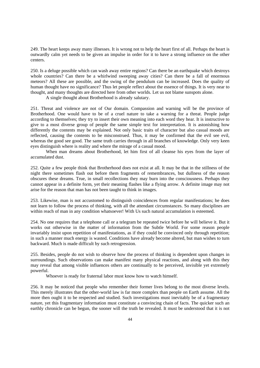249. The heart keeps away many illnesses. It is wrong not to help the heart first of all. Perhaps the heart is outwardly calm yet needs to be given an impulse in order for it to have a strong influence on the other centers.

250. Is a deluge possible which can wash away entire regions? Can there be an earthquake which destroys whole countries? Can there be a whirlwind sweeping away cities? Can there be a fall of enormous meteors? All these are possible, and the swing of the pendulum can be increased. Does the quality of human thought have no significance? Thus let people reflect about the essence of things. It is very near to thought, and many thoughts are directed here from other worlds. Let us not blame sunspots alone.

A single thought about Brotherhood is already salutary.

251. Threat and violence are not of Our domain. Compassion and warning will be the province of Brotherhood. One would have to be of a cruel nature to take a warning for a threat. People judge according to themselves; they try to insert their own meaning into each word they hear. It is instructive to give to a most diverse group of people the same simple text for interpretation. It is astonishing how differently the contents may be explained. Not only basic traits of character but also casual moods are reflected, causing the contents to be misconstrued. Thus, it may be confirmed that the evil see evil, whereas the good see good. The same truth carries through in all branches of knowledge. Only very keen eyes distinguish where is reality and where the mirage of a casual mood.

 When man dreams about Brotherhood, let him first of all cleanse his eyes from the layer of accumulated dust.

252. Quite a few people think that Brotherhood does not exist at all. It may be that in the stillness of the night there sometimes flash out before them fragments of remembrances, but dullness of the reason obscures these dreams. True, in small recollections they may burn into the consciousness. Perhaps they cannot appear in a definite form, yet their meaning flashes like a flying arrow. A definite image may not arise for the reason that man has not been taught to think in images.

253. Likewise, man is not accustomed to distinguish coincidences from regular manifestations; he does not learn to follow the process of thinking, with all the attendant circumstances. So many disciplines are within reach of man in any condition whatsoever! With Us such natural accumulation is esteemed.

254. No one requires that a telephone call or a telegram be repeated twice before he will believe it. But it works out otherwise in the matter of information from the Subtle World. For some reason people invariably insist upon repetition of manifestations, as if they could be convinced only through repetition; in such a manner much energy is wasted. Conditions have already become altered, but man wishes to turn backward. Much is made difficult by such retrogression.

255. Besides, people do not wish to observe how the process of thinking is dependent upon changes in surroundings. Such observations can make manifest many physical reactions, and along with this they may reveal that among visible influences others are continually to be perceived, invisible yet extremely powerful.

Whoever is ready for fraternal labor must know how to watch himself.

256. It may be noticed that people who remember their former lives belong to the most diverse levels. This merely illustrates that the other-world law is far more complex than people on Earth assume. All the more then ought it to be respected and studied. Such investigations must inevitably be of a fragmentary nature, yet this fragmentary information must constitute a convincing chain of facts. The quicker such an earthly chronicle can be begun, the sooner will the truth be revealed. It must be understood that it is not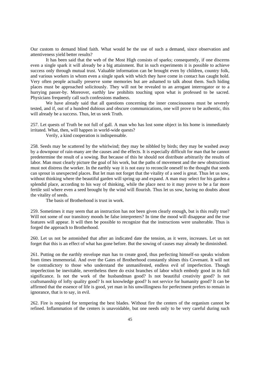Our custom to demand blind faith. What would be the use of such a demand, since observation and attentiveness yield better results?

 It has been said that the web of the Most High consists of sparks; consequently, if one discerns even a single spark it will already be a big attainment. But in such experiments it is possible to achieve success only through mutual trust. Valuable information can be brought even by children, country folk, and various workers in whom even a single spark with which they have come in contact has caught hold. Very often people actually preserve some memories but are ashamed to talk about them. Such hiding places must be approached solicitously. They will not be revealed to an arrogant interrogator or to a hurrying passer-by. Moreover, earthly law prohibits touching upon what is professed to be sacred. Physicians frequently call such confessions madness.

We have already said that all questions concerning the inner consciousness must be severely tested, and if, out of a hundred dubious and obscure communications, one will prove to be authentic, this will already be a success. Thus, let us seek Truth.

257. Let quests of Truth be not full of gall. A man who has lost some object in his home is immediately irritated. What, then, will happen in world-wide quests?

Verily, a kind cooperation is indispensable.

258. Seeds may be scattered by the whirlwind; they may be nibbled by birds; they may be washed away by a downpour of rain-many are the causes and the effects. It is especially difficult for man that he cannot predetermine the result of a sowing. But because of this he should not distribute arbitrarily the results of labor. Man must clearly picture the goal of his work, but the paths of movement and the new obstructions must not distress the worker. In the earthly way it is not easy to reconcile oneself to the thought that seeds can sprout in unexpected places. But let man not forget that the vitality of a seed is great. Thus let us sow, without thinking where the beautiful garden will spring up and expand. A man may select for his garden a splendid place, according to his way of thinking, while the place next to it may prove to be a far more fertile soil where even a seed brought by the wind will flourish. Thus let us sow, having no doubts about the vitality of seeds.

The basis of Brotherhood is trust in work.

259. Sometimes it may seem that an instruction has not been given clearly enough, but is this really true? Will not some of our transitory moods be false interpreters? In time the mood will disappear and the true features will appear. It will then be possible to recognize that the instructions were unalterable. Thus is forged the approach to Brotherhood.

260. Let us not be astonished that after an indicated date the tension, as it were, increases. Let us not forget that this is an effect of what has gone before. But the sowing of causes may already be diminished.

261. Putting on the earthly envelope man has to create good, thus perfecting himself-so speaks wisdom from times immemorial. And over the Gates of Brotherhood constantly shines this Covenant. It will not be contradictory to those who understand the unmanifested, endless evil of imperfection. Though imperfection be inevitable, nevertheless there do exist branches of labor which embody good in its full significance. Is not the work of the husbandman good? Is not beautiful creativity good? Is not craftsmanship of lofty quality good? Is not knowledge good? Is not service for humanity good? It can be affirmed that the essence of life is good, yet man in his unwillingness for perfectment prefers to remain in ignorance, that is to say, in evil.

262. Fire is required for tempering the best blades. Without fire the centers of the organism cannot be refined. Inflammation of the centers is unavoidable, but one needs only to be very careful during such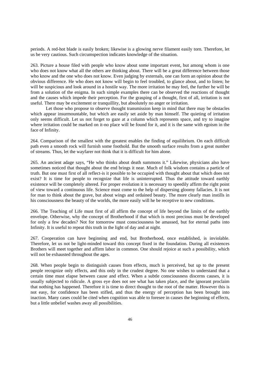periods. A red-hot blade is easily broken; likewise is a glowing nerve filament easily torn. Therefore, let us be very cautious. Such circumspection indicates knowledge of the situation.

263. Picture a house filed with people who know about some important event, but among whom is one who does not know what all the others are thinking about. There will be a great difference between those who know and the one who does not know. Even judging by externals, one can form an opinion about the obvious difference. He who does not know will begin to feel troubled, to glance about, and to listen; he will be suspicious and look around in a hostile way. The more irritation he may feel, the further he will be from a solution of the enigma. In such simple examples there can be observed the reactions of thought and the causes which impede their perception. For the grasping of a thought, first of all, irritation is not useful. There may be excitement or tranquillity, but absolutely no anger or irritation.

Let those who propose to observe thought transmission keep in mind that there may be obstacles which appear insurmountable, but which are easily set aside by man himself. The quieting of irritation only seems difficult. Let us not forget to gaze at a column which represents space, and try to imagine where irritation could be marked on it-no place will be found for it, and it is the same with egoism in the face of Infinity.

264. Comparison of the smallest with the greatest enables the finding of equilibrium. On each difficult path even a smooth rock will furnish some foothold. But the smooth surface results from a great number of streams. Thus, let the wayfarer not think that it is difficult for him alone.

265. An ancient adage says, "He who thinks about death summons it." Likewise, physicians also have sometimes noticed that thought about the end brings it near. Much of folk wisdom contains a particle of truth. But one must first of all reflect-is it possible to be occupied with thought about that which does not exist? It is time for people to recognize that life is uninterrupted. Thus the attitude toward earthly existence will be completely altered. For proper evolution it is necessary to speedily affirm the right point of view toward a continuous life. Science must come to the help of dispersing gloomy fallacies. It is not for man to think about the grave, but about wings and ordained beauty. The more clearly man instills in his consciousness the beauty of the worlds, the more easily will he be receptive to new conditions.

266. The Teaching of Life must first of all affirm the concept of life beyond the limits of the earthly envelope. Otherwise, why the concept of Brotherhood if that which is most precious must be developed for only a few decades? Not for tomorrow must consciousness be amassed, but for eternal paths into Infinity. It is useful to repeat this truth in the light of day and at night.

267. Cooperation can have beginning and end, but Brotherhood, once established, is inviolable. Therefore, let us not be light-minded toward this concept fixed in the foundation. During all existences Brothers will meet together and affirm labor in common. One should rejoice at such a possibility, which will not be exhausted throughout the ages.

268. When people begin to distinguish causes from effects, much is perceived, but up to the present people recognize only effects, and this only in the crudest degree. No one wishes to understand that a certain time must elapse between cause and effect. When a subtle consciousness discerns causes, it is usually subjected to ridicule. A gross eye does not see what has taken place, and the ignorant proclaim that nothing has happened. Therefore it is time to direct thought to the root of the matter. However this is not easy, for confidence has been stifled, and thus the energy of perception has been brought into inaction. Many cases could be cited when cognition was able to foresee in causes the beginning of effects, but a little unbelief washes away all possibilities.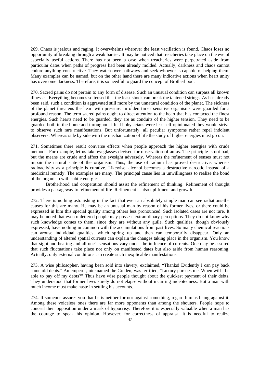269. Chaos is jealous and raging. It overwhelms wherever the least vacillation is found. Chaos loses no opportunity of breaking through a weak barrier. It may be noticed that treacheries take place on the eve of especially useful actions. There has not been a case when treacheries were perpetrated aside from particular dates when paths of progress had been already molded. Actually, darkness and chaos cannot endure anything constructive. They watch over pathways and seek whoever is capable of helping them. Many examples can be named, but on the other hand there are many indicative actions when heart unity has overcome darkness. Therefore, it is so needful to guard the concept of Brotherhood.

270. Sacred pains do not pertain to any form of disease. Such an unusual condition can surpass all known illnesses. Everything becomes so tensed that the least shock can break the tautened strings. As has already been said, such a condition is aggravated still more by the unnatural condition of the planet. The sickness of the planet threatens the heart with pressure. In olden times sensitive organisms were guarded for a profound reason. The term sacred pains ought to direct attention to the heart that has contacted the finest energies. Such hearts need to be guarded, they are as conduits of the higher tension. They need to be guarded both in the home and throughout life. If physicians were less self-opinionated they would strive to observe such rare manifestations. But unfortunately, all peculiar symptoms rather repel indolent observers. Whereas side by side with the mechanization of life the study of higher energies must go on.

271. Sometimes there result converse effects when people approach the higher energies with crude methods. For example, let us take eyeglasses devised for observation of auras. The principle is not bad, but the means are crude and affect the eyesight adversely. Whereas the refinement of senses must not impair the natural state of the organism. Thus, the use of radium has proved destructive, whereas radioactivity as a principle is curative. Likewise, alcohol becomes a destructive narcotic instead of a medicinal remedy. The examples are many. The principal cause lies in unwillingness to realize the bond of the organism with subtle energies.

 Brotherhood and cooperation should assist the refinement of thinking. Refinement of thought provides a passageway to refinement of life. Refinement is also upliftment and growth.

272. There is nothing astonishing in the fact that even an absolutely simple man can see radiations-the causes for this are many. He may be an unusual man by reason of his former lives, or there could be expressed in him this special quality among others less pronounced. Such isolated cases are not rare. It may be noted that even unlettered people may possess extraordinary perceptions. They do not know why such knowledge comes to them, since they are without any guile. Such qualities, though obviously expressed, have nothing in common with the accumulations from past lives. So many chemical reactions can arouse individual qualities, which spring up and then can temporarily disappear. Only an understanding of altered spatial currents can explain the changes taking place in the organism. You know that sight and hearing and all one's sensations vary under the influence of currents. One may be assured that such fluctuations take place not only on manifested dates but also aside from human reasoning. Actually, only external conditions can create such inexplicable manifestations.

273. A wise philosopher, having been sold into slavery, exclaimed, "Thanks! Evidently I can pay back some old debts." An emperor, nicknamed the Golden, was terrified, "Luxury pursues me. When will I be able to pay off my debts?" Thus have wise people thought about the quickest payment of their debts. They understood that former lives surely do not elapse without incurring indebtedness. But a man with much income must make haste in settling his accounts.

274. If someone assures you that he is neither for nor against something, regard him as being against it. Among these voiceless ones there are far more opponents than among the shouters. People hope to conceal their opposition under a mask of hypocrisy. Therefore it is especially valuable when a man has the courage to speak his opinion. However, for correctness of appraisal it is needful to realize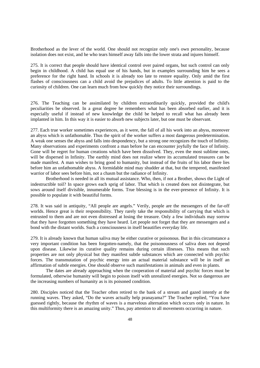Brotherhood as the lever of the world. One should not recognize only one's own personality, because isolation does not exist, and he who tears himself away falls into the lower strata and injures himself.

275. It is correct that people should have identical control over paired organs, but such control can only begin in childhood. A child has equal use of his hands, but in examples surrounding him he sees a preference for the right hand. In schools it is already too late to restore equality. Only amid the first flashes of consciousness can a child avoid the prejudices of adults. To little attention is paid to the curiosity of children. One can learn much from how quickly they notice their surroundings.

276. The Teaching can be assimilated by children extraordinarily quickly, provided the child's peculiarities be observed. In a great degree he remembers what has been absorbed earlier, and it is especially useful if instead of new knowledge the child be helped to recall what has already been implanted in him. In this way it is easier to absorb new subjects later, but one must be observant.

277. Each true worker sometimes experiences, as it were, the fall of all his work into an abyss, moreover an abyss which is unfathomable. Thus the spirit of the worker suffers a most dangerous predetermination. A weak one senses the abyss and falls into despondency, but a strong one recognizes the touch of Infinity. Many observations and experiments confront a man before he can encounter joyfully the face of Infinity. Gone will be regret for human creations which have been dissolved. They, even the most sublime ones, will be dispersed in Infinity. The earthly mind does not realize where its accumulated treasures can be made manifest. A man wishes to bring good to humanity, but instead of the fruits of his labor there lies before him an unfathomable abyss. A formidable mind may shudder at that, but the tempered, manifested warrior of labor sees before him, not a chasm but the radiance of Infinity.

 Brotherhood is needed in all its mutual assistance. Who, then, if not a Brother, shows the Light of indestructible toil? In space grows each sprig of labor. That which is created does not disintegrate, but sows around itself divisible, innumerable forms. True blessing is in the ever-presence of Infinity. It is possible to populate it with beautiful forms.

278. It was said in antiquity, "All people are angels." Verily, people are the messengers of the far-off worlds. Hence great is their responsibility. They rarely take the responsibility of carrying that which is entrusted to them and are not even distressed at losing the treasure. Only a few individuals may sorrow that they have forgotten something they have heard. Let people not forget that they are messengers and a bond with the distant worlds. Such a consciousness in itself beautifies everyday life.

279. It is already known that human saliva may be either curative or poisonous. But in this circumstance a very important condition has been forgotten-namely, that the poisonousness of saliva does not depend upon disease. Likewise its curative quality remains during certain illnesses. This means that such properties are not only physical but they manifest subtle substances which are connected with psychic forces. The transmutation of psychic energy into an actual material substance will be in itself an affirmation of subtle energies. One should observe such manifestations in animals and even in plants.

 The dates are already approaching when the cooperation of material and psychic forces must be formulated, otherwise humanity will begin to poison itself with unrealized energies. Not so dangerous are the increasing numbers of humanity as is its poisoned condition.

280. Disciples noticed that the Teacher often retired to the bank of a stream and gazed intently at the running waves. They asked, "Do the waves actually help pranayama?" The Teacher replied, "You have guessed rightly, because the rhythm of waves is a marvelous alternation which occurs only in nature. In this multiformity there is an amazing unity." Thus, pay attention to all movements occurring in nature.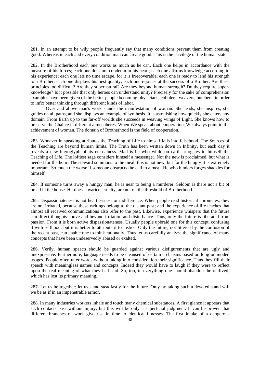281. In an attempt to be wily people frequently say that many conditions prevent them from creating good. Whereas in each and every condition man can create good. This is the privilege of the human state.

282. In the Brotherhood each one works as much as he can. Each one helps in accordance with the measure of his forces; each one does not condemn in his heart; each one affirms knowledge according to his experience; each one lets no time escape, for it is irrecoverable; each one is ready to lend his strength to a Brother; each one displays his best quality; each one rejoices at the success of a Brother. Are these principles too difficult? Are they supernatural? Are they beyond human strength? Do they require superknowledge? Is it possible that only heroes can understand unity? Precisely for the sake of comprehension examples have been given of the better people becoming physicians, cobblers, weavers, butchers, in order to infix better thinking through different kinds of labor.

 Over and above man's work stands the manifestation of woman. She leads, she inspires, she guides on all paths, and she displays an example of synthesis. It is astonishing how quickly she enters any domain. From Earth up to the far-off worlds she succeeds in weaving wings of Light. She knows how to preserve the Chalice in different atmospheres. When We speak about cooperation, We always point to the achievement of woman. The domain of Brotherhood is the field of cooperation.

283. Whoever in speaking attributes the Teaching of Life to himself falls into falsehood. The Sources of the Teaching are beyond human limits. The Truth has been written down in Infinity, but each day it reveals a new hieroglyph of its eternalness. Mad is he who while on earth arrogates to himself the Teaching of Life. The loftiest sage considers himself a messenger. Not the new is proclaimed, but what is needed for the hour. The steward summons to the meal; this is not new, but for the hungry it is extremely important. So much the worse if someone obstructs the call to a meal. He who hinders forges shackles for himself.

284. If someone turns away a hungry man, he is near to being a murderer. Seldom is there not a bit of bread in the house. Hardness, avarice, cruelty, are not on the threshold of Brotherhood.

285. Dispassionateness is not heartlessness or indifference. When people read historical chronicles, they are not irritated, because these writings belong to the distant past; and the experience of life teaches that almost all received communications also refer to the past. Likewise, experience whispers that the future can direct thoughts above and beyond irritation and disturbance. Thus, only the future is liberated from passion. From it is born active dispassionateness. Usually people upbraid one for this concept, confusing it with selfhood; but it is better to attribute it to justice. Only the future, not littered by the confusion of the recent past, can enable one to think rationally. Thus let us carefully analyze the significance of many concepts that have been undeservedly abased or exalted.

286. Verily, human speech should be guarded against various disfigurements that are ugly and unexpressive. Furthermore, language needs to be cleansed of certain archaisms based on long outmoded usages. People often utter words without taking into consideration their significance. Thus they fill their speech with meaningless names and concepts. Indeed they would have to laugh if they were to reflect upon the real meaning of what they had said. So, too, in everything one should abandon the outlived, which has lost its primary meaning.

287. Let us be together; let us stand steadfastly for the future. Only by taking such a devoted stand will we be as if in an impenetrable armor.

288. In many industries workers inhale and touch many chemical substances. A first glance it appears that such contacts pass without injury, but this will be only a superficial judgment. It can be proven that different branches of work give rise in time to identical illnesses. The first intake of a dangerous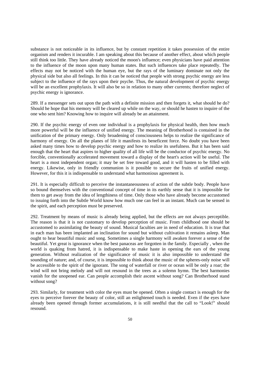substance is not noticeable in its influence, but by constant repetition it takes possession of the entire organism and renders it incurable. I am speaking about this because of another effect, about which people still think too little. They have already noticed the moon's influence; even physicians have paid attention to the influence of the moon upon many human states. But such influences take place repeatedly. The effects may not be noticed with the human eye, but the rays of the luminary dominate not only the physical side but also all feelings. In this it can be noticed that people with strong psychic energy are less subject to the influence of the rays upon their psyche. Thus, the natural development of psychic energy will be an excellent prophylaxis. It will also be so in relation to many other currents; therefore neglect of psychic energy is ignorance.

289. If a messenger sets out upon the path with a definite mission and then forgets it, what should he do? Should he hope that his memory will be cleared up while on the way, or should he hasten to inquire of the one who sent him? Knowing how to inquire will already be an attainment.

290. If the psychic energy of even one individual is a prophylaxis for physical health, then how much more powerful will be the influence of unified energy. The meaning of Brotherhood is contained in the unification of the primary energy. Only broadening of consciousness helps to realize the significance of harmony of energy. On all the planes of life it manifests its beneficent force. No doubt you have been asked many times how to develop psychic energy and how to realize its usefulness. But it has been said enough that the heart that aspires to higher quality of all life will be the conductor of psychic energy. No forcible, conventionally accelerated movement toward a display of the heart's action will be useful. The heart is a most independent organ; it may be set free toward good, and it will hasten to be filled with energy. Likewise, only in friendly communion is it possible to secure the fruits of unified energy. However, for this it is indispensable to understand what harmonious agreement is.

291. It is especially difficult to perceive the instantaneousness of action of the subtle body. People have so bound themselves with the conventional concept of time in its earthly sense that it is impossible for them to get away from the idea of lengthiness of time. Only those who have already become accustomed to issuing forth into the Subtle World know how much one can feel in an instant. Much can be sensed in the spirit, and each perception must be preserved.

292. Treatment by means of music is already being applied, but the effects are not always perceptible. The reason is that it is not customary to develop perception of music. From childhood one should be accustomed to assimilating the beauty of sound. Musical faculties are in need of education. It is true that in each man has been implanted an inclination for sound but without cultivation it remains asleep. Man ought to hear beautiful music and song. Sometimes a single harmony will awaken forever a sense of the beautiful. Yet great is ignorance when the best panaceas are forgotten in the family. Especially , when the world is quaking from hatred, it is indispensable to make haste in opening the ears of the young generation. Without realization of the significance of music it is also impossible to understand the sounding of nature; and, of course, it is impossible to think about the music of the spheres-only noise will be accessible to the spirit of the ignorant. The song of waterfall or river or ocean will be only a roar; the wind will not bring melody and will not resound in the trees as a solemn hymn. The best harmonies vanish for the unopened ear. Can people accomplish their ascent without song? Can Brotherhood stand without song?

293. Similarly, for treatment with color the eyes must be opened. Often a single contact is enough for the eyes to perceive forever the beauty of color, still an enlightened touch is needed. Even if the eyes have already been opened through former accumulations, it is still needful that the call to "Look!" should resound.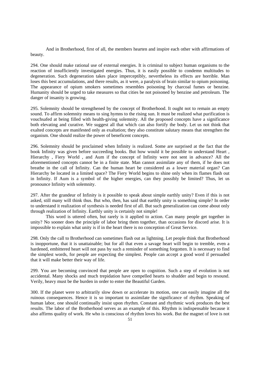And in Brotherhood, first of all, the members hearten and inspire each other with affirmations of beauty.

294. One should make rational use of external energies. It is criminal to subject human organisms to the reaction of insufficiently investigated energies. Thus, it is easily possible to condemn multitudes to degeneration. Such degeneration takes place imperceptibly, nevertheless its effects are horrible. Man loses this best accumulations, and there results, as it were, a paralysis of brain similar to opium poisoning. The appearance of opium smokers sometimes resembles poisoning by charcoal fumes or benzine. Humanity should be urged to take measures so that cities be not poisoned by benzine and petroleum. The danger of insanity is growing.

295. Solemnity should be strengthened by the concept of Brotherhood. It ought not to remain an empty sound. To affirm solemnity means to sing hymns to the rising sun. It must be realized what purification is vouchsafed at being filled with health-giving solemnity. All the proposed concepts have a significance both elevating and curative. We suggest all that which can also fortify the body. Let us not think that exalted concepts are manifested only as exaltation; they also constitute salutary means that strengthen the organism. One should realize the power of beneficent concepts.

296. Solemnity should be proclaimed when Infinity is realized. Some are surprised at the fact that the book Infinity was given before succeeding books. But how would it be possible to understand Heart , Hierarchy , Fiery World , and Aum if the concept of Infinity were not sent in advance? All the aforementioned concepts cannot be in a finite state. Man cannot assimilate any of them, if he does not breathe in the call of Infinity. Can the human heart be considered as a lower material organ? Can Hierarchy be located in a limited space? The Fiery World begins to shine only when its flames flash out in Infinity. If Aum is a symbol of the higher energies, can they possibly be limited? Thus, let us pronounce Infinity with solemnity.

297. After the grandeur of Infinity is it possible to speak about simple earthly unity? Even if this is not asked, still many will think thus. But who, then, has said that earthly unity is something simple? In order to understand it realization of synthesis is needed first of all. But such generalization can come about only through realization of Infinity. Earthly unity is certainly not simple!

 This word is uttered often, but rarely is it applied to action. Can many people get together in unity? No sooner does the principle of labor bring them together, than occasions for discord arise. It is impossible to explain what unity is if in the heart there is no conception of Great Service.

298. Only the call to Brotherhood can sometimes flash out as lightning. Let people think that Brotherhood is inopportune, that it is unattainable; but for all that even a savage heart will begin to tremble, even a hardened, embittered heart will not pass by such a reminder of something forgotten. It is necessary to find the simplest words, for people are expecting the simplest. People can accept a good word if persuaded that it will make better their way of life.

299. You are becoming convinced that people are open to cognition. Such a step of evolution is not accidental. Many shocks and much trepidation have compelled hearts to shudder and begin to resound. Verily, heavy must be the burden in order to enter the Beautiful Garden.

300. If the planet were to arbitrarily slow down or accelerate its motion, one can easily imagine all the ruinous consequences. Hence it is so important to assimilate the significance of rhythm. Speaking of human labor, one should continually insist upon rhythm. Constant and rhythmic work produces the best results. The labor of the Brotherhood serves as an example of this. Rhythm is indispensable because it also affirms quality of work. He who is conscious of rhythm loves his work. But the magnet of love is not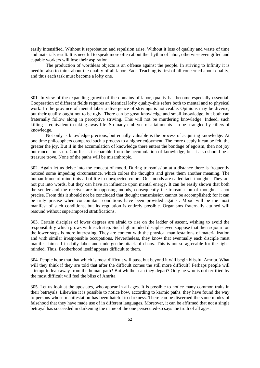easily intensified. Without it reprobation and repulsion arise. Without it loss of quality and waste of time and materials result. It is needful to speak more often about the rhythm of labor, otherwise even gifted and capable workers will lose their aspiration.

 The production of worthless objects is an offense against the people. In striving to Infinity it is needful also to think about the quality of all labor. Each Teaching is first of all concerned about quality, and thus each task must become a lofty one.

301. In view of the expanding growth of the domains of labor, quality has become especially essential. Cooperation of different fields requires an identical lofty quality-this refers both to mental and to physical work. In the province of mental labor a divergence of strivings is noticeable. Opinions may be diverse, but their quality ought not to be ugly. There can be great knowledge and small knowledge, but both can fraternally follow along in perceptive striving. This will not be murdering knowledge. Indeed, such killing is equivalent to taking away life. So many embryos of attainments can be strangled by killers of knowledge.

 Not only is knowledge precious, but equally valuable is the process of acquiring knowledge. At one time philosophers compared such a process to a higher enjoyment. The more deeply it can be felt, the greater the joy. But if in the accumulation of knowledge there enters the bondage of egoism, then not joy but rancor boils up. Conflict is inseparable from the accumulation of knowledge, but it also should be a treasure trove. None of the paths will be misanthropic.

302. Again let us delve into the concept of mood. During transmission at a distance there is frequently noticed some impeding circumstance, which colors the thoughts and gives them another meaning. The human frame of mind tints all of life in unexpected colors. Our moods are called tacit thoughts. They are not put into words, but they can have an influence upon mental energy. It can be easily shown that both the sender and the receiver are in opposing moods, consequently the transmission of thoughts is not precise. From this it should not be concluded that thought transmission cannot be accomplished; for it can be truly precise when concomitant conditions have been provided against. Mood will be the most manifest of such conditions, but its regulation is entirely possible. Organisms fraternally attuned will resound without superimposed stratifications.

303. Certain disciples of lower degrees are afraid to rise on the ladder of ascent, wishing to avoid the responsibility which grows with each step. Such lightminded disciples even suppose that their sojourn on the lower steps is more interesting. They are content with the physical manifestations of materialization and with similar irresponsible occupations. Nevertheless, they know that eventually each disciple must manifest himself in daily labor and undergo the attack of chaos. This is not so agreeable for the lightminded. Thus, Brotherhood itself appears difficult to them.

304. People hope that that which is most difficult will pass, but beyond it will begin blissful Amrita. What will they think if they are told that after the difficult comes the still more difficult? Perhaps people will attempt to leap away from the human path? But whither can they depart? Only he who is not terrified by the most difficult will feel the bliss of Amrita.

305. Let us look at the apostates, who appear in all ages. It is possible to notice many common traits in their betrayals. Likewise it is possible to notice how, according to karmic paths, they have found the way to persons whose manifestation has been hateful to darkness. There can be discerned the same modes of falsehood that they have made use of in different languages. Moreover, it can be affirmed that not a single betrayal has succeeded in darkening the name of the one persecuted-so says the truth of all ages.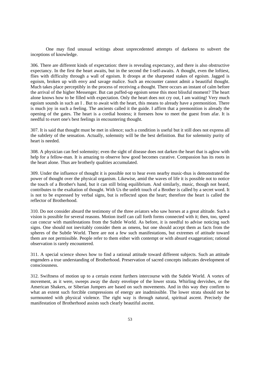One may find unusual writings about unprecedented attempts of darkness to subvert the inceptions of knowledge.

306. There are different kinds of expectation: there is revealing expectancy, and there is also obstructive expectancy. In the first the heart awaits, but in the second the I-self-awaits. A thought, even the loftiest, flies with difficulty through a wall of egoism. It droops at the sharpened stakes of egoism. Jagged is egoism, broken up with envy and savage malice. Such an encounter cannot admit a beautiful thought. Much takes place perceptibly in the process of receiving a thought. There occurs an instant of calm before the arrival of the higher Messenger. But can puffed-up egoism sense this most blissful moment? The heart alone knows how to be filled with expectation. Only the heart does not cry out, I am waiting! Very much egoism sounds in such an I . But to await with the heart, this means to already have a premonition. There is much joy in such a feeling. The ancients called it the guide. I affirm that a premonition is already the opening of the gates. The heart is a cordial hostess; it foresees how to meet the guest from afar. It is needful to exert one's best feelings in encountering thought.

307. It is said that thought must be met in silence; such a condition is useful but it still does not express all the subtlety of the sensation. Actually, solemnity will be the best definition. But for solemnity purity of heart is needed.

308. A physician can feel solemnity; even the sight of disease does not darken the heart that is aglow with help for a fellow-man. It is amazing to observe how good becomes curative. Compassion has its roots in the heart alone. Thus are brotherly qualities accumulated.

309. Under the influence of thought it is possible not to hear even nearby music-thus is demonstrated the power of thought over the physical organism. Likewise, amid the waves of life it is possible not to notice the touch of a Brother's hand, but it can still bring equilibrium. And similarly, music, though not heard, contributes to the exaltation of thought. With Us the unfelt touch of a Brother is called by a secret word. It is not to be expressed by verbal signs, but is reflected upon the heart; therefore the heart is called the reflector of Brotherhood.

310. Do not consider absurd the testimony of the three aviators who saw horses at a great altitude. Such a vision is possible for several reasons. Motion itself can call forth forms connected with it; then, too, speed can concur with manifestations from the Subtle World. As before, it is needful to advise noticing such signs. One should not inevitably consider them as omens, but one should accept them as facts from the spheres of the Subtle World. There are not a few such manifestations, but extremes of attitude toward them are not permissible. People refer to them either with contempt or with absurd exaggeration; rational observation is rarely encountered.

311. A special science shows how to find a rational attitude toward different subjects. Such an attitude engenders a true understanding of Brotherhood. Preservation of sacred concepts indicates development of consciousness.

312. Swiftness of motion up to a certain extent furthers intercourse with the Subtle World. A vortex of movement, as it were, sweeps away the dusty envelope of the lower strata. Whirling dervishes, or the American Shakers, or Siberian Jumpers are based on such movements. And in this way they confirm to what an extent such forcible compressions of energy are inadmissible. The lower strata should not be surmounted with physical violence. The right way is through natural, spiritual ascent. Precisely the manifestation of Brotherhood assists such clearly beautiful ascent.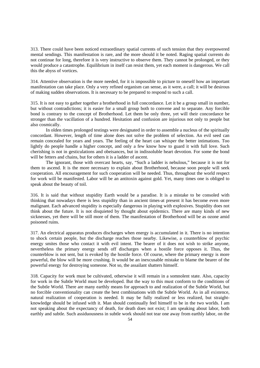313. There could have been noticed extraordinary spatial currents of such tension that they overpowered mental sendings. This manifestation is rare, and the more should it be noted. Raging spatial currents do not continue for long, therefore it is very instructive to observe them. They cannot be prolonged, or they would produce a catastrophe. Equilibrium in itself can resist them, yet each moment is dangerous. We call this the abyss of vortices.

314. Attentive observation is the more needed, for it is impossible to picture to oneself how an important manifestation can take place. Only a very refined organism can sense, as it were, a call; it will be desirous of making sudden observations. It is necessary to be prepared to respond to such a call.

315. It is not easy to gather together a brotherhood in full concordance. Let it be a group small in number, but without contradictions; it is easier for a small group both to convene and to separate. Any forcible bond is contrary to the concept of Brotherhood. Let them be only three, yet will their concordance be stronger than the vacillation of a hundred. Hesitation and confusion are injurious not only to people but also cosmically.

 In olden times prolonged testings were designated in order to assemble a nucleus of the spiritually concordant. However, length of time alone does not solve the problem of selection. An evil seed can remain concealed for years and years. The feeling of the heart can whisper the better intimations. Too lightly do people handle a higher concept, and only a few know how to guard it with full love. Such cherishing is not in gesticulations and obeisances, but in indissoluble heart devotion. For some the bond will be fetters and chains, but for others it is a ladder of ascent.

 The ignorant, those with overcast hearts, say, "Such a ladder is nebulous," because it is not for them to ascend. It is the more necessary to explain about Brotherhood, because soon people will seek cooperation. All encouragement for such cooperation will be needed. Thus, throughout the world respect for work will be manifested. Labor will be an antitoxin against gold. Yet, many times one is obliged to speak about the beauty of toil.

316. It is said that without stupidity Earth would be a paradise. It is a mistake to be consoled with thinking that nowadays there is less stupidity than in ancient times-at present it has become even more malignant. Each advanced stupidity is especially dangerous in playing with explosives. Stupidity does not think about the future. It is not disquieted by thought about epidemics. There are many kinds of new sicknesses, yet there will be still more of them. The manifestation of Brotherhood will be as ozone amid poisoned ruins.

317. An electrical apparatus produces discharges when energy is accumulated in it. There is no intention to shock certain people, but the discharge reaches those nearby. Likewise, a counterblow of psychic energy smites those who contact it with evil intent. The bearer of it does not wish to strike anyone, nevertheless the primary energy sends off discharges when a hostile force opposes it. Thus, the counterblow is not sent, but is evoked by the hostile force. Of course, where the primary energy is more powerful, the blow will be more crushing. It would be an inexcusable mistake to blame the bearer of the powerful energy for destroying someone. Not so, the assailant shatters himself.

318. Capacity for work must be cultivated, otherwise it will remain in a somnolent state. Also, capacity for work in the Subtle World must be developed. But the way to this must conform to the conditions of the Subtle World. There are many earthly means for approach to and realization of the Subtle World, but no forcible conventionality can create the best combinations with the Subtle World. As in all existence, natural realization of cooperation is needed. It may be fully realized or less realized, but straightknowledge should be infused with it. Man should continually feel himself to be in the two worlds. I am not speaking about the expectancy of death, for death does not exist; I am speaking about labor, both earthly and subtle. Such assiduousness in subtle work should not tear one away from earthly labor, on the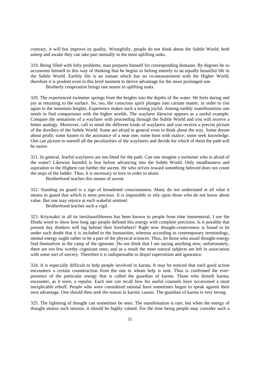contrary, it will but improve its quality. Wrongfully, people do not think about the Subtle World; both asleep and awake they can take part mentally in the most uplifting tasks.

319. Being filled with lofty problems, man prepares himself for corresponding domains. By degrees he so accustoms himself to this way of thinking that he begins to belong entirely to an equally beautiful life in the Subtle World. Earthly life is an instant which has no co-measurement with the Higher World, therefore it is prudent even in this brief moment to derive advantage for the more prolonged one.

Brotherly cooperation brings one nearer to uplifting tasks.

320. The experienced swimmer springs from the heights into the depths of the water. He feels daring and joy at returning to the surface. So, too, the conscious spirit plunges into carnate matter, in order to rise again to the mountain heights. Experience makes such a testing joyful. Among earthly manifestations one needs to find comparisons with the higher worlds. The wayfarer likewise appears as a useful example. Compare the sensations of a wayfarer with proceeding through the Subtle World and you will receive a better analogy. Moreover, call to mind the different kinds of wayfarers and you receive a precise picture of the dwellers of the Subtle World. Some are afraid in general even to think about the way. Some dream about profit; some hasten to the assistance of a near one; some burn with malice; some seek knowledge. One can picture to oneself all the peculiarities of the wayfarers and decide for which of them the path will be easier.

321. In general, fearful wayfarers are not fitted for the path. Can one imagine a swimmer who is afraid of the water? Likewise harmful is fear before advancing into the Subtle World. Only steadfastness and aspiration to the Highest can further the ascent. He who strives toward something beloved does not count the steps of the ladder. Thus, it is necessary to love in order to attain.

Brotherhood teaches this means of ascent.

322. Standing on guard is a sign of broadened consciousness. Many do not understand at all what it means to guard that which is most precious. It is impossible to rely upon those who do not know about value. But one may rejoice at each wakeful sentinel.

Brotherhood teaches such a vigil.

323. Kriyasakti in all its inexhaustibleness has been known to people from time immemorial. I use the Hindu word to show how long ago people defined this energy with complete precision. Is it possible that present day thinkers will lag behind their forefathers? Right now thought-creativeness is found to be under such doubt that it is included in the humanities, whereas according to contemporary terminology, mental energy ought rather to be a part of the physical sciences. Thus, let those who assail thought-energy find themselves in the camp of the ignorant. Do not think that I am saying anything new; unfortunately, there are too few worthy cognizant ones, and as a result the most natural subjects are left in association with some sort of sorcery. Therefore it is indispensable to dispel superstition and ignorance.

324. It is especially difficult to help people involved in karma. It may be noticed that each good action encounters a certain counteraction from the one to whom help is sent. Thus is confirmed the everpresence of the particular energy that is called the guardian of karma. Those who disturb karma, encounter, as it were, a repulse. Each one can recall how his useful counsels have occasioned a most inexplicable rebuff. People who were considered rational have sometimes begun to speak against their own advantage. One should then seek the reason in karmic causes. The guardian of karma is very strong.

325. The lightning of thought can sometimes be seen. The manifestation is rare, but when the energy of thought attains such tension, it should be highly valued. For the time being people may consider such a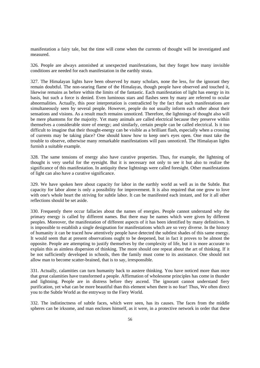manifestation a fairy tale, but the time will come when the currents of thought will be investigated and measured.

326. People are always astonished at unexpected manifestations, but they forget how many invisible conditions are needed for each manifestation in the earthly strata.

327. The Himalayan lights have been observed by many scholars, none the less, for the ignorant they remain doubtful. The non-searing flame of the Himalayas, though people have observed and touched it, likewise remains as before within the limits of the fantastic. Each manifestation of light has energy in its basis, but such a force is denied. Even luminous stars and flashes seen by many are referred to ocular abnormalities. Actually, this poor interpretation is contradicted by the fact that such manifestations are simultaneously seen by several people. However, people do not usually inform each other about their sensations and visions. As a result much remains unnoticed. Therefore, the lightnings of thought also will be mere phantoms for the majority. Yet many animals are called electrical because they preserve within themselves a considerable store of energy; and similarly, certain people can be called electrical. Is it too difficult to imagine that their thought-energy can be visible as a brilliant flash, especially when a crossing of currents may be taking place? One should know how to keep one's eyes open. One must take the trouble to observe, otherwise many remarkable manifestations will pass unnoticed. The Himalayan lights furnish a suitable example.

328. The same tensions of energy also have curative properties. Thus, for example, the lightning of thought is very useful for the eyesight. But it is necessary not only to see it but also to realize the significance of this manifestation. In antiquity these lightnings were called foresight. Other manifestations of light can also have a curative significance.

329. We have spoken here about capacity for labor in the earthly world as well as in the Subtle. But capacity for labor alone is only a possibility for improvement. It is also required that one grow to love with one's whole heart the striving for subtle labor. It can be manifested each instant, and for it all other reflections should be set aside.

330. Frequently there occur fallacies about the names of energies. People cannot understand why the primary energy is called by different names. But there may be names which were given by different peoples. Moreover, the manifestation of different aspects of it has been identified by many definitives. It is impossible to establish a single designation for manifestations which are so very diverse. In the history of humanity it can be traced how attentively people have detected the subtlest shades of this same energy. It would seem that at present observations ought to be deepened, but in fact it proves to be almost the opposite. People are attempting to justify themselves by the complexity of life, but it is more accurate to explain this as aimless dispersion of thinking. The more should one repeat about the art of thinking. If it be not sufficiently developed in schools, then the family must come to its assistance. One should not allow man to become scatter-brained, that is to say, irresponsible.

331. Actually, calamities can turn humanity back to austere thinking. You have noticed more than once that great calamities have transformed a people. Affirmation of wholesome principles has come in thunder and lightning. People are in distress before they ascend. The ignorant cannot understand fiery purification, yet what can be more beautiful than this element when there is no fear! Thus, We often direct you to the Subtle World as the entryway to the Fiery World.

332. The indistinctness of subtle faces, which were seen, has its causes. The faces from the middle spheres can be irksome, and man encloses himself, as it were, in a protective network in order that these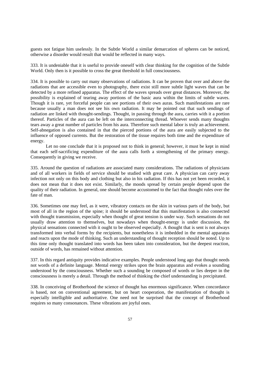guests not fatigue him uselessly. In the Subtle World a similar demarcation of spheres can be noticed, otherwise a disorder would result that would be reflected in many ways.

333. It is undeniable that it is useful to provide oneself with clear thinking for the cognition of the Subtle World. Only then is it possible to cross the great threshold in full consciousness.

334. It is possible to carry out many observations of radiations. It can be proven that over and above the radiations that are accessible even to photography, there exist still more subtle light waves that can be detected by a more refined apparatus. The effect of the waves spreads over great distances. Moreover, the possibility is explained of tearing away portions of the basic aura within the limits of subtle waves. Though it is rare, yet forceful people can see portions of their own auras. Such manifestations are rare because usually a man does not see his own radiation. It may be pointed out that such sendings of radiation are linked with thought-sendings. Thought, in passing through the aura, carries with it a portion thereof. Particles of the aura can be left on the interconnecting thread. Whoever sends many thoughts tears away a great number of particles from his aura. Therefore such mental labor is truly an achievement. Self-abnegation is also contained in that the pierced portions of the aura are easily subjected to the influence of opposed currents. But the restoration of the tissue requires both time and the expenditure of energy.

Let no one conclude that it is proposed not to think in general; however, it must be kept in mind that each self-sacrificing expenditure of the aura calls forth a strengthening of the primary energy. Consequently in giving we receive.

335. Around the question of radiations are associated many considerations. The radiations of physicians and of all workers in fields of service should be studied with great care. A physician can carry away infection not only on this body and clothing but also in his radiation. If this has not yet been recorded, it does not mean that it does not exist. Similarly, the moods spread by certain people depend upon the quality of their radiation. In general, one should become accustomed to the fact that thought rules over the fate of man.

336. Sometimes one may feel, as it were, vibratory contacts on the skin in various parts of the body, but most of all in the region of the spine; it should be understood that this manifestation is also connected with thought transmission, especially when thought of great tension is under way. Such sensations do not usually draw attention to themselves, but nowadays when thought-energy is under discussion, the physical sensations connected with it ought to be observed especially. A thought that is sent is not always transformed into verbal forms by the recipients, but nonetheless it is imbedded in the mental apparatus and reacts upon the mode of thinking. Such an understanding of thought reception should be noted. Up to this time only thought translated into words has been taken into consideration, but the deepest reaction, outside of words, has remained without attention.

337. In this regard antiquity provides indicative examples. People understood long ago that thought needs not words of a definite language. Mental energy strikes upon the brain apparatus and evokes a sounding understood by the consciousness. Whether such a sounding be composed of words or lies deeper in the consciousness is merely a detail. Through the method of thinking the chief understanding is precipitated.

338. In conceiving of Brotherhood the science of thought has enormous significance. When concordance is based, not on conventional agreement, but on heart cooperation, the manifestation of thought is especially intelligible and authoritative. One need not be surprised that the concept of Brotherhood requires so many consonances. These vibrations are joyful ones.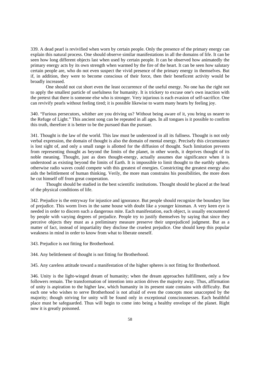339. A dead pearl is revivified when worn by certain people. Only the presence of the primary energy can explain this natural process. One should observe similar manifestations in all the domains of life. It can be seen how long different objects last when used by certain people. It can be observed how animatedly the primary energy acts by its own strength when warmed by the fire of the heart. It can be seen how salutary certain people are, who do not even suspect the vivid presence of the primary energy in themselves. But if, in addition, they were to become conscious of their force, then their beneficent activity would be broadly increased.

 One should not cut short even the least occurrence of the useful energy. No one has the right not to apply the smallest particle of usefulness for humanity. It is trickery to excuse one's own inaction with the pretext that there is someone else who is stronger. Very injurious is each evasion of self-sacrifice. One can revivify pearls without feeling tired; it is possible likewise to warm many hearts by feeling joy.

340. "Furious persecutors, whither are you driving us? Without being aware of it, you bring us nearer to the Refuge of Light." This ancient song can be repeated in all ages. In all tongues is it possible to confirm this truth, therefore it is better to be the pursued than the pursuer.

341. Thought is the law of the world. This law must be understood in all its fullness. Thought is not only verbal expression, the domain of thought is also the domain of mental energy. Precisely this circumstance is lost sight of, and only a small range is allotted for the diffusion of thought. Such limitation prevents from representing thought as beyond the limits of the planet, in other words, it deprives thought of its noble meaning. Thought, just as does thought-energy, actually assumes due significance when it is understood as existing beyond the limits of Earth. It is impossible to limit thought to the earthly sphere, otherwise radio waves could compete with this greatest of energies. Constricting the greatest energy also aids the belittlement of human thinking. Verily, the more man constrains his possibilities, the more does he cut himself off from great cooperation.

 Thought should be studied in the best scientific institutions. Thought should be placed at the head of the physical conditions of life.

342. Prejudice is the entryway for injustice and ignorance. But people should recognize the boundary line of prejudice. This worm lives in the same house with doubt like a younger kinsman. A very keen eye is needed in order to discern such a dangerous mite. Each manifestation, each object, is usually encountered by people with varying degrees of prejudice. People try to justify themselves by saying that since they perceive objects they must as a preliminary measure preserve their unprejudiced judgment. But as a matter of fact, instead of impartiality they disclose the cruelest prejudice. One should keep this popular weakness in mind in order to know from what to liberate oneself.

343. Prejudice is not fitting for Brotherhood.

344. Any belittlement of thought is not fitting for Brotherhood.

345. Any careless attitude toward a manifestation of the higher spheres is not fitting for Brotherhood.

346. Unity is the light-winged dream of humanity; when the dream approaches fulfillment, only a few followers remain. The transformation of intention into action drives the majority away. Thus, affirmation of unity is aspiration to the higher law, which humanity in its present state contains with difficulty. But each one who wishes to serve Brotherhood is not afraid of even the concepts most unaccepted by the majority; though striving for unity will be found only in exceptional consciousnesses. Each healthful place must be safeguarded. Thus will begin to come into being a healthy envelope of the planet. Right now it is greatly poisoned.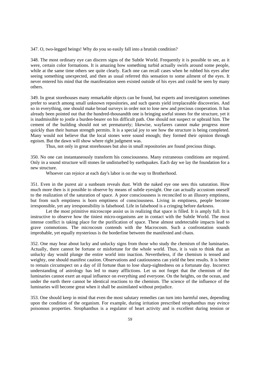347. O, two-legged beings! Why do you so easily fall into a brutish condition?

348. The most ordinary eye can discern signs of the Subtle World. Frequently it is possible to see, as it were, certain color formations. It is amazing how something turbid actually swirls around some people, while at the same time others see quite clearly. Each one can recall cases when he rubbed his eyes after seeing something unexpected, and then as usual referred this sensation to some ailment of the eyes. It never entered his mind that the manifestation seen existed outside of his eyes and could be seen by many others.

349. In great storehouses many remarkable objects can be found, but experts and investigators sometimes prefer to search among small unknown repositories, and such quests yield irreplaceable discoveries. And so in everything, one should make broad surveys in order not to lose new and precious cooperation. It has already been pointed out that the hundred-thousandth one is bringing useful stones for the structure, yet it is inadmissible to jostle a burden-bearer on his difficult path. One should not suspect or upbraid him. The cement of the building should not set prematurely; likewise, wayfarers cannot make progress more quickly than their human strength permits. It is a special joy to see how the structure is being completed. Many would not believe that the local stones were sound enough; they formed their opinion through egoism. But the dawn will show where right judgment was.

Thus, not only in great storehouses but also in small repositories are found precious things.

350. No one can instantaneously transform his consciousness. Many extraneous conditions are required. Only in a sound structure will stones lie undisturbed by earthquakes. Each day we lay the foundation for a new structure.

Whoever can rejoice at each day's labor is on the way to Brotherhood.

351. Even in the purest air a sunbeam reveals dust. With the naked eye one sees this saturation. How much more then is it possible to observe by means of subtle eyesight. One can actually accustom oneself to the realization of the saturation of space. A poor consciousness is reconciled to an illusory emptiness, but from such emptiness is born emptiness of consciousness. Living in emptiness, people become irresponsible, yet any irresponsibility is falsehood. Life in falsehood is a cringing before darkness.

 Let the most primitive microscope assist us in realizing that space is filled. It is amply full. It is instructive to observe how the tiniest micro-organisms are in contact with the Subtle World. The most intense conflict is taking place for the purification of space. These almost undetectable impacts lead to grave commotions. The microcosm contends with the Macrocosm. Such a confrontation sounds improbable, yet equally mysterious is the borderline between the manifested and chaos.

352. One may hear about lucky and unlucky signs from those who study the chemism of the luminaries. Actually, there cannot be fortune or misfortune for the whole world. Thus, it is vain to think that an unlucky day would plunge the entire world into inaction. Nevertheless, if the chemism is tensed and weighty, one should manifest caution. Observations and cautiousness can yield the best results. It is better to remain circumspect on a day of ill fortune than to lose sharp-sightedness on a fortunate day. Incorrect understanding of astrology has led to many afflictions. Let us not forget that the chemism of the luminaries cannot exert an equal influence on everything and everyone. On the heights, on the ocean, and under the earth there cannot be identical reactions to the chemism. The science of the influence of the luminaries will become great when it shall be assimilated without prejudice.

353. One should keep in mind that even the most salutary remedies can turn into harmful ones, depending upon the condition of the organism. For example, during irritation prescribed strophanthus may evince poisonous properties. Strophanthus is a regulator of heart activity and is excellent during tension or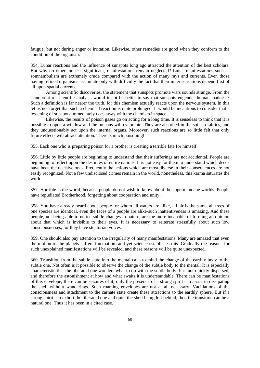fatigue, but not during anger or irritation. Likewise, other remedies are good when they conform to the condition of the organism.

354. Lunar reactions and the influence of sunspots long ago attracted the attention of the best scholars. But why do other, no less significant, manifestations remain neglected? Lunar manifestations such as somnambulism are extremely crude compared with the action of many rays and currents. Even those having refined organisms assimilate only with difficulty the fact that their inner sensations depend first of all upon spatial currents.

 Among scientific discoveries, the statement that sunspots promote wars sounds strange. From the standpoint of scientific analysis would it not be better to say that sunspots engender human madness? Such a definition is far nearer the truth, for this chemism actually reacts upon the nervous system. In this let us not forget that such a chemical reaction is quite prolonged. It would be incautious to consider that a lessening of sunspots immediately does away with the chemism in space.

 Likewise, the results of poison gases go on acting for a long time. It is senseless to think that it is possible to open a window and the poisons will evaporate. They are absorbed in the soil, in fabrics, and they unquestionably act upon the internal organs. Moreover, such reactions are so little felt that only future effects will attract attention. There is much poisoning!

355. Each one who is preparing poison for a brother is creating a terrible fate for himself.

356. Little by little people are beginning to understand that their sufferings are not accidental. People are beginning to reflect upon the destinies of entire nations. It is not easy for them to understand which deeds have been the decisive ones. Frequently the actions which are most diverse in their consequences are not easily recognized. Not a few undisclosed crimes remain in the world, nonetheless, this karma saturates the world.

357. Horrible is the world, because people do not wish to know about the supermundane worlds. People have repudiated Brotherhood, forgetting about cooperation and unity.

358. You have already heard about people for whom all waters are alike, all air is the same, all trees of one species are identical, even the faces of a people are alike-such inattentiveness is amazing. And these people, not being able to notice subtle changes in nature, are the more incapable of forming an opinion about that which is invisible to their eyes. It is necessary to reiterate stressfully about such low consciousnesses, for they have stentorian voices.

359. One should also pay attention to the irregularity of many manifestations. Many are amazed that even the motion of the planets suffers fluctuation, and yet science establishes this. Gradually the reasons for such unexplained manifestations will be revealed, and these reasons will be quite unexpected.

360. Transition from the subtle state into the mental calls to mind the change of the earthly body to the subtle one. Not often is it possible to observe the change of the subtle body to the mental. It is especially characteristic that the liberated one wonders what to do with the subtle body. It is not quickly dispersed, and therefore the astonishment at how and what awaits it is understandable. There can be manifestations of this envelope, there can be seizures of it; only the presence of a strong spirit can assist in dissipating the shell without wanderings. Such roaming envelopes are not at all necessary. Vacillations of the consciousness and attachment to the carnate state create these attractions to the earthly sphere. But if a strong spirit can exhort the liberated one and quiet the shell being left behind, then the transition can be a natural one. Thus it has been in a cited case.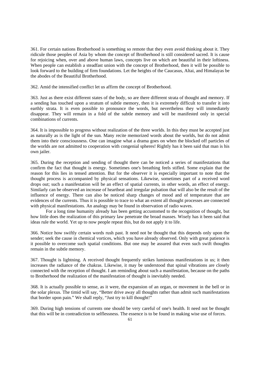361. For certain nations Brotherhood is something so remote that they even avoid thinking about it. They ridicule those peoples of Asia by whom the concept of Brotherhood is still considered sacred. It is cause for rejoicing when, over and above human laws, concepts live on which are beautiful in their loftiness. When people can establish a steadfast union with the concept of Brotherhood, then it will be possible to look forward to the building of firm foundations. Let the heights of the Caucasus, Altai, and Himalayas be the abodes of the Beautiful Brotherhood.

362. Amid the intensified conflict let us affirm the concept of Brotherhood.

363. Just as there exist different states of the body, so are there different strata of thought and memory. If a sending has touched upon a stratum of subtle memory, then it is extremely difficult to transfer it into earthly strata. It is even possible to pronounce the words, but nevertheless they will immediately disappear. They will remain in a fold of the subtle memory and will be manifested only in special combinations of currents.

364. It is impossible to progress without realization of the three worlds. In this they must be accepted just as naturally as is the light of the sun. Many recite memorized words about the worlds, but do not admit them into their consciousness. One can imagine what a drama goes on when the blocked off particles of the worlds are not admitted to cooperation with congenial spheres! Rightly has it been said that man is his own jailer.

365. During the reception and sending of thought there can be noticed a series of manifestations that confirm the fact that thought is energy. Sometimes one's breathing feels stifled. Some explain that the reason for this lies in tensed attention. But for the observer it is especially important to note that the thought process is accompanied by physical sensations. Likewise, sometimes part of a received word drops out; such a manifestation will be an effect of spatial currents, in other words, an effect of energy. Similarly can be observed an increase of heartbeat and irregular pulsation that will also be the result of the influence of energy. There can also be noticed sharp changes of mood and of temperature that are evidences of the currents. Thus it is possible to trace to what an extent all thought processes are connected with physical manifestations. An analogy may be found in observation of radio waves.

 For a long time humanity already has been getting accustomed to the recognition of thought, but how little does the realization of this primary law penetrate the broad masses. Wisely has it been said that ideas rule the world. Yet up to now people repeat this, but do not apply it to life.

366. Notice how swiftly certain words rush past. It need not be thought that this depends only upon the sender; seek the cause in chemical vortices, which you have already observed. Only with great patience is it possible to overcome such spatial conditions. But one may be assured that even such swift thoughts remain in the subtle memory.

367. Thought is lightning. A received thought frequently strikes luminous manifestations in us; it then increases the radiance of the chakras. Likewise, it may be understood that spinal vibrations are closely connected with the reception of thought. I am reminding about such a manifestation, because on the paths to Brotherhood the realization of the manifestation of thought is inevitably needed.

368. It is actually possible to sense, as it were, the expansion of an organ, or movement in the bell or in the solar plexus. The timid will say, "Better drive away all thoughts rather than admit such manifestations that border upon pain." We shall reply, "Just try to kill thought!"

369. During high tensions of currents one should be very careful of one's health. It need not be thought that this will be in contradiction to selflessness. The essence is to be found in making wise use of forces.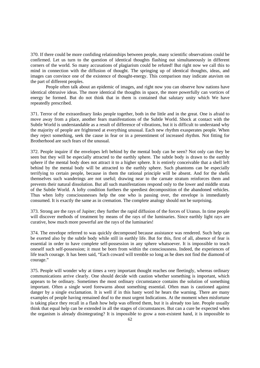370. If there could be more confiding relationships between people, many scientific observations could be confirmed. Let us turn to the question of identical thoughts flashing out simultaneously in different corners of the world. So many accusations of plagiarism could be refuted! But right now we call this to mind in connection with the diffusion of thought. The springing up of identical thoughts, ideas, and images can convince one of the existence of thought-energy. This comparison may indicate atavism on the part of different peoples.

 People often talk about an epidemic of images, and right now you can observe how nations have identical obtrusive ideas. The more identical the thoughts in space, the more powerfully can vortices of energy be formed. But do not think that in them is contained that salutary unity which We have repeatedly prescribed.

371. Terror of the extraordinary links people together, both in the little and in the great. One is afraid to move away from a place, another fears manifestations of the Subtle World. Shock at contact with the Subtle World is understandable as a result of difference of vibrations, but it is difficult to understand why the majority of people are frightened at everything unusual. Each new rhythm exasperates people. When they reject something, seek the cause in fear or in a presentiment of increased rhythm. Not fitting for Brotherhood are such fears of the unusual.

372. People inquire if the envelopes left behind by the mental body can be seen? Not only can they be seen but they will be especially attracted to the earthly sphere. The subtle body is drawn to the earthly sphere if the mental body does not attract it to a higher sphere. It is entirely conceivable that a shell left behind by the mental body will be attracted to the earthly sphere. Such phantoms can be especially terrifying to certain people, because in them the rational principle will be absent. And for the shells themselves such wanderings are not useful; drawing near to the carnate stratum reinforces them and prevents their natural dissolution. But all such manifestations respond only to the lower and middle strata of the Subtle World. A lofty condition furthers the speediest decomposition of the abandoned vehicles. Thus when lofty consciousnesses help the one who is passing over, the envelope is immediately consumed. It is exactly the same as in cremation. The complete analogy should not be surprising.

373. Strong are the rays of Jupiter; they further the rapid diffusion of the forces of Uranus. In time people will discover methods of treatment by means of the rays of the luminaries. Since earthly light rays are curative, how much more powerful are the rays of the luminaries!

374. The envelope referred to was quickly decomposed because assistance was rendered. Such help can be exerted also by the subtle body while still in earthly life. But for this, first of all, absence of fear is essential in order to have complete self-possession in any sphere whatsoever. It is impossible to teach oneself such self-possession; it must be born from within the consciousness. Indeed, the experiences of life teach courage. It has been said, "Each coward will tremble so long as he does not find the diamond of courage."

375. People will wonder why at times a very important thought reaches one fleetingly, whereas ordinary communications arrive clearly. One should decide with caution whether something is important, which appears to be ordinary. Sometimes the most ordinary circumstance contains the solution of something important. Often a single word forewarns about something essential. Often man is cautioned against danger by a single exclamation. It is well if in this hasty word he hears the warning. There are many examples of people having remained deaf to the must urgent Indications. At the moment when misfortune is taking place they recall in a flash how help was offered them, but it is already too late. People usually think that equal help can be extended in all the stages of circumstances. But can a cure be expected when the organism is already disintegrating? It is impossible to grow a non-existent hand, it is impossible to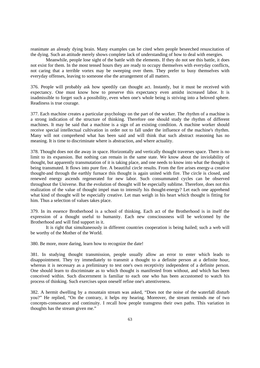reanimate an already dying brain. Many examples can be cited when people beseeched resuscitation of the dying. Such an attitude merely shows complete lack of understanding of how to deal with energies.

 Meanwhile, people lose sight of the battle with the elements. If they do not see this battle, it does not exist for them. In the most tensed hours they are ready to occupy themselves with everyday conflicts, not caring that a terrible vortex may be sweeping over them. They prefer to busy themselves with everyday offenses, leaving to someone else the arrangement of all matters.

376. People will probably ask how speedily can thought act. Instantly, but it must be received with expectancy. One must know how to preserve this expectancy even amidst increased labor. It is inadmissible to forget such a possibility, even when one's whole being is striving into a beloved sphere. Readiness is true courage.

377. Each machine creates a particular psychology on the part of the worker. The rhythm of a machine is a strong indication of the structure of thinking. Therefore one should study the rhythm of different machines. It may be said that a machine is a sign of an existing condition. A machine worker should receive special intellectual cultivation in order not to fall under the influence of the machine's rhythm. Many will not comprehend what has been said and will think that such abstract reasoning has no meaning. It is time to discriminate where is abstraction, and where actuality.

378. Thought does not die away in space. Horizontally and vertically thought traverses space. There is no limit to its expansion. But nothing can remain in the same state. We know about the inviolability of thought, but apparently transmutation of it is taking place, and one needs to know into what the thought is being transmuted. It flows into pure fire. A beautiful circle results. From the fire arises energy-a creative thought-and through the earthly furnace this thought is again united with fire. The circle is closed, and renewed energy ascends regenerated for new labor. Such consummated cycles can be observed throughout the Universe. But the evolution of thought will be especially sublime. Therefore, does not this realization of the value of thought impel man to intensify his thought-energy? Let each one apprehend what kind of thought will be especially creative. Let man weigh in his heart which thought is fitting for him. Thus a selection of values takes place.

379. In its essence Brotherhood is a school of thinking. Each act of the Brotherhood is in itself the expression of a thought useful to humanity. Each new consciousness will be welcomed by the Brotherhood and will find support in it.

 It is right that simultaneously in different countries cooperation is being hailed; such a web will be worthy of the Mother of the World.

380. Be more, more daring, learn how to recognize the date!

381. In studying thought transmission, people usually allow an error to enter which leads to disappointment. They try immediately to transmit a thought to a definite person at a definite hour, whereas it is necessary as a preliminary to test one's own receptivity independent of a definite person. One should learn to discriminate as to which thought is manifested from without, and which has been conceived within. Such discernment is familiar to each one who has been accustomed to watch his process of thinking. Such exercises upon oneself refine one's attentiveness.

382. A hermit dwelling by a mountain stream was asked, "Does not the noise of the waterfall disturb you?" He replied, "On the contrary, it helps my hearing. Moreover, the stream reminds me of two concepts-consonance and continuity. I recall how people transgress their own paths. This variation in thoughts has the stream given me."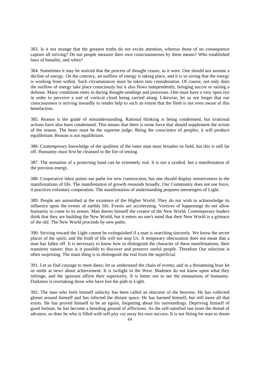383. Is it not strange that the greatest truths do not excite attention, whereas those of no consequence capture all striving? Do not people measure their own consciousnesses by these means? Who established laws of banality, and when?

384. Sometimes it may be noticed that the process of thought ceases, as it were. One should not assume a decline of energy. On the contrary, an outflow of energy is taking place, and it is so strong that the energy is working from within. Such circumstances must be taken into consideration. Of course, not only does the outflow of energy take place consciously but it also flows independently, bringing succor or raising a defense. Many conditions enter in during thought-sendings and processes. One must have a very open eye in order to perceive a sort of vortical cloud being carried along. Likewise, let us not forget that our consciousness is striving inwardly to render help to such an extent that the flesh is not even aware of this benefaction.

385. Reason is the guide of misunderstanding. Rational thinking is being condemned, but irrational actions have also been condemned. This means that there is some force that should supplement the action of the reason. The heart must be the supreme judge. Being the conscience of peoples, it will produce equilibrium. Reason is not equilibrium.

386. Contemporary knowledge of the qualities of the inner man must broaden its field, but this is still far off. Humanity must first be cleansed in the fire of testing.

387. The sensation of a protecting hand can be extremely real. It is not a symbol, but a manifestation of the precious energy.

388. Cooperative labor points out paths for new construction, but one should display sensitiveness to the manifestations of life. The manifestation of growth resounds broadly. Our Community does not use force, it practices voluntary cooperation. The manifestation of understanding prepares messengers of Light.

389. People are astonished at the existence of the Higher World. They do not wish to acknowledge its influence upon the events of earthly life. Events are accelerating. Vortices of happenings do not allow humanity to come to its senses. Man deems himself the creator of the New World. Contemporary leaders think that they are building the New World, but it enters no one's mind that their New World is a grimace of the old. The New World proceeds by new paths.

390. Striving toward the Light cannot be extinguished if a man is searching sincerely. We know the secret places of the spirit, and the froth of life will not stop Us. A temporary obscuration does not mean that a man has fallen off. It is necessary to know how to distinguish the character of these manifestations, their transitory nature; thus is it possible to discover and preserve useful people. Therefore Our selection is often surprising. The main thing is to distinguish the real from the superficial.

391. Let us find courage to meet dates; let us understand the chain of events; and in a threatening hour let us smile at news about achievement. It is twilight in the West. Madmen do not know upon what they infringe, and the ignorant affirm their superiority. It is better not to see the emanations of humanity. Darkness is overtaking those who have lost the path to Light.

392. The man who feels himself unlucky has been called an obscurer of the heavens. He has collected gloom around himself and has infected the distant space. He has harmed himself, but still more all that exists. He has proved himself to be an egoist, forgetting about his surroundings. Depriving himself of good fortune, he has become a breeding ground of afflictions. As the self-satisfied one loses the thread of advance, so does he who is filled with self-pity cut away his own success. It is not fitting for man to doom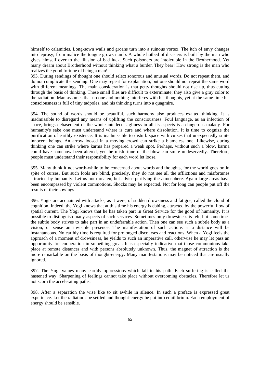himself to calamities. Long-sown wails and groans turn into a ruinous vortex. The itch of envy changes into leprosy; from malice the tongue grows numb. A whole hotbed of disasters is built by the man who gives himself over to the illusion of bad luck. Such poisoners are intolerable in the Brotherhood. Yet many dream about Brotherhood without thinking what a burden They bear! How strong is the man who realizes the good fortune of being a man!

393. During sendings of thought one should select sonorous and unusual words. Do not repeat them, and do not complicate the sending. One may repeat for explanation, but one should not repeat the same word with different meanings. The main consideration is that petty thoughts should not rise up, thus cutting through the basis of thinking. These small flies are difficult to exterminate; they also give a gray color to the radiation. Man assumes that no one and nothing interferes with his thoughts, yet at the same time his consciousness is full of tiny tadpoles, and his thinking turns into a quagmire.

394. The sound of words should be beautiful, such harmony also produces exalted thinking. It is inadmissible to disregard any means of uplifting the consciousness. Foul language, as an infection of space, brings debasement of the whole intellect. Ugliness in all its aspects is a dangerous malady. For humanity's sake one must understand where is cure and where dissolution. It is time to cognize the purification of earthly existence. It is inadmissible to disturb space with curses that unexpectedly smite innocent beings. An arrow loosed in a moving crowd can strike a blameless one. Likewise, during thinking one can strike where karma has prepared a weak spot. Perhaps, without such a blow, karma could have somehow been altered, yet the misfortune of the blow can smite undeservedly. Therefore, people must understand their responsibility for each word let loose.

395. Many think it not worth-while to be concerned about words and thoughts, for the world goes on in spite of curses. But such fools are blind, precisely, they do not see all the afflictions and misfortunes attracted by humanity. Let us not threaten, but advise purifying the atmosphere. Again large areas have been encompassed by violent commotions. Shocks may be expected. Not for long can people put off the results of their sowings.

396. Yogis are acquainted with attacks, as it were, of sudden drowsiness and fatigue, called the cloud of cognition. Indeed, the Yogi knows that at this time his energy is ebbing, attracted by the powerful flow of spatial current. The Yogi knows that he has taken part in Great Service for the good of humanity. It is possible to distinguish many aspects of such services. Sometimes only drowsiness is felt, but sometimes the subtle body strives to take part in an undeferrable action. Then one can see such a subtle body as a vision, or sense an invisible presence. The manifestation of such actions at a distance will be instantaneous. No earthly time is required for prolonged discourses and reactions. When a Yogi feels the approach of a moment of drowsiness, he yields to such an imperative call, otherwise he may let pass an opportunity for cooperation in something great. It is especially indicative that those communions take place at remote distances and with persons absolutely unknown. Thus, the magnet of attraction is the more remarkable on the basis of thought-energy. Many manifestations may be noticed that are usually ignored.

397. The Yogi values many earthly oppressions which fall to his path. Each suffering is called the hastened way. Sharpening of feelings cannot take place without overcoming obstacles. Therefore let us not scorn the accelerating paths.

398. After a separation the wise like to sit awhile in silence. In such a preface is expressed great experience. Let the radiations be settled and thought-energy be put into equilibrium. Each employment of energy should be sensible.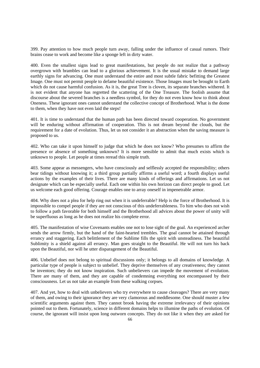399. Pay attention to how much people turn away, falling under the influence of casual rumors. Their brains cease to work and become like a sponge left in dirty water.

400. Even the smallest signs lead to great manifestations, but people do not realize that a pathway overgrown with brambles can lead to a glorious achievement. It is the usual mistake to demand large earthly signs for advancing. One must understand the entire and most subtle fabric befitting the Greatest Image. One must not permit people to defame beautiful existence. Those Images must be brought to Earth which do not cause harmful confusion. As it is, the great Tree is cloven, its separate branches withered. It is not evident that anyone has regretted the scattering of the One Treasure. The foolish assume that discourse about the severed branches is a needless symbol, for they do not even know how to think about Oneness. These ignorant ones cannot understand the collective concept of Brotherhood. What is the dome to them, when they have not even laid the steps!

401. It is time to understand that the human path has been directed toward cooperation. No government will be enduring without affirmation of cooperation. This is not dream beyond the clouds, but the requirement for a date of evolution. Thus, let us not consider it an abstraction when the saving measure is proposed to us.

402. Who can take it upon himself to judge that which he does not know? Who presumes to affirm the presence or absence of something unknown? It is more sensible to admit that much exists which is unknown to people. Let people at times reread this simple truth.

403. Some appear as messengers, who have consciously and selflessly accepted the responsibility; others bear tidings without knowing it; a third group partially affirms a useful word; a fourth displays useful actions by the examples of their lives. There are many kinds of offerings and affirmations. Let us not designate which can be especially useful. Each one within his own horizon can direct people to good. Let us welcome each good offering. Courage enables one to array oneself in impenetrable armor.

404. Why does not a plea for help ring out when it is undeferrable? Help is the force of Brotherhood. It is impossible to compel people if they are not conscious of this undeferrableness. To him who does not wish to follow a path favorable for both himself and the Brotherhood all advices about the power of unity will be superfluous as long as he does not realize his complete error.

405. The manifestation of wise Covenants enables one not to lose sight of the goal. An experienced archer sends the arrow firmly, but the hand of the faint-hearted trembles. The goal cannot be attained through errancy and staggering. Each belittlement of the Sublime fills the spirit with unsteadiness. The beautiful Sublimity is a shield against all errancy. Man goes straight to the Beautiful. He will not turn his back upon the Beautiful, nor will he utter disparagement of the Beautiful.

406. Unbelief does not belong to spiritual discussions only; it belongs to all domains of knowledge. A particular type of people is subject to unbelief. They deprive themselves of any creativeness; they cannot be inventors; they do not know inspiration. Such unbelievers can impede the movement of evolution. There are many of them, and they are capable of condemning everything not encompassed by their consciousness. Let us not take an example from these walking corpses.

407. And yet, how to deal with unbelievers who try everywhere to cause cleavages? There are very many of them, and owing to their ignorance they are very clamorous and meddlesome. One should muster a few scientific arguments against them. They cannot brook having the extreme irrelevancy of their opinions pointed out to them. Fortunately, science in different domains helps to illumine the paths of evolution. Of course, the ignorant will insist upon long outworn concepts. They do not like it when they are asked for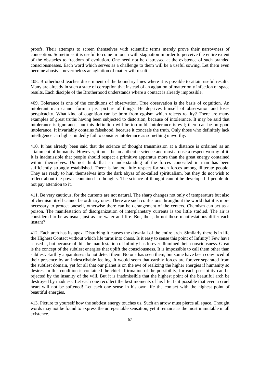proofs. Their attempts to screen themselves with scientific terms merely prove their narrowness of conception. Sometimes it is useful to come in touch with stagnation in order to perceive the entire extent of the obstacles to freedom of evolution. One need not be distressed at the existence of such branded consciousnesses. Each word which serves as a challenge to them will be a useful sowing. Let them even become abusive, nevertheless an agitation of matter will result.

408. Brotherhood teaches discernment of the boundary lines where it is possible to attain useful results. Many are already in such a state of corruption that instead of an agitation of matter only infection of space results. Each disciple of the Brotherhood understands where a contact is already impossible.

409. Tolerance is one of the conditions of observation. True observation is the basis of cognition. An intolerant man cannot form a just picture of things. He deprives himself of observation and loses perspicacity. What kind of cognition can be born from egoism which rejects reality? There are many examples of great truths having been subjected to distortion, because of intolerance. It may be said that intolerance is ignorance, but this definition will be too mild. Intolerance is evil; there can be no good intolerance. It invariably contains falsehood, because it conceals the truth. Only those who definitely lack intelligence can light-mindedly fail to consider intolerance as something unworthy.

410. It has already been said that the science of thought transmission at a distance is ordained as an attainment of humanity. However, it must be an authentic science and must arouse a respect worthy of it. It is inadmissible that people should respect a primitive apparatus more than the great energy contained within themselves. Do not think that an understanding of the forces concealed in man has been sufficiently strongly established. There is far too little respect for such forces among illiterate people. They are ready to hurl themselves into the dark abyss of so-called spiritualism, but they do not wish to reflect about the power contained in thoughts. The science of thought cannot be developed if people do not pay attention to it.

411. Be very cautious, for the currents are not natural. The sharp changes not only of temperature but also of chemism itself cannot be ordinary ones. There are such confusions throughout the world that it is more necessary to protect oneself, otherwise there can be derangement of the centers. Chemism can act as a poison. The manifestation of disorganization of interplanetary currents is too little studied. The air is considered to be as usual, just as are water and fire. But, then, do not these manifestations differ each instant?

412. Each arch has its apex. Disturbing it causes the downfall of the entire arch. Similarly there is in life the Highest Contact without which life turns into chaos. Is it easy to sense this point of Infinity? Few have sensed it, but because of this the manifestation of Infinity has forever illumined their consciousness. Great is the concept of the subtlest energies that uplift the consciousness. It is impossible to call them other than subtlest. Earthly apparatuses do not detect them. No one has seen them, but some have been convinced of their presence by an indescribable feeling. It would seem that earthly forces are forever separated from the subtlest domain, yet for all that our planet is on the eve of realizing the higher energies if humanity so desires. In this condition is contained the chief affirmation of the possibility, for each possibility can be rejected by the insanity of the will. But it is inadmissible that the highest point of the beautiful arch be destroyed by madness. Let each one recollect the best moments of his life. Is it possible that even a cruel heart will not be softened! Let each one sense in his own life the contact with the highest point of beautiful energies.

413. Picture to yourself how the subtlest energy touches us. Such an arrow must pierce all space. Thought words may not be found to express the unrepeatable sensation, yet it remains as the most immutable in all existence.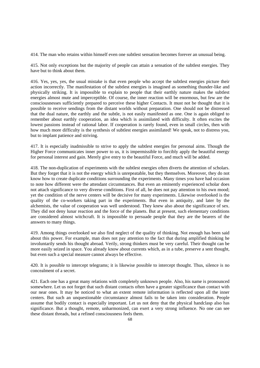414. The man who retains within himself even one subtlest sensation becomes forever an unusual being.

415. Not only exceptions but the majority of people can attain a sensation of the subtlest energies. They have but to think about them.

416. Yes, yes, yes, the usual mistake is that even people who accept the subtlest energies picture their action incorrectly. The manifestation of the subtlest energies is imagined as something thunder-like and physically striking. It is impossible to explain to people that their earthly nature makes the subtlest energies almost mute and imperceptible. Of course, the inner reaction will be enormous, but few are the consciousnesses sufficiently prepared to perceive these higher Contacts. It must not be thought that it is possible to receive sendings from the distant worlds without preparation. One should not be distressed that the dual nature, the earthly and the subtle, is not easily manifested as one. One is again obliged to remember about earthly cooperation, an idea which is assimilated with difficulty. It often excites the lowest passions instead of rational labor. If cooperation is rarely found, even in small circles, then with how much more difficulty is the synthesis of subtlest energies assimilated! We speak, not to distress you, but to implant patience and striving.

417. It is especially inadmissible to strive to apply the subtlest energies for personal aims. Though the Higher Force communicates inner power to us, it is impermissible to forcibly apply the beautiful energy for personal interest and gain. Merely give entry to the beautiful Force, and much will be added.

418. The non-duplication of experiments with the subtlest energies often diverts the attention of scholars. But they forget that it is not the energy which is unrepeatable, but they themselves. Moreover, they do not know how to create duplicate conditions surrounding the experiments. Many times you have had occasion to note how different were the attendant circumstances. But even an eminently experienced scholar does not attach significance to very diverse conditions. First of all, he does not pay attention to his own mood; yet the condition of the nerve centers will be decisive for many experiments. Likewise overlooked is the quality of the co-workers taking part in the experiments. But even in antiquity, and later by the alchemists, the value of cooperation was well understood. They knew also about the significance of sex. They did not deny lunar reaction and the force of the planets. But at present, such elementary conditions are considered almost witchcraft. It is impossible to persuade people that they are the bearers of the answers to many things.

419. Among things overlooked we also find neglect of the quality of thinking. Not enough has been said about this power. For example, man does not pay attention to the fact that during amplified thinking he involuntarily sends his thought abroad. Verily, strong thinkers must be very careful. Their thought can be more easily seized in space. You already know about currents which, as in a tube, preserve a sent thought, but even such a special measure cannot always be effective.

420. It is possible to intercept telegrams; it is likewise possible to intercept thought. Thus, silence is no concealment of a secret.

421. Each one has a great many relations with completely unknown people. Also, his name is pronounced somewhere. Let us not forget that such distant contacts often have a greater significance than contact with our near ones. It may be noticed to what an extent remote information is reflected upon all the inner centers. But such an unquestionable circumstance almost fails to be taken into consideration. People assume that bodily contact is especially important. Let us not deny that the physical handclasp also has significance. But a thought, remote, unharmonized, can exert a very strong influence. No one can see these distant threads, but a refined consciousness feels them.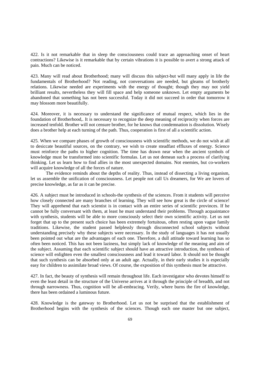422. Is it not remarkable that in sleep the consciousness could trace an approaching onset of heart contractions? Likewise is it remarkable that by certain vibrations it is possible to avert a strong attack of pain. Much can be noticed.

423. Many will read about Brotherhood; many will discuss this subject-but will many apply in life the fundamentals of Brotherhood? Not reading, not conversations are needed, but gleams of brotherly relations. Likewise needed are experiments with the energy of thought; though they may not yield brilliant results, nevertheless they will fill space and help someone unknown. Let empty arguments be abandoned that something has not been successful. Today it did not succeed in order that tomorrow it may blossom more beautifully.

424. Moreover, it is necessary to understand the significance of mutual respect, which lies in the foundation of Brotherhood,. It is necessary to recognize the deep meaning of reciprocity when forces are increased tenfold. Brother will not censure brother, for he knows that condemnation is dissolution. Wisely does a brother help at each turning of the path. Thus, cooperation is first of all a scientific action.

425. When we compare phases of growth of consciousness with scientific methods, we do not wish at all to desiccate beautiful sources, on the contrary, we wish to create steadfast effluxes of energy. Science must reinforce the paths to higher cognition. The time has drawn near when the ancient symbols of knowledge must be transformed into scientific formulas. Let us not demean such a process of clarifying thinking. Let us learn how to find allies in the most unexpected domains. Not enemies, but co-workers will acquire knowledge of all the forces of nature.

 The evidence reminds about the depths of reality. Thus, instead of dissecting a living organism, let us assemble the unification of consciousness. Let people not call Us dreamers, for We are lovers of precise knowledge, as far as it can be precise.

426. A subject must be introduced in schools-the synthesis of the sciences. From it students will perceive how closely connected are many branches of learning. They will see how great is the circle of science! They will apprehend that each scientist is in contact with an entire series of scientific provinces. If he cannot be fully conversant with them, at least he must understand their problems. Through acquaintance with synthesis, students will be able to more consciously select their own scientific activity. Let us not forget that up to the present such choice has been extremely fortuitous, often resting upon vague family traditions. Likewise, the student passed helplessly through disconnected school subjects without understanding precisely why these subjects were necessary. In the study of languages it has not usually been pointed out what are the advantages of each one. Therefore, a dull attitude toward learning has so often been noticed. This has not been laziness, but simply lack of knowledge of the meaning and aim of the subject. Assuming that each scientific subject should have an attractive introduction, the synthesis of science will enlighten even the smallest consciousness and lead it toward labor. It should not be thought that such synthesis can be absorbed only at an adult age. Actually, in their early studies it is especially easy for children to assimilate broad views. Of course, the exposition of this synthesis must be attractive.

427. In fact, the beauty of synthesis will remain throughout life. Each investigator who devotes himself to even the least detail in the structure of the Universe arrives at it through the principle of breadth, and not through narrowness. Thus, cognition will be all-embracing. Verily, where burns the fire of knowledge, there has been ordained a luminous future.

428. Knowledge is the gateway to Brotherhood. Let us not be surprised that the establishment of Brotherhood begins with the synthesis of the sciences. Though each one master but one subject,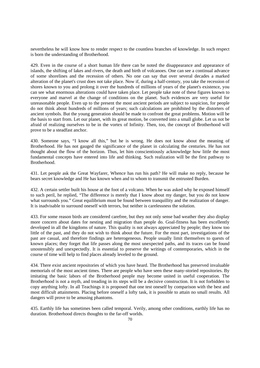nevertheless he will know how to render respect to the countless branches of knowledge. In such respect is born the understanding of Brotherhood.

429. Even in the course of a short human life there can be noted the disappearance and appearance of islands, the shifting of lakes and rivers, the death and birth of volcanoes. One can see a continual advance of some shorelines and the recession of others. No one can say that over several decades a marked alteration of the planet's crust does not take place. Now if, during a half-century, you take the recession of shores known to you and prolong it over the hundreds of millions of years of the planet's existence, you can see what enormous alterations could have taken place. Let people take note of these figures known to everyone and marvel at the change of conditions on the planet. Such evidences are very useful for unreasonable people. Even up to the present the most ancient periods are subject to suspicion, for people do not think about hundreds of millions of years; such calculations are prohibited by the distorters of ancient symbols. But the young generation should be made to confront the great problems. Motion will be the basis to start from. Let our planet, with its great motion, be converted into a small globe. Let us not be afraid of realizing ourselves to be in the vortex of Infinity. Then, too, the concept of Brotherhood will prove to be a steadfast anchor.

430. Someone says, "I know all this," but he is wrong. He does not know about the meaning of Brotherhood. He has not gauged the significance of the planet in calculating the centuries. He has not thought about the flow of the horizon. Thus, let him conscientiously acknowledge how little the most fundamental concepts have entered into life and thinking. Such realization will be the first pathway to Brotherhood.

431. Let people ask the Great Wayfarer, Whence has run his path? He will make no reply, because he bears secret knowledge and He has known when and to whom to transmit the entrusted Burden.

432. A certain settler built his house at the foot of a volcano. When he was asked why he exposed himself to such peril, he replied, "The difference is merely that I know about my danger, but you do not know what surrounds you." Great equilibrium must be found between tranquillity and the realization of danger. It is inadvisable to surround oneself with terrors, but neither is carelessness the solution.

433. For some reason birds are considered carefree, but they not only sense bad weather they also display more concern about dates for nesting and migration than people do. Goal-fitness has been excellently developed in all the kingdoms of nature. This quality is not always appreciated by people; they know too little of the past, and they do not wish to think about the future. For the most part, investigations of the past are casual, and therefore findings are heterogeneous. People usually limit themselves to quests of known places; they forget that life passes along the most unexpected paths, and its traces can be found unostensibly and unexpectedly. It is essential to preserve the writings of contemporaries, which in the course of time will help to find places already leveled to the ground.

434. There exist ancient repositories of which you have heard. The Brotherhood has preserved invaluable memorials of the most ancient times. There are people who have seen these many-storied repositories. By imitating the basic labors of the Brotherhood people may become united in useful cooperation. The Brotherhood is not a myth, and treading in its steps will be a decisive construction. It is not forbidden to copy anything lofty. In all Teachings it is proposed that one test oneself by comparison with the best and most difficult attainments. Placing before oneself a lofty task, it is possible to attain no small results. All dangers will prove to be amusing phantoms.

435. Earthly life has sometimes been called temporal. Verily, among other conditions, earthly life has no duration. Brotherhood directs thoughts to the far-off worlds.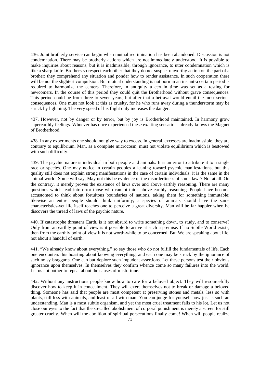436. Joint brotherly service can begin when mutual recrimination has been abandoned. Discussion is not condemnation. There may be brotherly actions which are not immediately understood. It is possible to make inquiries about reasons, but it is inadmissible, through ignorance, to utter condemnation which is like a sharp knife. Brothers so respect each other that they do not suspect unworthy action on the part of a brother; they comprehend any situation and ponder how to render assistance. In such cooperation there will be not the slightest compulsion. But mutual understanding is not born in an instant-a certain period is required to harmonize the centers. Therefore, in antiquity a certain time was set as a testing for newcomers. In the course of this period they could quit the Brotherhood without grave consequences. This period could be from three to seven years, but after that a betrayal would entail the most serious consequences. One must not look at this as cruelty, for he who runs away during a thunderstorm may be struck by lightning. The very speed of his flight only increases the danger.

437. However, not by danger or by terror, but by joy is Brotherhood maintained. In harmony grow superearthly feelings. Whoever has once experienced these exalting sensations already knows the Magnet of Brotherhood.

438. In any experiments one should not give way to excess. In general, excesses are inadmissible, they are contrary to equilibrium. Man, as a complete microcosm, must not violate equilibrium which is bestowed with such difficulty.

439. The psychic nature is individual in both people and animals. It is an error to attribute it to a single race or species. One may notice in certain peoples a leaning toward psychic manifestations, but this quality still does not explain strong manifestations in the case of certain individuals; it is the same in the animal world. Some will say, May not this be evidence of the disorderliness of some laws? Not at all. On the contrary, it merely proves the existence of laws over and above earthly reasoning. There are many questions which lead into error those who cannot think above earthly reasoning. People have become accustomed to think about fortuitous boundaries of nations, taking them for something immutable; likewise an entire people should think uniformly; a species of animals should have the same characteristics-yet life itself teaches one to perceive a great diversity. Man will be far happier when he discovers the thread of laws of the psychic nature.

440. If catastrophe threatens Earth, is it not absurd to write something down, to study, and to conserve? Only from an earthly point of view is it possible to arrive at such a premise. If no Subtle World exists, then from the earthly point of view it is not worth-while to be concerned. But We are speaking about life, not about a handful of earth.

441. "We already know about everything." so say those who do not fulfill the fundamentals of life. Each one encounters this boasting about knowing everything, and each one may be struck by the ignorance of such noisy braggarts. One can but deplore such impudent assertions. Let these persons test their obvious ignorance upon themselves. In themselves they confirm whence come so many failures into the world. Let us not bother to repeat about the causes of misfortune.

442. Without any instructions people know how to care for a beloved object. They will resourcefully discover how to keep it in concealment. They will exert themselves not to break or damage a beloved thing. Someone has said that people are most competent at preserving stones and metals, less so with plants, still less with animals, and least of all with man. You can judge for yourself how just is such an understanding. Man is a most subtle organism, and yet the most cruel treatment falls to his lot. Let us not close our eyes to the fact that the so-called abolishment of corporal punishment is merely a screen for still greater cruelty. When will the abolition of spiritual persecutions finally come! When will people realize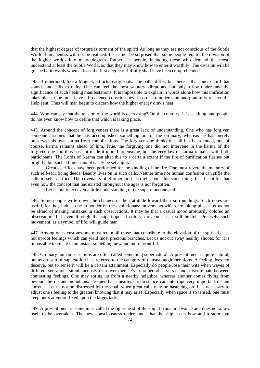that the highest degree of torture is torment of the spirit! As long as they are not conscious of the Subtle World, humaneness will not be realized. Let us not be surprised that some people require the division of the higher worlds into many degrees. Rather, let people, including those who demand the most, understand at least the Subtle World, so that they may know how to enter it worthily. The division will be grasped afterwards when at least the first degree of Infinity shall have been comprehended.

443. Brotherhood, like a Magnet, attracts ready souls. The paths differ, but there is that inner chord that sounds and calls to unity. One can feel the most salutary vibrations, but only a few understand the significance of such healing manifestations. It is impossible to explain in words alone how this unification takes place. One must have a broadened consciousness in order to understand and gratefully receive the Help sent. Thus will man begin to discern how the higher energy draws near.

444. Who can say that the tension of the world is decreasing? On the contrary, it is seething, and people do not even know how to define that which is taking place.

445. Around the concept of forgiveness there is a great lack of understanding. One who has forgiven someone assumes that he has accomplished something out of the ordinary, whereas he has merely preserved his own karma from complications. The forgiven one thinks that all has been ended, but, of course, karma remains ahead of him. True, the forgiving one did not intervene in the karma of the forgiven one and thus has not made it more burdensome, but the very law of karma remains with both participants. The Lords of Karma can alter this to a certain extent if the fire of purification flashes out brightly, but such a flame cannot easily be set alight.

 Great sacrifices have been performed for the kindling of the fire. One must revere the memory of such self-sacrificing deeds. Beauty lives on in such calls. Neither time nor human confusion can stifle the calls to self-sacrifice. The covenants of Brotherhood also tell about this same thing. It is beautiful that even now the concept that has existed throughout the ages is not forgotten.

Let us not reject even a little understanding of the supermundane path.

446. Some people write down the changes in their attitude toward their surroundings. Such notes are useful, for they induce one to ponder on the evolutionary movements which are taking place. Let us not be afraid of making mistakes in such observations. It may be that a casual mood arbitrarily colored an observation, but even through the superimposed colors, movement can still be felt. Precisely such movement, as a symbol of life, will guide man.

447. Among one's customs one must retain all those that contribute to the elevation of the spirit. Let us not uproot feelings which can yield most precious branches. Let us not cut away healthy shoots, for it is impossible to create in an instant something new and more beautiful.

448. Ordinary human sensations are often called something supernatural. A presentiment is quite natural, but as a result of superstition it is referred to the category of unusual agglomerations. A feeling does not deceive, but to sense it will be a certain attainment. Especially do people lose their wits when waves of different sensations simultaneously rush over them. Even trained observers cannot discriminate between contrasting feelings. One may spring up from a nearby neighbor, whereas another comes flying from beyond the distant mountains. Frequently, a nearby circumstance can interrupt very important distant currents. Let us not be distressed by the small when great calls may be hastening on. It is necessary to adjust one's feeling to the greater, knowing that it may arise. Especially when space is so tensed, one must keep one's attention fixed upon the larger tasks.

449. A presentiment is sometimes called the figurehead of the ship. It runs in advance and does not allow itself to be overtaken. The new consciousness understands that the ship has a bow and a stern, but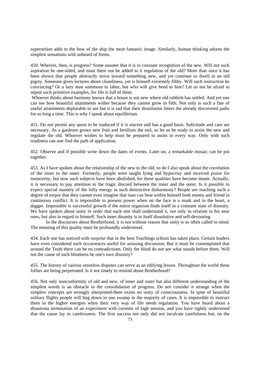superstition adds to the bow of the ship the most fantastic image. Similarly, human thinking adorns the simplest sensations with unheard of forms.

450. Wherein, then, is progress? Some assume that it is in constant recognition of the new. Will not such aspiration be one-sided, and must there not be added to it regulation of the old? More than once it has been shown that people abstractly strive toward something new, and yet continue to dwell in an old pigsty. Someone gives lectures about cleanliness, yet is himself extremely filthy. Will such instruction be convincing? Or a lazy man summons to labor, but who will give heed to him? Let us not be afraid to repeat such primitive examples, for life is full of them.

 Whoever thinks about harmony knows that a house is not new where old rubbish has settled. And yet one can see how beautiful attainments wither because they cannot grow in filth. Not only is such a fate of useful attainments deplorable to see but it is sad that their dissolution litters the already discovered paths for so long a time. This is why I speak about equilibrium.

451. Do not permit any quest to be traduced if it is sincere and has a good basis. Solicitude and care are necessary. As a gardener grows new fruit and fertilizes the soil, so let us be ready to assist the new and regulate the old. Whoever wishes to help must be prepared to assist in every way. Only with such readiness can one find the path of application.

452. Observe and if possible write down the dates of events. Later on, a remarkable mosaic can be put together.

453. As I have spoken about the relationship of the new to the old, so do I also speak about the correlation of the inner to the outer. Formerly, people were taught lying and hypocrisy and received praise for insincerity, but now such subjects have been abolished, for these qualities have become innate. Actually, it is necessary to pay attention to the tragic discord between the inner and the outer. Is it possible to expect special mastery of the lofty energy in such destructive disharmony? People are reaching such a degree of torpor that they cannot even imagine that man can bear within himself both enemy and friend in continuous conflict. It is impossible to possess power when on the face is a mask and in the heart, a dagger. Impossible is successful growth if the entire organism finds itself in a constant state of disunity. We have spoken about unity in order that each one shall understand it, not only in relation to his near ones, but also in regard to himself. Such inner disunity is in itself dissolutive and self-devouring.

 In the discourses about Brotherhood, it is not without reason that unity is so often called to mind. The meaning of this quality must be profoundly understood.

454. Each one has noticed with surprise that in the best Teachings schism has taken place. Certain leaders have even considered such occurrences useful for arousing discussion. But it must be contemplated that around the Truth there can be no contradictions. Only the blind do not see what stands before them. Will not the cause of such blindness be one's own disunity?

455. The history of various senseless disputes can serve as an edifying lesson. Throughout the world these follies are being perpetrated. Is it not timely to remind about Brotherhood?

456. Not only nonconformity of old and new, of inner and outer but also different understanding of the simplest words is an obstacle to the consolidation of progress. Do not consider it strange when the simplest concepts are wrongly interpreted-there exists no unity of consciousness. In spite of beautiful solitary flights people will bog down in one swamp in the majority of cases. It is impossible to instruct them in the higher energies when their very way of life needs regulation. You have heard about a disastrous termination of an experiment with currents of high tension, and you have rightly understood that the cause lay in carelessness. The first success not only did not inculcate carefulness but, on the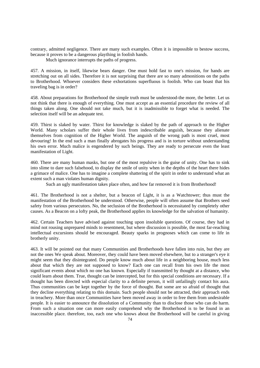contrary, admitted negligence. There are many such examples. Often it is impossible to bestow success, because it proves to be a dangerous plaything in foolish hands.

Much ignorance interrupts the paths of progress.

457. A mission, in itself, likewise bears danger. One must hold fast to one's mission, for hands are stretching out on all sides. Therefore it is not surprising that there are so many admonitions on the paths to Brotherhood. Whoever considers these exhortations superfluous is foolish. Who can boast that his traveling bag is in order?

458. About preparations for Brotherhood the simple truth must be understood-the more, the better. Let us not think that there is enough of everything. One must accept as an essential procedure the review of all things taken along. One should not take much, but it is inadmissible to forget what is needed. The selection itself will be an adequate test.

459. Thirst is slaked by water. Thirst for knowledge is slaked by the path of approach to the Higher World. Many scholars suffer their whole lives from indescribable anguish, because they alienate themselves from cognition of the Higher World. The anguish of the wrong path is most cruel, most devouring! In the end such a man finally abrogates his progress and is in torture without understanding his own error. Much malice is engendered by such beings. They are ready to persecute even the least manifestation of Light.

460. There are many human masks, but one of the most repulsive is the guise of unity. One has to sink into slime to dare such falsehood, to display the smile of unity when in the depths of the heart there hides a grimace of malice. One has to imagine a complete shattering of the spirit in order to understand what an extent such a man violates human dignity.

Such an ugly manifestation takes place often, and how far removed it is from Brotherhood!

461. The Brotherhood is not a shelter, but a beacon of Light, it is as a Watchtower; thus must the manifestation of the Brotherhood be understood. Otherwise, people will often assume that Brothers seed safety from various persecutors. No, the seclusion of the Brotherhood is necessitated by completely other causes. As a Beacon on a lofty peak, the Brotherhood applies its knowledge for the salvation of humanity.

462. Certain Teachers have advised against touching upon insoluble questions. Of course, they had in mind not rousing unprepared minds to resentment, but where discussion is possible, the most far-reaching intellectual excursions should be encouraged. Beauty sparks in prognoses which can come to life in brotherly unity.

463. It will be pointed out that many Communities and Brotherhoods have fallen into ruin, but they are not the ones We speak about. Moreover, they could have been moved elsewhere, but to a stranger's eye it might seem that they disintegrated. Do people know much about life in a neighboring house, much less about that which they are not supposed to know? Each one can recall from his own life the most significant events about which no one has known. Especially if transmitted by thought at a distance, who could learn about them. True, thought can be intercepted, but for this special conditions are necessary. If a thought has been directed with especial clarity to a definite person, it will unfailingly contact his aura. Thus communities can be kept together by the force of thought. But some are so afraid of thought that they decline everything relating to this domain. Such people should not be attracted, their approach ends in treachery. More than once Communities have been moved away in order to free them from undesirable people. It is easier to announce the dissolution of a Community than to disclose those who can do harm. From such a situation one can more easily comprehend why the Brotherhood is to be found in an inaccessible place. therefore, too, each one who knows about the Brotherhood will be careful in giving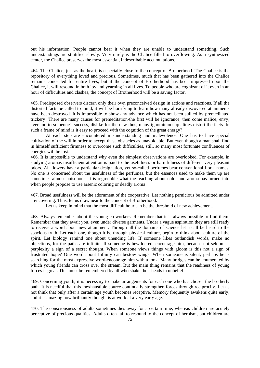out his information. People cannot bear it when they are unable to understand something. Such understandings are stratified slowly. Very rarely is the Chalice filled to overflowing. As a synthesized center, the Chalice preserves the most essential, indescribable accumulations.

464. The Chalice, just as the heart, is especially close to the concept of Brotherhood. The Chalice is the repository of everything loved and precious. Sometimes, much that has been gathered into the Chalice remains concealed for entire lives, but if the concept of Brotherhood has been impressed upon the Chalice, it will resound in both joy and yearning in all lives. To people who are cognizant of it even in an hour of difficulties and clashes, the concept of Brotherhood will be a saving factor.

465. Predisposed observers discern only their own preconceived design in actions and reactions. If all the distorted facts be called to mind, it will be horrifying to learn how many already discovered attainments have been destroyed. It is impossible to show any advance which has not been sullied by premeditated trickery! There are many causes for premeditation-the first will be ignorance, then come malice, envy, aversion to someone's success, dislike for the new-thus, many ignominious qualities distort the facts. In such a frame of mind is it easy to proceed with the cognition of the great energy?

 At each step are encountered misunderstanding and malevolence. One has to have special cultivation of the will in order to accept these obstacles as unavoidable. But even though a man shall find in himself sufficient firmness to overcome such difficulties, still, so many most fortunate confluences of energies will be lost.

466. It is impossible to understand why even the simplest observations are overlooked. For example, in studying aromas insufficient attention is paid to the usefulness or harmfulness of different very pleasant odors. All flowers have a particular designation, yet so-called perfumes bear conventional floral names. No one is concerned about the usefulness of the perfumes, but the essences used to make them up are sometimes almost poisonous. It is regrettable what the teaching about color and aroma has turned into when people propose to use arsenic coloring or deadly aroma!

467. Broad usefulness will be the adornment of the cooperative. Let nothing pernicious be admitted under any covering. Thus, let us draw near to the concept of Brotherhood.

Let us keep in mind that the most difficult hour can be the threshold of new achievement.

468. Always remember about the young co-workers. Remember that it is always possible to find them. Remember that they await you, even under diverse garments. Under a vague aspiration they are still ready to receive a word about new attainment. Through all the domains of science let a call be heard to the spacious truth. Let each one, though it be through physical culture, begin to think about culture of the spirit. Let biology remind one about unending life. If someone likes outlandish words, make no objections, for the paths are infinite. If someone is bewildered, encourage him, because not seldom is perplexity a sign of a secret thought. When someone views things with gloom is this not a sign of frustrated hope? One word about Infinity can bestow wings. When someone is silent, perhaps he is searching for the most expressive word-encourage him with a look. Many bridges can be enumerated by which young friends can cross over the stream. But the main thing remains that the readiness of young forces is great. This must be remembered by all who shake their heads in unbelief.

469. Concerning youth, it is necessary to make arrangements for each one who has chosen the brotherly path. It is needful that this inexhaustible source continually strengthen forces through reciprocity. Let us not think that only after a certain age youth becomes receptive. Memory frequently awakens quite early, and it is amazing how brilliantly thought is at work at a very early age.

470. The consciousness of adults sometimes dies away for a certain time, whereas children are acutely perceptive of precious qualities. Adults often fail to resound to the concept of heroism, but children are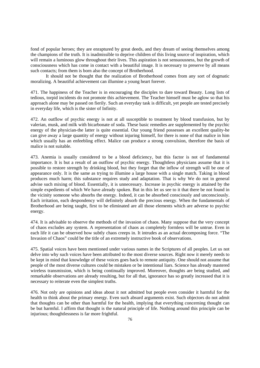fond of popular heroes; they are enraptured by great deeds, and they dream of seeing themselves among the champions of the truth. It is inadmissible to deprive children of this living source of inspiration, which will remain a luminous glow throughout their lives. This aspiration is not sensuousness, but the growth of consciousness which has come in contact with a beautiful image. It is necessary to preserve by all means such contacts; from them is born also the concept of Brotherhood.

 It should not be thought that the realization of Brotherhood comes from any sort of dogmatic moralizing. A beautiful achievement can illumine a young heart forever.

471. The happiness of the Teacher is in encouraging the disciples to dare toward Beauty. Long lists of tedious, torpid incidents do not promote this achievement. The Teacher himself must be aglow so that his approach alone may be passed on fierily. Such an everyday task is difficult, yet people are tested precisely in everyday life, which is the sister of Infinity.

472. An outflow of psychic energy is not at all susceptible to treatment by blood transfusion, but by valerian, musk, and milk with bicarbonate of soda. These basic remedies are supplemented by the psychic energy of the physician-the latter is quite essential. Our young friend possesses an excellent quality-he can give away a large quantity of energy without injuring himself, for there is none of that malice in him which usually has an enfeebling effect. Malice can produce a strong convulsion, therefore the basis of malice is not suitable.

473. Anemia is usually considered to be a blood deficiency, but this factor is not of fundamental importance. It is but a result of an outflow of psychic energy. Thoughtless physicians assume that it is possible to restore strength by drinking blood, but they forget that the inflow of strength will be one of appearance only. It is the same as trying to illumine a large house with a single match. Taking in blood produces much harm; this substance requires study and adaptation. That is why We do not in general advise such mixing of blood. Essentially, it is unnecessary. Increase in psychic energy is attained by the simple expedients of which We have already spoken. But in this let us see to it that there be not found in the vicinity someone who absorbs the energy. Indeed, it can be absorbed consciously and unconsciously. Each irritation, each despondency will definitely absorb the precious energy. When the fundamentals of Brotherhood are being taught, first to be eliminated are all those elements which are adverse to psychic energy.

474. It is advisable to observe the methods of the invasion of chaos. Many suppose that the very concept of chaos excludes any system. A representation of chaos as completely formless will be untrue. Even in each life it can be observed how subtly chaos creeps in. It intrudes as an actual decomposing force. "The Invasion of Chaos" could be the title of an extremely instructive book of observations.

475. Spatial voices have been mentioned under various names in the Scriptures of all peoples. Let us not delve into why such voices have been attributed to the most diverse sources. Right now it merely needs to be kept in mind that knowledge of these voices goes back to remote antiquity. One should not assume that people of the most diverse cultures could be mistaken or be intentional liars. Science has already mastered wireless transmission, which is being continually improved. Moreover, thoughts are being studied, and remarkable observations are already resulting, but for all that, ignorance has so greatly increased that it is necessary to reiterate even the simplest truths.

476. Not only are opinions and ideas about it not admitted but people even consider it harmful for the health to think about the primary energy. Even such absurd arguments exist. Such objectors do not admit that thoughts can be other than harmful for the health, implying that everything concerning thought can be but harmful. I affirm that thought is the natural principle of life. Nothing around this principle can be injurious; thoughtlessness is far more frightful.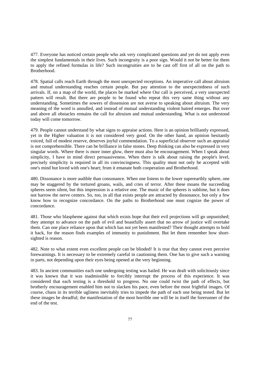477. Everyone has noticed certain people who ask very complicated questions and yet do not apply even the simplest fundamentals in their lives. Such incongruity is a poor sign. Would it not be better for them to apply the refined formulas in life? Such incongruities are to be cast off first of all on the path to Brotherhood.

478. Spatial calls reach Earth through the most unexpected receptions. An imperative call about altruism and mutual understanding reaches certain people. But pay attention to the unexpectedness of such arrivals. If, on a map of the world, the places be marked where Our call is perceived, a very unexpected pattern will result. But there are people to be found who repeat this very same thing without any understanding. Sometimes the sowers of dissension are not averse to speaking about altruism. The very meaning of the word is annulled, and instead of mutual understanding violent hatred emerges. But over and above all obstacles remains the call for altruism and mutual understanding. What is not understood today will come tomorrow.

479. People cannot understand by what signs to appraise actions. Here is an opinion brilliantly expressed, yet in the Higher valuation it is not considered very good. On the other hand, an opinion hesitantly voiced, full of modest reserve, deserves joyful commendation. To a superficial observer such an appraisal is not comprehensible. There can be brilliance in false stones. Deep thinking can also be expressed in very singular words. Where there is more inner glow, there must also be encouragement. When I speak about simplicity, I have in mind direct persuasiveness. When there is talk about raising the people's level, precisely simplicity is required in all its convincingness. This quality must not only be accepted with one's mind but loved with one's heart; from it emanate both cooperation and Brotherhood.

480. Dissonance is more audible than consonance. When one listens to the lower superearthly sphere, one may be staggered by the tortured groans, wails, and cries of terror. After these moans the succeeding spheres seem silent, but this impression is a relative one. The music of the spheres is sublime, but it does not harrow the nerve centers. So, too, in all that exists people are attracted by dissonance, but only a few know how to recognize concordance. On the paths to Brotherhood one must cognize the power of concordance.

481. Those who blaspheme against that which exists hope that their evil projections will go unpunished; they attempt to advance on the path of evil and boastfully assert that no arrow of justice will overtake them. Can one place reliance upon that which has not yet been manifested? Their thought attempts to hold it back, for the reason finds examples of immunity to punishment. But let them remember how shortsighted is reason.

482. Note to what extent even excellent people can be blinded! It is true that they cannot even perceive forewarnings. It is necessary to be extremely careful in cautioning them. One has to give such a warning in parts, not depending upon their eyes being opened at the very beginning.

483. In ancient communities each one undergoing testing was hailed. He was dealt with solicitously since it was known that it was inadmissible to forcibly interrupt the process of this experience. It was considered that each testing is a threshold to progress. No one could twist the path of effects, but brotherly encouragement enabled him not to slacken his pace, even before the most frightful images. Of course, chaos in its terrible ugliness inevitably tries to impede the path of each one being tested. But let these images be dreadful; the manifestation of the most horrible one will be in itself the forerunner of the end of the test.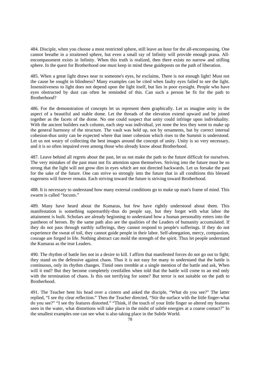484. Disciple, when you choose a most restricted sphere, still leave an hour for the all-encompassing. One cannot breathe in a straitened sphere, but even a small ray of Infinity will provide enough prana. Allencompassment exists in Infinity. When this truth is realized, then there exists no narrow and stifling sphere. In the quest for Brotherhood one must keep in mind these guideposts on the path of liberation.

485. When a great light draws near to someone's eyes, he exclaims, There is not enough light! Must not the cause be sought in blindness? Many examples can be cited when faulty eyes failed to see the light. Insensitiveness to light does not depend upon the light itself, but lies in poor eyesight. People who have eyes obstructed by dust can often be reminded of this. Can such a person be fit for the path to Brotherhood?

486. For the demonstration of concepts let us represent them graphically. Let us imagine unity in the aspect of a beautiful and stable dome. Let the threads of the elevation extend upward and be joined together as the facets of the dome. No one could suspect that unity could infringe upon individuality. With the ancient builders each column, each step was individual, yet none the less they went to make up the general harmony of the structure. The vault was held up, not by ornaments, but by correct internal cohesion-thus unity can be expected where that inner cohesion which rises to the Summit is understood. Let us not weary of collecting the best images around the concept of unity. Unity is so very necessary, and it is so often impaired even among those who already know about Brotherhood.

487. Leave behind all regrets about the past, let us not make the path to the future difficult for ourselves. The very mistakes of the past must not fix attention upon themselves. Striving into the future must be so strong that the light will not grow dim in eyes which are not directed backwards. Let us forsake the past for the sake of the future. One can strive so strongly into the future that in all conditions this blessed eagerness will forever remain. Each striving toward the future is striving toward Brotherhood.

488. It is necessary to understand how many external conditions go to make up man's frame of mind. This swarm is called "locusts."

489. Many have heard about the Kumaras, but few have rightly understood about them. This manifestation is something superearthly-thus do people say, but they forget with what labor the attainment is built. Scholars are already beginning to understand how a human personality enters into the pantheon of heroes. By the same path also are the qualities of the Leaders of humanity accumulated. If they do not pass through earthly sufferings, they cannot respond to people's sufferings. If they do not experience the sweat of toil, they cannot guide people in their labor. Self-abnegation, mercy, compassion, courage are forged in life. Nothing abstract can mold the strength of the spirit. Thus let people understand the Kumaras as the true Leaders.

490. The rhythm of battle lies not in a desire to kill. I affirm that manifested forces do not go out to fight; they stand on the defensive against chaos. Thus it is not easy for many to understand that the battle is continuous, only its rhythm changes. Timid ones tremble at a single mention of the battle and ask, When will it end? But they become completely crestfallen when told that the battle will come to an end only with the termination of chaos. Is this not terrifying for some? But terror is not suitable on the path to Brotherhood.

491. The Teacher bent his head over a cistern and asked the disciple, "What do you see?" The latter replied, "I see thy clear reflection." Then the Teacher directed, "Stir the surface with the little finger-what do you see?" "I see thy features distorted." "Think, if the touch of your little finger so altered my features seen in the water, what distortions will take place in the midst of subtle energies at a coarse contact?" In the smallest examples one can see what is also taking place in the Subtle World.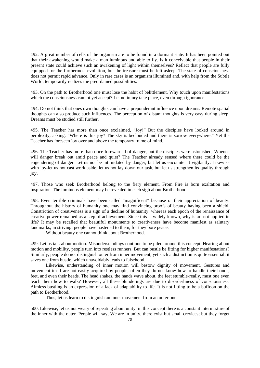492. A great number of cells of the organism are to be found in a dormant state. It has been pointed out that their awakening would make a man luminous and able to fly. Is it conceivable that people in their present state could achieve such an awakening of light within themselves? Reflect that people are fully equipped for the furthermost evolution, but the treasure must be left asleep. The state of consciousness does not permit rapid advance. Only in rare cases is an organism illumined and, with help from the Subtle World, temporarily realizes the preordained possibilities.

493. On the path to Brotherhood one must lose the habit of belittlement. Why touch upon manifestations which the consciousness cannot yet accept? Let no injury take place, even through ignorance.

494. Do not think that ones own thoughts can have a preponderant influence upon dreams. Remote spatial thoughts can also produce such influences. The perception of distant thoughts is very easy during sleep. Dreams must be studied still further.

495. The Teacher has more than once exclaimed, "Joy!" But the disciples have looked around in perplexity, asking, "Where is this joy? The sky is beclouded and there is sorrow everywhere." Yet the Teacher has foreseen joy over and above the temporary frame of mind.

496. The Teacher has more than once forewarned of danger, but the disciples were astonished, Whence will danger break out amid peace and quiet? The Teacher already sensed where there could be the engendering of danger. Let us not be intimidated by danger, but let us encounter it vigilantly. Likewise with joy-let us not cast work aside, let us not lay down our task, but let us strengthen its quality through joy.

497. Those who seek Brotherhood belong to the fiery element. From Fire is born exaltation and inspiration. The luminous element may be revealed in each sigh about Brotherhood.

498. Even terrible criminals have been called "magnificent" because or their appreciation of beauty. Throughout the history of humanity one may find convincing proofs of beauty having been a shield. Constriction of creativeness is a sign of a decline of humanity, whereas each epoch of the renaissance of creative power remained as a step of achievement. Since this is widely known, why is art not applied in life? It may be recalled that beautiful monuments to creativeness have become manifest as salutary landmarks; in striving, people have hastened to them, for they bore peace.

Without beauty one cannot think about Brotherhood.

499. Let us talk about motion. Misunderstandings continue to be piled around this concept. Hearing about motion and mobility, people turn into restless runners. But can bustle be fitting for higher manifestations? Similarly, people do not distinguish outer from inner movement, yet such a distinction is quite essential; it saves one from bustle, which unavoidably leads to falsehood.

 Likewise, understanding of inner motion will bestow dignity of movement. Gestures and movement itself are not easily acquired by people; often they do not know how to handle their hands, feet, and even their heads. The head shakes, the hands wave about, the feet stumble-really, must one even teach them how to walk? However, all these blunderings are due to disorderliness of consciousness. Aimless bustling is an expression of a lack of adaptability to life. It is not fitting to be a buffoon on the path to Brotherhood.

Thus, let us learn to distinguish an inner movement from an outer one.

500. Likewise, let us not weary of repeating about unity; in this concept there is a constant intermixture of the inner with the outer. People will say, We are in unity, there exist but small crevices; but they forget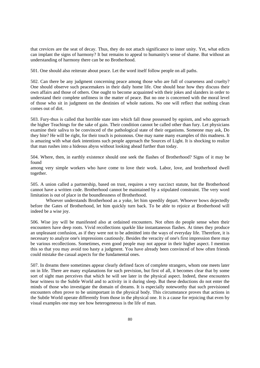that crevices are the seat of decay. Thus, they do not attach significance to inner unity. Yet, what edicts can implant the signs of harmony? It but remains to appeal to humanity's sense of shame. But without an understanding of harmony there can be no Brotherhood.

501. One should also reiterate about peace. Let the word itself follow people on all paths.

502. Can there be any judgment concerning peace among those who are full of coarseness and cruelty? One should observe such peacemakers in their daily home life. One should hear how they discuss their own affairs and those of others. One ought to become acquainted with their jokes and slanders in order to understand their complete unfitness in the matter of peace. But no one is concerned with the moral level of those who sit in judgment on the destinies of whole nations. No one will reflect that nothing clean comes out of dirt.

503. Fury-thus is called that horrible state into which fall those possessed by egoism, and who approach the higher Teachings for the sake of gain. Their condition cannot be called other than fury. Let physicians examine their saliva to be convinced of the pathological state of their organisms. Someone may ask, Do they bite? He will be right, for their touch is poisonous. One may name many examples of this madness. It is amazing with what dark intentions such people approach the Sources of Light. It is shocking to realize that man rushes into a hideous abyss without looking ahead further than today.

504. Where, then, in earthly existence should one seek the flashes of Brotherhood? Signs of it may be found

among very simple workers who have come to love their work. Labor, love, and brotherhood dwell together.

505. A union called a partnership, based on trust, requires a very succinct statute, but the Brotherhood cannot have a written code. Brotherhood cannot be maintained by a stipulated constraint. The very word limitation is out of place in the boundlessness of Brotherhood.

 Whoever understands Brotherhood as a yoke, let him speedily depart. Whoever bows dejectedly before the Gates of Brotherhood, let him quickly turn back. To be able to rejoice at Brotherhood will indeed be a wise joy.

506. Wise joy will be manifested also at ordained encounters. Not often do people sense when their encounters have deep roots. Vivid recollections sparkle like instantaneous flashes. At times they produce an unpleasant confusion, as if they were not to be admitted into the ways of everyday life. Therefore, it is necessary to analyze one's impressions cautiously. Besides the veracity of one's first impression there may be various recollections. Sometimes, even good people may not appear in their higher aspect. I mention this so that you may avoid too hasty a judgment. You have already been convinced of how often friends could mistake the casual aspects for the fundamental ones.

507. In dreams there sometimes appear clearly defined faces of complete strangers, whom one meets later on in life. There are many explanations for such prevision, but first of all, it becomes clear that by some sort of sight man perceives that which he will see later in the physical aspect. Indeed, these encounters bear witness to the Subtle World and to activity in it during sleep. But these deductions do not enter the minds of those who investigate the domain of dreams. It is especially noteworthy that such previsioned encounters often prove to be unimportant in the physical body. This circumstance proves that actions in the Subtle World operate differently from those in the physical one. It is a cause for rejoicing that even by visual examples one may see how heterogeneous is the life of man.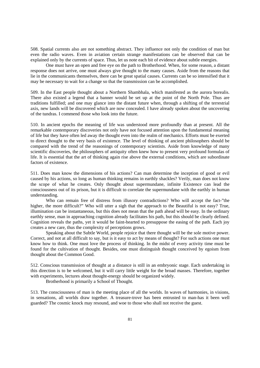508. Spatial currents also are not something abstract. They influence not only the condition of man but even the radio waves. Even in aviation certain strange manifestations can be observed that can be explained only by the currents of space. Thus, let us note each bit of evidence about subtle energies.

 One must have an open and free eye on the path to Brotherhood. When, for some reason, a distant response does not arrive, one must always give thought to the many causes. Aside from the reasons that lie in the communicants themselves, there can be great spatial causes. Currents can be so intensified that it may be necessary to wait for a change so that the transmission can be accomplished.

509. In the East people thought about a Northern Shambhala, which manifested as the aurora borealis. There also existed a legend that a banner would be set up at the point of the North Pole. Thus are traditions fulfilled; and one may glance into the distant future when, through a shifting of the terrestrial axis, new lands will be discovered which are now concealed. I have already spoken about the uncovering of the tundras. I commend those who look into the future.

510. In ancient epochs the meaning of life was understood more profoundly than at present. All the remarkable contemporary discoveries not only have not focused attention upon the fundamental meaning of life but they have often led away the thought even into the realm of mechanics. Efforts must be exerted to direct thought to the very basis of existence. The level of thinking of ancient philosophers should be compared with the trend of the reasonings of contemporary scientists. Aside from knowledge of many scientific discoveries, the philosophers of antiquity often knew how to present very profound formulas of life. It is essential that the art of thinking again rise above the external conditions, which are subordinate factors of existence.

511. Does man know the dimensions of his actions? Can man determine the inception of good or evil caused by his actions, so long as human thinking remains in earthly shackles? Verily, man does not know the scope of what he creates. Only thought about supermundane, infinite Existence can lead the consciousness out of its prison, but it is difficult to correlate the supermundane with the earthly in human understanding.

 Who can remain free of distress from illusory contradictions? Who will accept the fact-"the higher, the more difficult?" Who will utter a sigh that the approach to the Beautiful is not easy? True, illumination can be instantaneous, but this does not mean that the path ahead will be easy. In the ordinary earthly sense, man in approaching cognition already facilitates his path, but this should be clearly defined. Cognition reveals the paths, yet it would be faint-hearted to presuppose the easing of the path. Each joy creates a new care, thus the complexity of perceptions grows.

 Speaking about the Subtle World, people rejoice that there thought will be the sole motive power. Correct, and not at all difficult to say, but is it easy to act by means of thought? For such actions one must know how to think. One must love the process of thinking. In the midst of every activity time must be found for the cultivation of thought. Besides, one must distinguish thought conceived by egoism from thought about the Common Good.

512. Conscious transmission of thought at a distance is still in an embryonic stage. Each undertaking in this direction is to be welcomed, but it will carry little weight for the broad masses. Therefore, together with experiments, lectures about thought-energy should be organized widely.

Brotherhood is primarily a School of Thought.

513. The consciousness of man is the meeting place of all the worlds. In waves of harmonies, in visions, in sensations, all worlds draw together. A treasure-trove has been entrusted to man-has it been well guarded? The cosmic knock may resound, and woe to those who shall not receive the guest.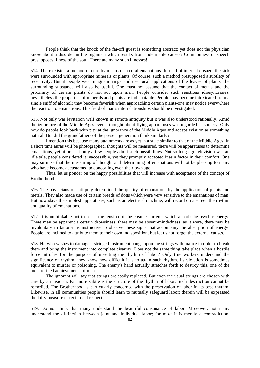People think that the knock of the far-off guest is something abstract; yet does not the physician know about a disorder in the organism which results from indefinable causes? Commonness of speech presupposes illness of the soul. There are many such illnesses!

514. There existed a method of cure by means of natural emanations. Instead of internal dosage, the sick were surrounded with appropriate minerals or plants. Of course, such a method presupposed a subtlety of receptivity. But if people wear magnetic rings and use local applications of the leaves of plants, the surrounding substance will also be useful. One must not assume that the contact of metals and the proximity of certain plants do not act upon man. People consider such reactions idiosyncrasies, nevertheless the properties of minerals and plants are indisputable. People may become intoxicated from a single sniff of alcohol; they become feverish when approaching certain plants-one may notice everywhere the reaction to emanations. This field of man's interrelationships should be investigated.

515. Not only was levitation well known in remote antiquity but it was also understood rationally. Amid the ignorance of the Middle Ages even a thought about flying apparatuses was regarded as sorcery. Only now do people look back with pity at the ignorance of the Middle Ages and accept aviation as something natural. But did the grandfathers of the present generation think similarly?

 I mention this because many attainments are as yet in a state similar to that of the Middle Ages. In a short time auras will be photographed, thoughts will be measured, there will be apparatuses to determine emanations, yet at present only a few people admit such possibilities. Not so long ago television was an idle tale, people considered it inaccessible, yet they promptly accepted it as a factor in their comfort. One may surmise that the measuring of thought and determining of emanations will not be pleasing to many who have become accustomed to concealing even their own age.

 Thus, let us ponder on the happy possibilities that will increase with acceptance of the concept of Brotherhood.

516. The physicians of antiquity determined the quality of emanations by the application of plants and metals. They also made use of certain breeds of dogs which were very sensitive to the emanations of man. But nowadays the simplest apparatuses, such as an electrical machine, will record on a screen the rhythm and quality of emanations.

517. It is unthinkable not to sense the tension of the cosmic currents which absorb the psychic energy. There may be apparent a certain drowsiness, there may be absent-mindedness, as it were, there may be involuntary irritation-it is instructive to observe these signs that accompany the absorption of energy. People are inclined to attribute them to their own indisposition, but let us not forget the external causes.

518. He who wishes to damage a stringed instrument bangs upon the strings with malice in order to break them and bring the instrument into complete disarray. Does not the same thing take place when a hostile force intrudes for the purpose of upsetting the rhythm of labor? Only true workers understand the significance of rhythm; they know how difficult it is to attain such rhythm. Its violation is sometimes equivalent to murder or poisoning. The enemy's hand actually stretches forth to destroy this, one of the most refined achievements of man.

 The ignorant will say that strings are easily replaced. But even the usual strings are chosen with care by a musician. Far more subtle is the structure of the rhythm of labor. Such destruction cannot be remedied. The Brotherhood is particularly concerned with the preservation of labor in its best rhythm. Likewise, in all communities people should learn to mutually safeguard labor; therein will be expressed the lofty measure of reciprocal respect.

519. Do not think that many understand the beautiful consonance of labor. Moreover, not many understand the distinction between joint and individual labor; for most it is merely a contradiction,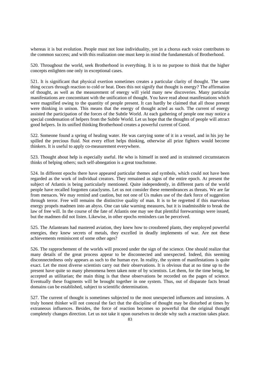whereas it is but evolution. People must not lose individuality, yet in a chorus each voice contributes to the common success; and with this realization one must keep in mind the fundamentals of Brotherhood.

520. Throughout the world, seek Brotherhood in everything. It is to no purpose to think that the higher concepts enlighten one only in exceptional cases.

521. It is significant that physical exertion sometimes creates a particular clarity of thought. The same thing occurs through reaction to cold or heat. Does this not signify that thought is energy? The affirmation of thought, as well as the measurement of energy will yield many new discoveries. Many particular manifestations are concomitant with the unification of thought. You have read about manifestations which were magnified owing to the quantity of people present. It can hardly be claimed that all those present were thinking in unison. This means that the energy of thought acted as such. The current of energy assisted the participation of the forces of the Subtle World. At each gathering of people one may notice a special condensation of helpers from the Subtle World. Let us hope that the thoughts of people will attract good helpers. In its unified thinking Brotherhood creates a powerful current of Good.

522. Someone found a spring of healing water. He was carrying some of it in a vessel, and in his joy he spilled the precious fluid. Not every effort helps thinking, otherwise all prize fighters would become thinkers. It is useful to apply co-measurement everywhere.

523. Thought about help is especially useful. He who is himself in need and in straitened circumstances thinks of helping others; such self-abnegation is a great touchstone.

524. In different epochs there have appeared particular themes and symbols, which could not have been regarded as the work of individual creators. They remained as signs of the entire epoch. At present the subject of Atlantis is being particularly mentioned. Quite independently, in different parts of the world people have recalled forgotten cataclysms. Let us not consider these remembrances as threats. We are far from menaces. We may remind and caution, but not one of Us makes use of the dark force of suggestion through terror. Free will remains the distinctive quality of man. It is to be regretted if this marvelous energy propels madmen into an abyss. One can take warning measures, but it is inadmissible to break the law of free will. In the course of the fate of Atlantis one may see that plentiful forewarnings were issued, but the madmen did not listen. Likewise, in other epochs reminders can be perceived.

525. The Atlanteans had mastered aviation, they knew how to crossbreed plants, they employed powerful energies, they knew secrets of metals, they excelled in deadly implements of war. Are not these achievements reminiscent of some other ages?

526. The rapprochement of the worlds will proceed under the sign of the science. One should realize that many details of the great process appear to be disconnected and unexpected. Indeed, this seeming disconnectedness only appears as such to the human eye. In reality, the system of manifestations is quite exact. Let the most diverse scientists carry out their observations. It is obvious that at no time up to the present have quite so many phenomena been taken note of by scientists. Let them, for the time being, be accepted as utilitarian; the main thing is that these observations be recorded on the pages of science. Eventually these fragments will be brought together in one system. Thus, out of disparate facts broad domains can be established, subject to scientific determination.

527. The current of thought is sometimes subjected to the most unexpected influences and intrusions. A truly honest thinker will not conceal the fact that the discipline of thought may be disturbed at times by extraneous influences. Besides, the force of reaction becomes so powerful that the original thought completely changes direction. Let us not take it upon ourselves to decide why such a reaction takes place.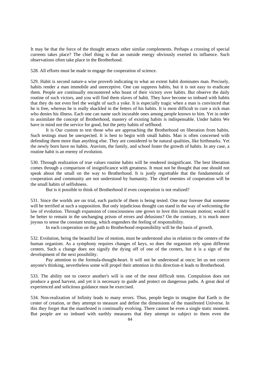It may be that the force of the thought attracts other similar complements. Perhaps a crossing of special currents takes place? The chief thing is that an outside energy obviously exerted its influence. Such observations often take place in the Brotherhood.

528. All efforts must be made to engage the cooperation of science.

529. Habit is second nature-a wise proverb indicating to what an extent habit dominates man. Precisely, habits render a man immobile and unreceptive. One can suppress habits, but it is not easy to eradicate them. People are continually encountered who boast of their victory over habits. But observe the daily routine of such victors, and you will find them slaves of habit. They have become so imbued with habits that they do not even feel the weight of such a yoke. It is especially tragic when a man is convinced that he is free, whereas he is really shackled in the fetters of his habits. It is most difficult to cure a sick man who denies his illness. Each one can name such incurable ones among people known to him. Yet in order to assimilate the concept of Brotherhood, mastery of existing habits is indispensable. Under habits We have in mind not the service for good, but the petty habits of selfhood.

 It is Our custom to test those who are approaching the Brotherhood on liberation from habits. Such testings must be unexpected. It is best to begin with small habits. Man is often concerned with defending them more than anything else. They are considered to be natural qualities, like birthmarks. Yet the newly born have no habits. Atavism, the family, and school foster the growth of habits. In any case, a routine habit is an enemy of evolution.

530. Through realization of true values routine habits will be rendered insignificant. The best liberation comes through a comparison of insignificance with greatness. It must not be thought that one should not speak about the small on the way to Brotherhood. It is justly regrettable that the fundamentals of cooperation and community are not understood by humanity. The chief enemies of cooperation will be the small habits of selfishness.

But is it possible to think of Brotherhood if even cooperation is not realized?

531. Since the worlds are on trial, each particle of them is being tested. One may foresee that someone will be terrified at such a supposition. But only injudicious thought can stand in the way of welcoming the law of evolution. Through expansion of consciousness one grows to love this incessant motion; would it be better to remain in the unchanging prison of errors and delusions? On the contrary, it is much more joyous to sense the constant testing, which engenders the feeling of responsibility.

In each cooperation on the path to Brotherhood responsibility will be the basis of growth.

532. Evolution, being the beautiful law of motion, must be understood also in relation to the centers of the human organism. As a symphony requires changes of keys, so does the organism rely upon different centers. Such a change does not signify the dying off of one of the centers, but it is a sign of the development of the next possibility.

 Pay attention to the formula-thought-heart. It will not be understood at once; let us not coerce anyone's thinking, nevertheless some will propel their attention in this direction-it leads to Brotherhood.

533. The ability not to coerce another's will is one of the most difficult tests. Compulsion does not produce a good harvest, and yet it is necessary to guide and protect on dangerous paths. A great deal of experienced and solicitous guidance must be exercised.

534. Non-realization of Infinity leads to many errors. Thus, people begin to imagine that Earth is the center of creation, or they attempt to measure and define the dimensions of the manifested Universe. In this they forget that the manifested is continually evolving. There cannot be even a single static moment. But people are so imbued with earthly measures that they attempt to subject to them even the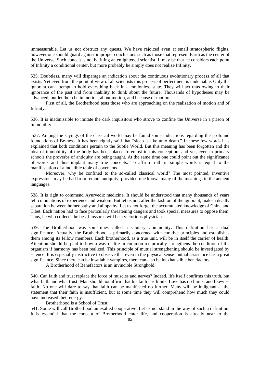immeasurable. Let us not obstruct any quests. We have rejoiced even at small stratospheric flights, however one should guard against improper conclusions such as those that represent Earth as the center of the Universe. Such conceit is not befitting an enlightened scientist. It may be that he considers each point of Infinity a conditional center, but more probably he simply does not realize Infinity.

535. Doubtless, many will disparage an indication about the continuous evolutionary process of all that exists. Yet even from the point of view of all scientists this process of perfectment is undeniable. Only the ignorant can attempt to hold everything back in a motionless state. They will act thus owing to their ignorance of the past and from inability to think about the future. Thousands of hypotheses may be advanced, but let them be in motion, about motion, and because of motion.

 First of all, the Brotherhood tests those who are approaching on the realization of motion and of Infinity.

536. It is inadmissible to imitate the dark inquisitors who strove to confine the Universe in a prison of immobility.

 537. Among the sayings of the classical world may be found some indications regarding the profound foundations of Be-ness. It has been rightly said that "sleep is like unto death." In these few words it is explained that both conditions pertain to the Subtle World. But this meaning has been forgotten and the idea of immobility of the body has been placed foremost in this conception; and yet, even in primary schools the proverbs of antiquity are being taught. At the same time one could point out the significance of words and thus implant many true concepts. To affirm truth in simple words is equal to the manifestation of a indelible table of covenants.

 Moreover, why be confined to the so-called classical world? The most pointed, inventive expressions may be had from remote antiquity, provided one knows many of the meanings in the ancient languages.

538. It is right to commend Ayurvedic medicine. It should be understood that many thousands of years left cumulations of experience and wisdom. But let us not, after the fashion of the ignorant, make a deadly separation between homeopathy and allopathy. Let us not forget the accumulated knowledge of China and Tibet. Each nation had to face particularly threatening dangers and took special measures to oppose them. Thus, he who collects the best blossoms will be a victorious physician.

539. The Brotherhood was sometimes called a salutary Community. This definition has a dual significance. Actually, the Brotherhood is primarily concerned with curative principles and establishes them among its fellow members. Each brotherhood, as a true unit, will be in itself the carrier of health. Attention should be paid to how a way of life in common reciprocally strengthens the condition of the organism if harmony has been realized. This principle of mutual strengthening should be investigated by science. It is especially instructive to observe that even in the physical sense mutual assistance has a great significance. Since there can be insatiable vampires, there can also be inexhaustible benefactors.

A Brotherhood of Benefactors is an invincible Stronghold.

540. Can faith and trust replace the force of muscles and nerves? Indeed, life itself confirms this truth, but what faith and what trust! Man should not affirm that his faith has limits. Love has no limits, and likewise faith. No one will dare to say that faith can be manifested no further. Many will be indignant at the statement that their faith is insufficient, but at some time they will comprehend how much they could have increased their energy.

## Brotherhood is a School of Trust.

541. Some will call Brotherhood an exalted cooperative. Let us not stand in the way of such a definition. It is essential that the concept of Brotherhood enter life, and cooperation is already near to the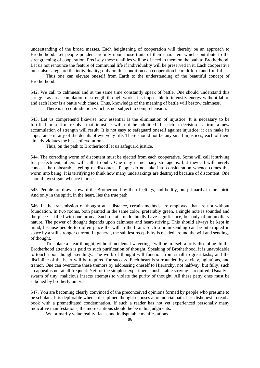understanding of the broad masses. Each heightening of cooperation will thereby be an approach to Brotherhood. Let people ponder carefully upon those traits of their characters which contribute to the strengthening of cooperation. Precisely these qualities will be of need to them on the path to Brotherhood. Let us not renounce the feature of communal life if individuality will be preserved in it. Each cooperative must also safeguard the individuality; only on this condition can cooperation be multiform and fruitful.

 Thus one can elevate oneself from Earth to the understanding of the beautiful concept of Brotherhood.

542. We call to calmness and at the same time constantly speak of battle. One should understand this struggle as an accumulation of strength through work. It is impossible to intensify energy without labor, and each labor is a battle with chaos. Thus, knowledge of the meaning of battle will bestow calmness.

There is no contradiction which is not subject to comprehension.

543. Let us comprehend likewise how essential is the elimination of injustice. It is necessary to be fortified in a firm resolve that injustice will not be admitted. If such a decision is firm, a new accumulation of strength will result. It is not easy to safeguard oneself against injustice; it can make its appearance in any of the details of everyday life. There should not be any small injustices; each of them already violates the basis of evolution.

Thus, on the path to Brotherhood let us safeguard justice.

544. The corroding worm of discontent must be ejected from each cooperative. Some will call it striving for perfectment, others will call it doubt. One may name many stratagems, but they all will merely conceal the unbearable feeling of discontent. People do not take into consideration whence comes this worm into being. It is terrifying to think how many undertakings are destroyed because of discontent. One should investigate whence it arises.

545. People are drawn toward the Brotherhood by their feelings, and bodily, but primarily in the spirit. And only in the spirit, in the heart, lies the true path.

546. In the transmission of thought at a distance, certain methods are employed that are not without foundation. In two rooms, both painted in the same color, preferably green, a single note is sounded and the place is filled with one aroma. Such details undoubtedly have significance, but only of an auxiliary nature. The power of thought depends upon calmness and heart-striving. This should always be kept in mind, because people too often place the will in the brain. Such a brain-sending can be interrupted in space by a still stronger current. In general, the subtlest receptivity is needed around the will and sendings of thought.

 To isolate a clear thought, without incidental waverings, will be in itself a lofty discipline. In the Brotherhood attention is paid to such purification of thought. Speaking of Brotherhood, it is unavoidable to touch upon thought-sendings. The work of thought will function from small to great tasks, and the discipline of the heart will be required for success. Each heart is surrounded by anxiety, agitations, and tremor. One can overcome these tremors by addressing oneself to Hierarchy, not halfway, but fully; such an appeal is not at all frequent. Yet for the simplest experiments unshakable striving is required. Usually a swarm of tiny, malicious insects attempts to violate the purity of thought. All these petty ones must be subdued by brotherly unity.

547. You are becoming clearly convinced of the preconceived opinions formed by people who presume to be scholars. It is deplorable when a disciplined thought chooses a prejudicial path. It is dishonest to read a book with a premeditated condemnation. If such a reader has not yet experienced personally many indicative manifestations, the more cautious should he be in his judgments.

We primarily value reality, facts, and indisputable manifestations.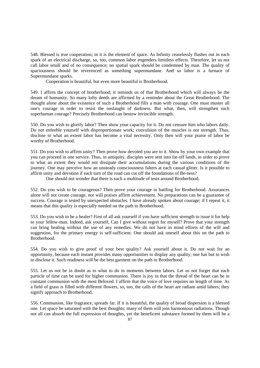548. Blessed is true cooperation; in it is the element of space. As Infinity ceaselessly flashes out in each spark of an electrical discharge, so, too, common labor engenders limitless effects. Therefore, let us not call labor small and of no consequence; no spatial spark should be condemned by man. The quality of spaciousness should be reverenced as something supermundane. And so labor is a furnace of Supermundane sparks.

Cooperation is beautiful, but even more beautiful is Brotherhood.

549. I affirm the concept of brotherhood; it reminds us of that Brotherhood which will always be the dream of humanity. So many lofty deeds are affirmed by a reminder about the Great Brotherhood. The thought alone about the existence of such a Brotherhood fills a man with courage. One must muster all one's courage in order to resist the onslaught of darkness. But what, then, will strengthen such superhuman courage? Precisely Brotherhood can bestow invincible strength.

550. Do you wish to glorify labor? Then show your capacity for it. Do not censure him who labors daily. Do not enfeeble yourself with disproportionate work; convulsion of the muscles is not strength. Thus, disclose to what an extent labor has become a vital necessity. Only then will your praise of labor be worthy of Brotherhood.

551. Do you wish to affirm unity? Then prove how devoted you are to it. Show by your own example that you can proceed in one service. Thus, in antiquity, disciples were sent into far-off lands, in order to prove to what an extent they would not dissipate their accumulations during the various conditions of the journey. One may perceive how an unsteady consciousness falters at each casual glitter. Is it possible to affirm unity and devotion if each turn of the road can cut off the foundations of Be-ness?

One should not wonder that there is such a multitude of tests around Brotherhood.

552. Do you wish to be courageous? Then prove your courage in battling for Brotherhood. Assurances alone will not create courage, nor will praises affirm achievement. No preparations can be a guarantee of success. Courage is tested by unexpected obstacles. I have already spoken about courage; if I repeat it, it means that this quality is especially needed on the path to Brotherhood.

553. Do you wish to be a healer? First of all ask yourself if you have sufficient strength to issue it for help to your fellow-man. Indeed, ask yourself, Can I give without regret for myself? Prove that your strength can bring healing without the use of any remedies. We do not have in mind efforts of the will and suggestion, for the primary energy is self-sufficient. One should ask oneself about this on the path to Brotherhood.

554. Do you wish to give proof of your best quality? Ask yourself about it. Do not wait for an opportunity, because each instant provides many opportunities to display any quality; one has but to wish to disclose it. Such readiness will be the best garment on the path to Brotherhood.

555. Let us not be in doubt as to what to do in moments between labors. Let us not forget that each particle of time can be used for higher communion. There is joy in that the thread of the heart can be in constant communion with the most Beloved. I affirm that the voice of love requires no length of time. As a field of grass is filled with different flowers, so, too, the calls of the heart are radiant amid labors; they signify approach to Brotherhood.

556. Communion, like fragrance, spreads far. If it is beautiful, the quality of broad dispersion is a blessed one. Let space be saturated with the best thoughts; many of them will join harmonious radiations. Though not all can absorb the full expression of thoughts, yet the beneficent substance formed by them will be a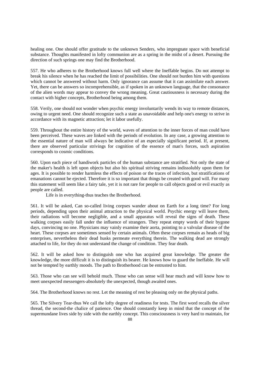healing one. One should offer gratitude to the unknown Senders, who impregnate space with beneficial substance. Thoughts manifested in lofty communion are as a spring in the midst of a desert. Pursuing the direction of such springs one may find the Brotherhood.

557. He who adheres to the Brotherhood knows full well where the Ineffable begins. Do not attempt to break his silence when he has reached the limit of possibilities. One should not burden him with questions which cannot be answered without harm. Only ignorance can assume that it can assimilate each answer. Yet, there can be answers so incomprehensible, as if spoken in an unknown language, that the consonance of the alien words may appear to convey the wrong meaning. Great cautiousness is necessary during the contact with higher concepts, Brotherhood being among them.

558. Verily, one should not wonder when psychic energy involuntarily wends its way to remote distances, owing to urgent need. One should recognize such a state as unavoidable and help one's energy to strive in accordance with its magnetic attraction; let it labor usefully.

559. Throughout the entire history of the world, waves of attention to the inner forces of man could have been perceived. These waves are linked with the periods of evolution. In any case, a growing attention to the essential nature of man will always be indicative of an especially significant period. If, at present, there are observed particular strivings for cognition of the essence of man's forces, such aspiration corresponds to cosmic conditions.

560. Upon each piece of handiwork particles of the human substance are stratified. Not only the state of the maker's health is left upon objects but also his spiritual striving remains indissolubly upon them for ages. It is possible to render harmless the effects of poison or the traces of infection, but stratifications of emanations cannot be ejected. Therefore it is so important that things be created with good will. For many this statement will seem like a fairy tale, yet it is not rare for people to call objects good or evil exactly as people are called.

Life is in everything-thus teaches the Brotherhood.

561. It will be asked, Can so-called living corpses wander about on Earth for a long time? For long periods, depending upon their animal attraction to the physical world. Psychic energy will leave them, their radiations will become negligible, and a small apparatus will reveal the signs of death. These walking corpses easily fall under the influence of strangers. They repeat empty words of their bygone days, convincing no one. Physicians may vainly examine their aorta, pointing to a valvular disease of the heart. These corpses are sometimes sensed by certain animals. Often these corpses remain as heads of big enterprises, nevertheless their dead husks permeate everything therein. The walking dead are strongly attached to life, for they do not understand the change of condition. They fear death.

562. It will be asked how to distinguish one who has acquired great knowledge. The greater the knowledge, the more difficult it is to distinguish its bearer. He knows how to guard the Ineffable. He will not be tempted by earthly moods. The path to Brotherhood can be entrusted to him.

563. Those who can see will behold much. Those who can sense will hear much and will know how to meet unexpected messengers-absolutely the unexpected, though awaited ones.

564. The Brotherhood knows no rest. Let the meaning of rest be pleasing only on the physical paths.

565. The Silvery Tear-thus We call the lofty degree of readiness for tests. The first word recalls the silver thread, the second-the chalice of patience. One should constantly keep in mind that the concept of the supermundane lives side by side with the earthly concept. This consciousness is very hard to maintain, for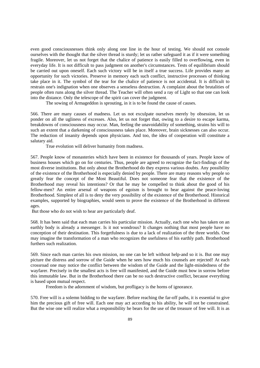even good consciousnesses think only along one line in the hour of testing. We should not console ourselves with the thought that the silver thread is sturdy; let us rather safeguard it as if it were something fragile. Moreover, let us not forget that the chalice of patience is easily filled to overflowing, even in everyday life. It is not difficult to pass judgment on another's circumstances. Tests of equilibrium should be carried out upon oneself. Each such victory will be in itself a true success. Life provides many an opportunity for such victories. Preserve in memory each such conflict, instructive processes of thinking take place in it. The symbol of the tear for the chalice of patience is not accidental. It is difficult to restrain one's indignation when one observes a senseless destruction. A complaint about the brutalities of people often runs along the silver thread. The Teacher will often send a ray of Light so that one can look into the distance. Only the telescope of the spirit can cover the judgment.

The sowing of Armageddon is sprouting, in it is to be found the cause of causes.

566. There are many causes of madness. Let us not exculpate ourselves merely by obsession, let us ponder on all the ugliness of excesses. Also, let us not forget that, owing to a desire to escape karma, breakdowns of consciousness may occur. Man, feeling the unavoidability of something, strains his will to such an extent that a darkening of consciousness takes place. Moreover, brain sicknesses can also occur. The reduction of insanity depends upon physicians. And too, the idea of cooperation will constitute a salutary aid.

True evolution will deliver humanity from madness.

567. People know of monasteries which have been in existence for thousands of years. People know of business houses which go on for centuries. Thus, people are agreed to recognize the fact-findings of the most diverse institutions. But only about the Brotherhood do they express various doubts. Any possibility of the existence of the Brotherhood is especially denied by people. There are many reasons why people so greatly fear the concept of the Most Beautiful. Does not someone fear that the existence of the Brotherhood may reveal his intentions? Or that he may be compelled to think about the good of his fellow-men? An entire arsenal of weapons of egoism is brought to bear against the peace-loving Brotherhood. Simplest of all is to deny the very possibility of the existence of the Brotherhood. Historical examples, supported by biographies, would seem to prove the existence of the Brotherhood in different ages.

But those who do not wish to hear are particularly deaf.

568. It has been said that each man carries his particular mission. Actually, each one who has taken on an earthly body is already a messenger. Is it not wondrous? It changes nothing that most people have no conception of their destination. This forgetfulness is due to a lack of realization of the three worlds. One may imagine the transformation of a man who recognizes the usefulness of his earthly path. Brotherhood furthers such realization.

569. Since each man carries his own mission, no one can be left without help-and so it is. But one may picture the distress and sorrow of the Guide when he sees how much his counsels are rejected! At each crossroad one may notice the conflict between the wisdom of the Guide and the light-mindedness of the wayfarer. Precisely in the smallest acts is free will manifested, and the Guide must bow in sorrow before this immutable law. But in the Brotherhood there can be no such destructive conflict, because everything is based upon mutual respect.

Freedom is the adornment of wisdom, but profligacy is the horns of ignorance.

570. Free will is a solemn bidding to the wayfarer. Before reaching the far-off paths, it is essential to give him the precious gift of free will. Each one may act according to his ability, he will not be constrained. But the wise one will realize what a responsibility he bears for the use of the treasure of free will. It is as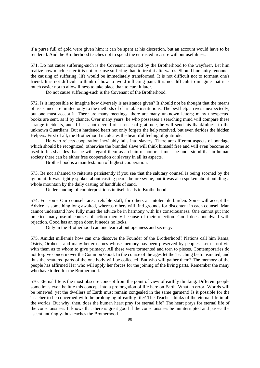if a purse full of gold were given him; it can be spent at his discretion, but an account would have to be rendered. And the Brotherhood teaches not to spend the entrusted treasure without usefulness.

571. Do not cause suffering-such is the Covenant imparted by the Brotherhood to the wayfarer. Let him realize how much easier it is not to cause suffering than to treat it afterwards. Should humanity renounce the causing of suffering, life would be immediately transformed. It is not difficult not to torment one's friend. It is not difficult to think of how to avoid inflicting pain. It is not difficult to imagine that it is much easier not to allow illness to take place than to cure it later.

Do not cause suffering-such is the Covenant of the Brotherhood.

572. Is it impossible to imagine how diversely is assistance given? It should not be thought that the means of assistance are limited only to the methods of charitable institutions. The best help arrives unexpectedly, but one must accept it. There are many meetings; there are many unknown letters; many unexpected books are sent, as if by chance. Over many years, he who possesses a searching mind will compare these strange incidents, and if he is not devoid of a sense of gratitude, he will send his thankfulness to the unknown Guardians. But a hardened heart not only forgets the help received, but even derides the hidden Helpers. First of all, the Brotherhood inculcates the beautiful feeling of gratitude.

 He who rejects cooperation inevitably falls into slavery. There are different aspects of bondage which should be recognized, otherwise the branded slave will think himself free and will even become so used to his shackles that he will regard them as a chain of honor. It must be understood that in human society there can be either free cooperation or slavery in all its aspects.

Brotherhood is a manifestation of highest cooperation.

573. Be not ashamed to reiterate persistently if you see that the salutary counsel is being scorned by the ignorant. It was rightly spoken about casting pearls before swine, but it was also spoken about building a whole mountain by the daily casting of handfuls of sand.

Understanding of counterpositions in itself leads to Brotherhood.

574. For some Our counsels are a reliable staff, for others an intolerable burden. Some will accept the Advice as something long awaited, whereas others will find grounds for discontent in each counsel. Man cannot understand how fully must the advice be in harmony with his consciousness. One cannot put into practice many useful courses of action merely because of their rejection. Good does not dwell with rejection. Good has an open door, it needs no locks.

Only in the Brotherhood can one learn about openness and secrecy.

575. Amidst millennia how can one discover the Founder of the Brotherhood? Nations call him Rama, Osiris, Orpheus, and many better names whose memory has been preserved by peoples. Let us not vie with them as to whom to give primacy. All these were tormented and torn to pieces. Contemporaries do not forgive concern over the Common Good. In the course of the ages let the Teaching be transmuted, and thus the scattered parts of the one body will be collected. But who will gather them? The memory of the people has affirmed Her who will apply her forces for the joining of the living parts. Remember the many who have toiled for the Brotherhood.

576. Eternal life is the most obscure concept from the point of view of earthly thinking. Different people sometimes even belittle this concept into a prolongation of life here on Earth. What an error! Worlds will be renewed, yet the dwellers of Earth must remain congealed in the same garment! Is it possible for the Teacher to be concerned with the prolonging of earthly life? The Teacher thinks of the eternal life in all the worlds. But why, then, does the human heart pray for eternal life? The heart prays for eternal life of the consciousness. It knows that there is great good if the consciousness be uninterrupted and passes the ascent untiringly-thus teaches the Brotherhood.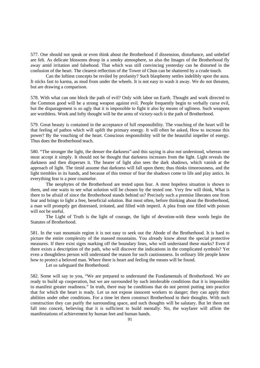577. One should not speak or even think about the Brotherhood if dissension, disturbance, and unbelief are felt. As delicate blossoms droop in a smoky atmosphere, so also the Images of the Brotherhood fly away amid irritation and falsehood. That which was still convincing yesterday can be distorted in the confusion of the heart. The clearest reflection of the Tower of Chun can be shattered by a crude touch.

 Can the loftiest concepts be reviled by profanity? Such blasphemy settles indelibly upon the aura. It sticks fast to karma, as mud from under the wheels. It is not easy to wash it away. We do not threaten, but are drawing a comparison.

578. With what can one block the path of evil? Only with labor on Earth. Thought and work directed to the Common good will be a strong weapon against evil. People frequently begin to verbally curse evil, but the disparagement is so ugly that it is impossible to fight it also by means of ugliness. Such weapons are worthless. Work and lofty thought will be the arms of victory-such is the path of Brotherhood.

579. Great beauty is contained in the acceptance of full responsibility. The vouching of the heart will be that feeling of pathos which will uplift the primary energy. It will often be asked, How to increase this power? By the vouching of the heart. Conscious responsibility will be the beautiful impeller of energy. Thus does the Brotherhood teach.

580. "The stronger the light, the denser the darkness"-and this saying is also not understood, whereas one must accept it simply. It should not be thought that darkness increases from the light. Light reveals the darkness and then disperses it. The bearer of light also sees the dark shadows, which vanish at the approach of light. The timid assume that darkness will fall upon them; thus thinks timorousness, and the light trembles in its hands, and because of this tremor of fear the shadows come to life and play antics. In everything fear is a poor counselor.

 The neophytes of the Brotherhood are tested upon fear. A most hopeless situation is shown to them, and one waits to see what solution will be chosen by the tested one. Very few will think, What is there to be afraid of since the Brotherhood stands behind us? Precisely such a premise liberates one from fear and brings to light a free, beneficial solution. But most often, before thinking about the Brotherhood, a man will promptly get distressed, irritated, and filled with imperil. A plea from one filled with poison will not be useful.

 The Light of Truth is the light of courage, the light of devotion-with these words begin the Statutes of Brotherhood.

581. In the vast mountain region it is not easy to seek out the Abode of the Brotherhood. It is hard to picture the entire complexity of the massed mountains. You already know about the special protective measures. If there exist signs marking off the boundary lines, who will understand these marks? Even if there exists a description of the path, who will discover the indications in the complicated symbols? Yet even a thoughtless person will understand the reason for such cautiousness. In ordinary life people know how to protect a beloved man. Where there is heart and feeling the means will be found.

Let us safeguard the Brotherhood.

582. Some will say to you, "We are prepared to understand the Fundamentals of Brotherhood. We are ready to build up cooperation, but we are surrounded by such intolerable conditions that it is impossible to manifest greater readiness." In truth, there may be conditions that do not permit putting into practice that for which the heart is ready. Let us not expose innocent workers to danger; they can apply their abilities under other conditions. For a time let them construct Brotherhood in their thoughts. With such construction they can purify the surrounding space, and such thoughts will be salutary. But let them not fall into conceit, believing that it is sufficient to build mentally. No, the wayfarer will affirm the manifestations of achievement by human feet and human hands.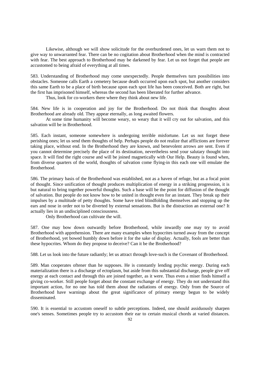Likewise, although we will show solicitude for the overburdened ones, let us warn them not to give way to unwarranted fear. There can be no cogitation about Brotherhood when the mind is contracted with fear. The best approach to Brotherhood may be darkened by fear. Let us not forget that people are accustomed to being afraid of everything at all times.

583. Understanding of Brotherhood may come unexpectedly. People themselves turn possibilities into obstacles. Someone calls Earth a cemetery because death occurred upon each spot, but another considers this same Earth to be a place of birth because upon each spot life has been conceived. Both are right, but the first has imprisoned himself, whereas the second has been liberated for further advance.

Thus, look for co-workers there where they think about new life.

584. New life is in cooperation and joy for the Brotherhood. Do not think that thoughts about Brotherhood are already old. They appear eternally, as long awaited flowers.

 At some time humanity will become weary, so weary that it will cry out for salvation, and this salvation will be in Brotherhood.

585. Each instant, someone somewhere is undergoing terrible misfortune. Let us not forget these perishing ones; let us send them thoughts of help. Perhaps people do not realize that afflictions are forever taking place, without end. In the Brotherhood they are known, and benevolent arrows are sent. Even if you cannot determine precisely the place of its destination, nevertheless send your salutary thought into space. It will find the right course and will be joined magnetically with Our Help. Beauty is found when, from diverse quarters of the world, thoughts of salvation come flying-in this each one will emulate the Brotherhood.

586. The primary basis of the Brotherhood was established, not as a haven of refuge, but as a focal point of thought. Since unification of thought produces multiplication of energy in a striking progression, it is but natural to bring together powerful thoughts. Such a base will be the point for diffusion of the thought of salvation. But people do not know how to be united in thought even for an instant. They break up their impulses by a multitude of petty thoughts. Some have tried blindfolding themselves and stopping up the ears and nose in order not to be diverted by external sensations. But is the distraction an external one? It actually lies in an undisciplined consciousness.

Only Brotherhood can cultivate the will.

587. One may bow down outwardly before Brotherhood, while inwardly one may try to avoid Brotherhood with apprehension. There are many examples when hypocrites turned away from the concept of Brotherhood, yet bowed humbly down before it for the sake of display. Actually, fools are better than these hypocrites. Whom do they propose to deceive? Can it be the Brotherhood?

588. Let us look into the future radiantly; let us attract through love-such is the Covenant of Brotherhood.

589. Man cooperates oftener than he supposes. He is constantly lending psychic energy. During each materialization there is a discharge of ectoplasm, but aside from this substantial discharge, people give off energy at each contact and through this are joined together, as it were. Thus even a miser finds himself a giving co-worker. Still people forget about the constant exchange of energy. They do not understand this important action, for no one has told them about the radiations of energy. Only from the Source of Brotherhood have warnings about the great significance of primary energy begun to be widely disseminated.

590. It is essential to accustom oneself to subtle perceptions. Indeed, one should assiduously sharpen one's senses. Sometimes people try to accustom their ear to certain musical chords at varied distances.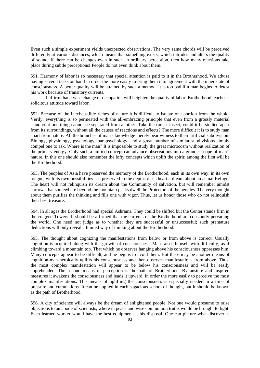Even such a simple experiment yields unexpected observations. The very same chords will be perceived differently at various distances, which means that something exists, which intrudes and alters the quality of sound. If there can be changes even in such an ordinary perception, then how many reactions take place during subtle perceptions! People do not even think about them.

591. Harmony of labor is so necessary that special attention is paid to it in the Brotherhood. We advise having several tasks on hand in order the more easily to bring them into agreement with the inner state of consciousness. A better quality will be attained by such a method. It is too bad if a man begins to detest his work because of transitory currents.

 I affirm that a wise change of occupation will heighten the quality of labor. Brotherhood teaches a solicitous attitude toward labor.

592. Because of the inexhaustible riches of nature it is difficult to isolate one portion from the whole. Verily, everything is so permeated with the all-embracing principle that even from a grossly material standpoint one thing cannot be separated from another. Take the tiniest insect, could it be studied apart from its surroundings, without all the causes of reactions and effects? The more difficult it is to study man apart from nature. All the branches of man's knowledge merely bear witness to their artificial subdivision. Biology, physiology, psychology, parapsychology, and a great number of similar subdivisions simply compel one to ask, Where is the man? It is impossible to study the great microcosm without realization of the primary energy. Only such a unified concept can advance observations into a grander scope of man's nature. In this one should also remember the lofty concepts which uplift the spirit; among the first will be the Brotherhood.

593. The peoples of Asia have preserved the memory of the Brotherhood; each in its own way, in its own tongue, with its own possibilities has preserved in the depths of its heart a dream about an actual Refuge. The heart will not relinquish its dream about the Community of salvation, but will remember amidst sorrows that somewhere beyond the mountain peaks dwell the Protectors of the peoples. The very thought about them purifies the thinking and fills one with vigor. Thus, let us honor those who do not relinquish their best treasure.

594. In all ages the Brotherhood had special Ashrams. They could be shifted but the Center stands firm in the cragged Towers. It should be affirmed that the currents of the Brotherhood are constantly pervading the world. One need not judge as to whether they are successful or unsuccessful; such premature deductions will only reveal a limited way of thinking about the Brotherhood.

595. The thought about cognizing the manifestations from below or from above is correct. Usually cognition is acquired along with the growth of consciousness. Man raises himself with difficulty, as if climbing toward a mountain top. That which he observes hanging above his consciousness oppresses him. Many concepts appear to be difficult, and he begins to avoid them. But there may be another means of cognition-man heroically uplifts his consciousness and then observes manifestations from above. Thus, the most complex manifestation will appear to be below his consciousness and will be easily apprehended. The second means of perception is the path of Brotherhood. By austere and inspired measures it awakens the consciousness and leads it upward, in order the more easily to perceive the most complex manifestations. This means of uplifting the consciousness is especially needed in a time of pressure and cumulations. It can be applied in each sagacious school of thought, but it should be known as the path of Brotherhood.

596. A city of science will always be the dream of enlightened people. Not one would presume to raise objections to an abode of scientists, where in peace and wise communion truths would be brought to light. Each learned worker would have the best equipment at his disposal. One can picture what discoveries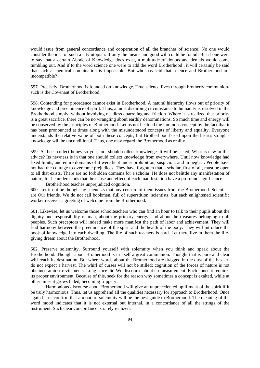would issue from general concordance and cooperation of all the branches of science! No one would consider the idea of such a city utopian. If only the means and good will could be found! But if one were to say that a certain Abode of Knowledge does exist, a multitude of doubts and denials would come tumbling out. And if to the word science one were to add the word Brotherhood , it will certainly be said that such a chemical combination is impossible. But who has said that science and Brotherhood are incompatible?

597. Precisely, Brotherhood is founded on knowledge. True science lives through brotherly communionsuch is the Covenant of Brotherhood.

598. Contending for precedence cannot exist in Brotherhood. A natural hierarchy flows out of priority of knowledge and preeminence of spirit. Thus, a most disturbing circumstance to humanity is resolved in the Brotherhood simply, without involving needless quarreling and friction. Where it is realized that priority is a great sacrifice, there can be no wrangling about earthly denominations. So much time and energy will be conserved by the principles of Brotherhood. Let us not becloud the luminous concept by the fact that it has been pronounced at times along with the misunderstood concepts of liberty and equality. Everyone understands the relative value of both these concepts, but Brotherhood based upon the heart's straightknowledge will be unconditional. Thus, one may regard the Brotherhood as reality.

599. As bees collect honey so you, too, should collect knowledge. It will be asked, What is new in this advice? Its newness is in that one should collect knowledge from everywhere. Until now knowledge had fixed limits, and entire domains of it were kept under prohibition, suspicion, and in neglect. People have not had the courage to overcome prejudices. They have forgotten that a scholar, first of all, must be open to all that exists. There are no forbidden domains for a scholar. He does not belittle any manifestation of nature, for he understands that the cause and effect of each manifestation have a profound significance.

Brotherhood teaches unprejudiced cognition.

600. Let it not be thought by scientists that any censure of them issues from the Brotherhood. Scientists are Our friends. We do not call bookmen, full of superstition, scientists; but each enlightened scientific worker receives a greeting of welcome from the Brotherhood.

601. Likewise, let us welcome those schoolteachers who can find an hour to talk to their pupils about the dignity and responsibility of man, about the primary energy, and about the treasures belonging to all peoples. Such preceptors will indeed make more manifest the path of labor and achievement. They will find harmony between the preeminence of the spirit and the health of the body. They will introduce the book of knowledge into each dwelling. The life of such teachers is hard. Let there live in them the lifegiving dream about the Brotherhood.

602. Preserve solemnity. Surround yourself with solemnity when you think and speak about the Brotherhood. Thought about Brotherhood is in itself a great communion. Thought that is pure and clear will reach its destination. But where words about the Brotherhood are dragged in the dust of the bazaar, do not expect a harvest. The whirl of curses will not be stilled; cognition of the forces of nature is not obtained amidst revilements. Long since did We discourse about co-measurement. Each concept requires its proper environment. Because of this, seek for the reason why sometimes a concept is exalted, while at other times it grows faded, becoming frippery.

 Harmonious discourse about Brotherhood will give an unprecedented upliftment of the spirit if it be truly harmonious. Thus, let us apprehend all the qualities necessary for approach to Brotherhood. Once again let us confirm that a mood of solemnity will be the best guide to Brotherhood. The meaning of the word mood indicates that it is not external but internal, in a concordance of all the strings of the instrument. Such clear concordance is rarely realized.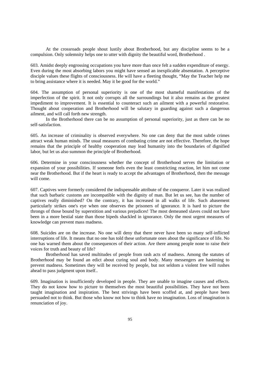At the crossroads people shout lustily about Brotherhood, but any discipline seems to be a compulsion. Only solemnity helps one to utter with dignity the beautiful word, Brotherhood .

603. Amidst deeply engrossing occupations you have more than once felt a sudden expenditure of energy. Even during the most absorbing labors you might have sensed an inexplicable absentation. A perceptive disciple values these flights of consciousness. He will have a fleeting thought, "May the Teacher help me to bring assistance where it is needed. May it be good for the world."

604. The assumption of personal superiority is one of the most shameful manifestations of the imperfection of the spirit. It not only corrupts all the surroundings but it also remains as the greatest impediment to improvement. It is essential to counteract such an ailment with a powerful restorative. Thought about cooperation and Brotherhood will be salutary in guarding against such a dangerous ailment, and will call forth new strength.

 In the Brotherhood there can be no assumption of personal superiority, just as there can be no self-satisfaction.

605. An increase of criminality is observed everywhere. No one can deny that the most subtle crimes attract weak human minds. The usual measures of combating crime are not effective. Therefore, the hope remains that the principle of healthy cooperation may lead humanity into the boundaries of dignified labor, but let us also summon the principle of Brotherhood.

606. Determine in your consciousness whether the concept of Brotherhood serves the limitation or expansion of your possibilities. If someone feels even the least constricting reaction, let him not come near the Brotherhood. But if the heart is ready to accept the advantages of Brotherhood, then the message will come.

607. Captives were formerly considered the indispensable attribute of the conqueror. Later it was realized that such barbaric customs are incompatible with the dignity of man. But let us see, has the number of captives really diminished? On the contrary, it has increased in all walks of life. Such abasement particularly strikes one's eye when one observes the prisoners of ignorance. It is hard to picture the throngs of those bound by superstition and various prejudices! The most demeaned slaves could not have been in a more bestial state than those bipeds shackled in ignorance. Only the most urgent measures of knowledge can prevent mass madness.

608. Suicides are on the increase. No one will deny that there never have been so many self-inflicted interruptions of life. It means that no one has told these unfortunate ones about the significance of life. No one has warned them about the consequences of their action. Are there among people none to raise their voices for truth and beauty of life?

 Brotherhood has saved multitudes of people from rash acts of madness. Among the statutes of Brotherhood may be found an edict about curing soul and body. Many messengers are hastening to prevent madness. Sometimes they will be received by people, but not seldom a violent free will rushes ahead to pass judgment upon itself..

609. Imagination is insufficiently developed in people. They are unable to imagine causes and effects. They do not know how to picture to themselves the most beautiful possibilities. They have not been taught imagination and inspiration. The best strivings have been scoffed at, and people have been persuaded not to think. But those who know not how to think have no imagination. Loss of imagination is renunciation of joy.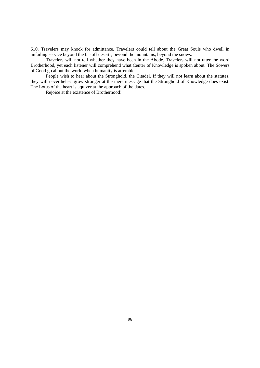610. Travelers may knock for admittance. Travelers could tell about the Great Souls who dwell in unfailing service beyond the far-off deserts, beyond the mountains, beyond the snows.

 Travelers will not tell whether they have been in the Abode. Travelers will not utter the word Brotherhood, yet each listener will comprehend what Center of Knowledge is spoken about. The Sowers of Good go about the world when humanity is atremble.

 People wish to hear about the Stronghold, the Citadel. If they will not learn about the statutes, they will nevertheless grow stronger at the mere message that the Stronghold of Knowledge does exist. The Lotus of the heart is aquiver at the approach of the dates.

Rejoice at the existence of Brotherhood!